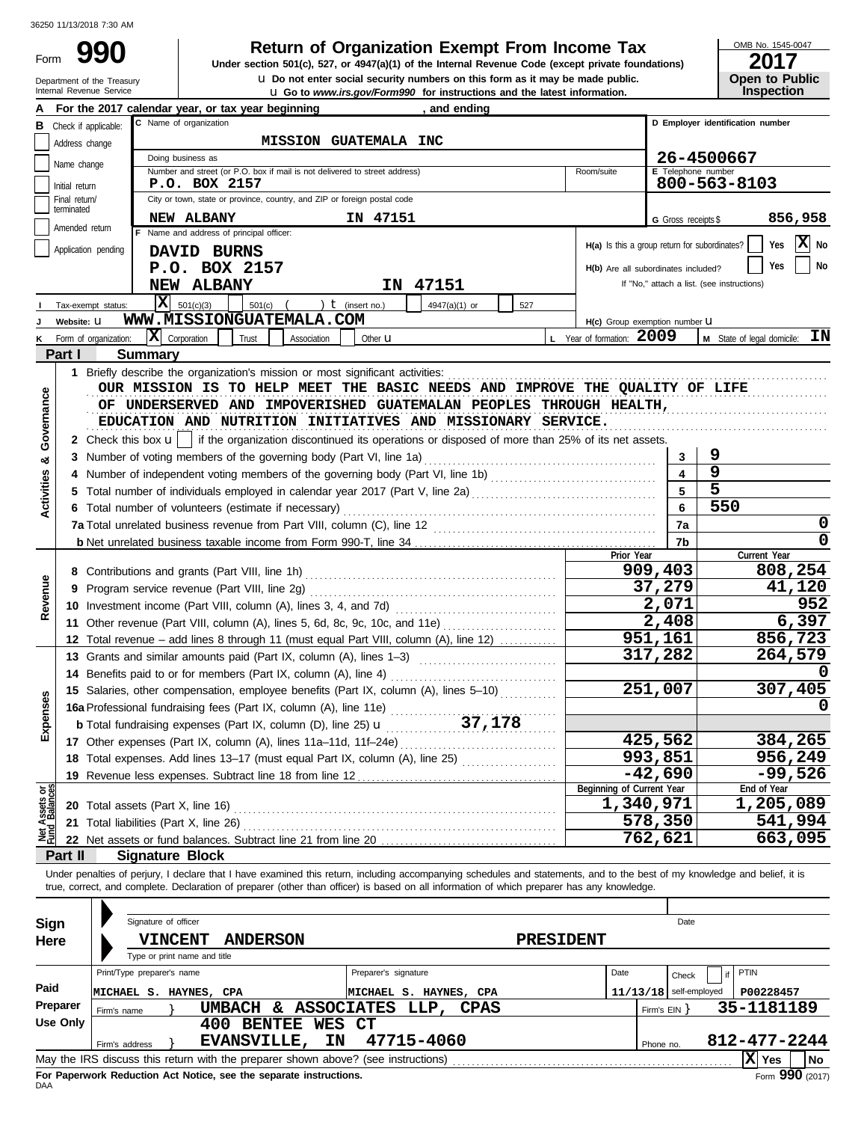Form

Department of the Treasury<br>Internal Revenue Service

# **990 1990 2017 2018 Depend of Organization Exempt From Income Tax 1947(a)(1)** of the Internal Revenue Code (except private foundations)

**u** Go to *www.irs.gov/Form990* for instructions and the latest information. **u** Do not enter social security numbers on this form as it may be made public. OMB No. 1545-0047

| 20 I I                |  |
|-----------------------|--|
| <b>Open to Public</b> |  |
| <b>Inspection</b>     |  |

|                                |                             | For the 2017 calendar year, or tax year beginning<br>and ending                                                                                                                                                                |                                               |                           |                                            |  |  |  |  |  |  |
|--------------------------------|-----------------------------|--------------------------------------------------------------------------------------------------------------------------------------------------------------------------------------------------------------------------------|-----------------------------------------------|---------------------------|--------------------------------------------|--|--|--|--|--|--|
| в                              | Check if applicable:        | C Name of organization                                                                                                                                                                                                         |                                               |                           | D Emplover identification number           |  |  |  |  |  |  |
|                                | Address change              | <b>MISSION GUATEMALA INC</b>                                                                                                                                                                                                   |                                               |                           |                                            |  |  |  |  |  |  |
|                                |                             | 26-4500667<br>Doing business as                                                                                                                                                                                                |                                               |                           |                                            |  |  |  |  |  |  |
|                                | Name change                 | Number and street (or P.O. box if mail is not delivered to street address)                                                                                                                                                     | Room/suite                                    | <b>E</b> Telephone number |                                            |  |  |  |  |  |  |
|                                | Initial return              | P.O. BOX 2157                                                                                                                                                                                                                  |                                               |                           | 800-563-8103                               |  |  |  |  |  |  |
|                                | Final return/<br>terminated | City or town, state or province, country, and ZIP or foreign postal code                                                                                                                                                       |                                               |                           |                                            |  |  |  |  |  |  |
|                                |                             | <b>NEW ALBANY</b><br>IN 47151                                                                                                                                                                                                  |                                               | G Gross receipts \$       | 856,958                                    |  |  |  |  |  |  |
|                                | Amended return              | F Name and address of principal officer:                                                                                                                                                                                       |                                               |                           | $\overline{\mathbf{x}}$                    |  |  |  |  |  |  |
|                                | Application pending         | DAVID BURNS                                                                                                                                                                                                                    | H(a) Is this a group return for subordinates? |                           | Yes<br>No                                  |  |  |  |  |  |  |
|                                |                             | P.O. BOX 2157                                                                                                                                                                                                                  | H(b) Are all subordinates included?           |                           | No<br>Yes                                  |  |  |  |  |  |  |
|                                |                             | IN 47151<br><b>NEW ALBANY</b>                                                                                                                                                                                                  |                                               |                           | If "No," attach a list. (see instructions) |  |  |  |  |  |  |
|                                | Tax-exempt status:          | IХ<br>501(c)(3)<br>501(c)<br>) $t$ (insert no.)<br>4947(a)(1) or<br>527                                                                                                                                                        |                                               |                           |                                            |  |  |  |  |  |  |
|                                | Website: U                  | WWW.MISSIONGUATEMALA.COM                                                                                                                                                                                                       | H(c) Group exemption number U                 |                           |                                            |  |  |  |  |  |  |
|                                | Form of organization:       | X <br>Corporation<br>Trust<br>Association<br>Other <b>u</b>                                                                                                                                                                    | L Year of formation: 2009                     |                           | ΙN<br>M State of legal domicile:           |  |  |  |  |  |  |
|                                | Part I                      | <b>Summary</b>                                                                                                                                                                                                                 |                                               |                           |                                            |  |  |  |  |  |  |
|                                |                             | 1 Briefly describe the organization's mission or most significant activities:                                                                                                                                                  |                                               |                           |                                            |  |  |  |  |  |  |
|                                |                             | OUR MISSION IS TO HELP MEET THE BASIC NEEDS AND IMPROVE THE QUALITY OF LIFE                                                                                                                                                    |                                               |                           |                                            |  |  |  |  |  |  |
|                                |                             | OF UNDERSERVED AND IMPOVERISHED GUATEMALAN PEOPLES THROUGH HEALTH,                                                                                                                                                             |                                               |                           |                                            |  |  |  |  |  |  |
|                                |                             |                                                                                                                                                                                                                                |                                               |                           |                                            |  |  |  |  |  |  |
| Governance                     |                             | EDUCATION AND NUTRITION INITIATIVES AND MISSIONARY SERVICE.                                                                                                                                                                    |                                               |                           |                                            |  |  |  |  |  |  |
|                                |                             | 2 Check this box $\mathbf{u}$   if the organization discontinued its operations or disposed of more than 25% of its net assets.                                                                                                |                                               |                           |                                            |  |  |  |  |  |  |
| ಯ                              |                             | 3 Number of voting members of the governing body (Part VI, line 1a)                                                                                                                                                            |                                               | 3                         | 9                                          |  |  |  |  |  |  |
|                                | 4                           | Number of independent voting members of the governing body (Part VI, line 1b) [11] [11] Number of independent voting members of the governing body (Part VI, line 1b)                                                          |                                               | 4                         | 9                                          |  |  |  |  |  |  |
| Activities                     | 5.                          | Total number of individuals employed in calendar year 2017 (Part V, line 2a) [[[[[[[[[[[[[[[[[[[[[[[[[[[[[[[[                                                                                                                  |                                               | 5                         | $\overline{5}$                             |  |  |  |  |  |  |
|                                |                             | 6 Total number of volunteers (estimate if necessary)                                                                                                                                                                           |                                               | 6                         | 550                                        |  |  |  |  |  |  |
|                                |                             |                                                                                                                                                                                                                                |                                               | 7a                        | 0                                          |  |  |  |  |  |  |
|                                |                             |                                                                                                                                                                                                                                |                                               | 7b                        | $\mathbf 0$                                |  |  |  |  |  |  |
|                                |                             |                                                                                                                                                                                                                                | Prior Year                                    |                           | Current Year                               |  |  |  |  |  |  |
|                                |                             |                                                                                                                                                                                                                                |                                               | 909,403                   | 808,254                                    |  |  |  |  |  |  |
|                                | 9                           | Program service revenue (Part VIII, line 2g)                                                                                                                                                                                   |                                               | 37,279                    | 41,120                                     |  |  |  |  |  |  |
| Revenue                        |                             |                                                                                                                                                                                                                                |                                               | 2,071                     | 952                                        |  |  |  |  |  |  |
|                                |                             | 11 Other revenue (Part VIII, column (A), lines 5, 6d, 8c, 9c, 10c, and 11e)                                                                                                                                                    |                                               | 2,408                     | 6,397                                      |  |  |  |  |  |  |
|                                |                             | 12 Total revenue - add lines 8 through 11 (must equal Part VIII, column (A), line 12)                                                                                                                                          |                                               | 951,161                   | 856,723                                    |  |  |  |  |  |  |
|                                |                             | 13 Grants and similar amounts paid (Part IX, column (A), lines 1-3)                                                                                                                                                            |                                               | 317,282                   | 264,579                                    |  |  |  |  |  |  |
|                                | 14                          | Benefits paid to or for members (Part IX, column (A), line 4)                                                                                                                                                                  |                                               |                           |                                            |  |  |  |  |  |  |
|                                |                             | 15 Salaries, other compensation, employee benefits (Part IX, column (A), lines 5-10)                                                                                                                                           |                                               | 251,007                   | 307,405                                    |  |  |  |  |  |  |
| Expenses                       |                             | 15 Salaries, other components, 1997.<br>16a Professional fundraising fees (Part IX, column (A), line 11e)<br>17. 37, 178                                                                                                       |                                               |                           |                                            |  |  |  |  |  |  |
|                                |                             |                                                                                                                                                                                                                                |                                               |                           |                                            |  |  |  |  |  |  |
|                                |                             | 17 Other expenses (Part IX, column (A), lines 11a-11d, 11f-24e)                                                                                                                                                                |                                               | 425,562                   | 384,265                                    |  |  |  |  |  |  |
|                                |                             | 18 Total expenses. Add lines 13-17 (must equal Part IX, column (A), line 25) [                                                                                                                                                 |                                               | 993,851                   | 956,249                                    |  |  |  |  |  |  |
|                                |                             | 19 Revenue less expenses. Subtract line 18 from line 12                                                                                                                                                                        |                                               | $-42,690$                 | $-99,526$                                  |  |  |  |  |  |  |
|                                |                             |                                                                                                                                                                                                                                | Beginning of Current Year                     |                           | End of Year                                |  |  |  |  |  |  |
|                                |                             | 20 Total assets (Part X, line 16)                                                                                                                                                                                              | 1,340,971                                     |                           | 1,205,089                                  |  |  |  |  |  |  |
| Net Assets or<br>Fund Balances |                             | 21 Total liabilities (Part X, line 26) Mathematic Contract Contract Contract Contract Contract Contract Contract Contract Contract Contract Contract Contract Contract Contract Contract Contract Contract Contract Contract C |                                               | 578,350                   | 541,994                                    |  |  |  |  |  |  |
|                                |                             | 22 Net assets or fund balances. Subtract line 21 from line 20                                                                                                                                                                  |                                               | 762,621                   | 663,095                                    |  |  |  |  |  |  |
|                                | Part II                     | <b>Signature Block</b>                                                                                                                                                                                                         |                                               |                           |                                            |  |  |  |  |  |  |
|                                |                             | Under penalties of perjury, I declare that I have examined this return, including accompanying schedules and statements, and to the best of my knowledge and belief, it is                                                     |                                               |                           |                                            |  |  |  |  |  |  |
|                                |                             | true, correct, and complete. Declaration of preparer (other than officer) is based on all information of which preparer has any knowledge.                                                                                     |                                               |                           |                                            |  |  |  |  |  |  |
|                                |                             |                                                                                                                                                                                                                                |                                               |                           |                                            |  |  |  |  |  |  |
| Sign                           |                             | Signature of officer                                                                                                                                                                                                           |                                               | Date                      |                                            |  |  |  |  |  |  |
| Here                           |                             | <b>PRESIDENT</b><br><b>VINCENT</b><br><b>ANDERSON</b>                                                                                                                                                                          |                                               |                           |                                            |  |  |  |  |  |  |
|                                |                             | Type or print name and title                                                                                                                                                                                                   |                                               |                           |                                            |  |  |  |  |  |  |
|                                |                             | Print/Type preparer's name<br>Preparer's signature                                                                                                                                                                             | Date                                          | Check                     | <b>PTIN</b>                                |  |  |  |  |  |  |
| Paid                           |                             | MICHAEL S. HAYNES, CPA<br>MICHAEL S. HAYNES, CPA                                                                                                                                                                               |                                               | $11/13/18$ self-employed  | P00228457                                  |  |  |  |  |  |  |
|                                | Preparer                    | UMBACH & ASSOCIATES LLP, CPAS<br>Firm's name                                                                                                                                                                                   |                                               | Firm's EIN }              | 35-1181189                                 |  |  |  |  |  |  |
|                                | <b>Use Only</b>             | 400 BENTEE WES CT                                                                                                                                                                                                              |                                               |                           |                                            |  |  |  |  |  |  |
|                                |                             | 47715-4060<br><b>EVANSVILLE,</b><br>ΙN<br>Firm's address                                                                                                                                                                       |                                               | Phone no.                 | 812-477-2244                               |  |  |  |  |  |  |
|                                |                             | May the IRS discuss this return with the preparer shown above? (see instructions)                                                                                                                                              |                                               |                           | $ X $ Yes<br>No                            |  |  |  |  |  |  |

| Sign     | Signature of officer                                                              |                               |      | Date                     |                              |  |  |  |
|----------|-----------------------------------------------------------------------------------|-------------------------------|------|--------------------------|------------------------------|--|--|--|
| Here     | <b>VINCENT</b><br><b>ANDERSON</b><br>Type or print name and title                 | <b>PRESIDENT</b>              |      |                          |                              |  |  |  |
|          | Print/Type preparer's name                                                        | Preparer's signature          | Date | Check                    | PTIN                         |  |  |  |
| Paid     | MICHAEL S. HAYNES, CPA                                                            | MICHAEL S. HAYNES, CPA        |      | $11/13/18$ self-employed | P00228457                    |  |  |  |
| Preparer | Firm's name                                                                       | UMBACH & ASSOCIATES LLP, CPAS |      | Firm's $EIN$             | 35-1181189                   |  |  |  |
| Use Only | <b>BENTEE</b><br>400<br>WES                                                       | CT                            |      |                          |                              |  |  |  |
|          | IN<br><b>EVANSVILLE,</b><br>Firm's address                                        | 47715-4060                    |      | Phone no.                | 812-477-2244                 |  |  |  |
|          | May the IRS discuss this return with the preparer shown above? (see instructions) |                               |      |                          | $ X $ Yes<br><b>No</b>       |  |  |  |
|          | For Panerwork Reduction Act Notice, see the senarate instructions                 |                               |      |                          | $F_{\text{c}}$ 000 $(204.7)$ |  |  |  |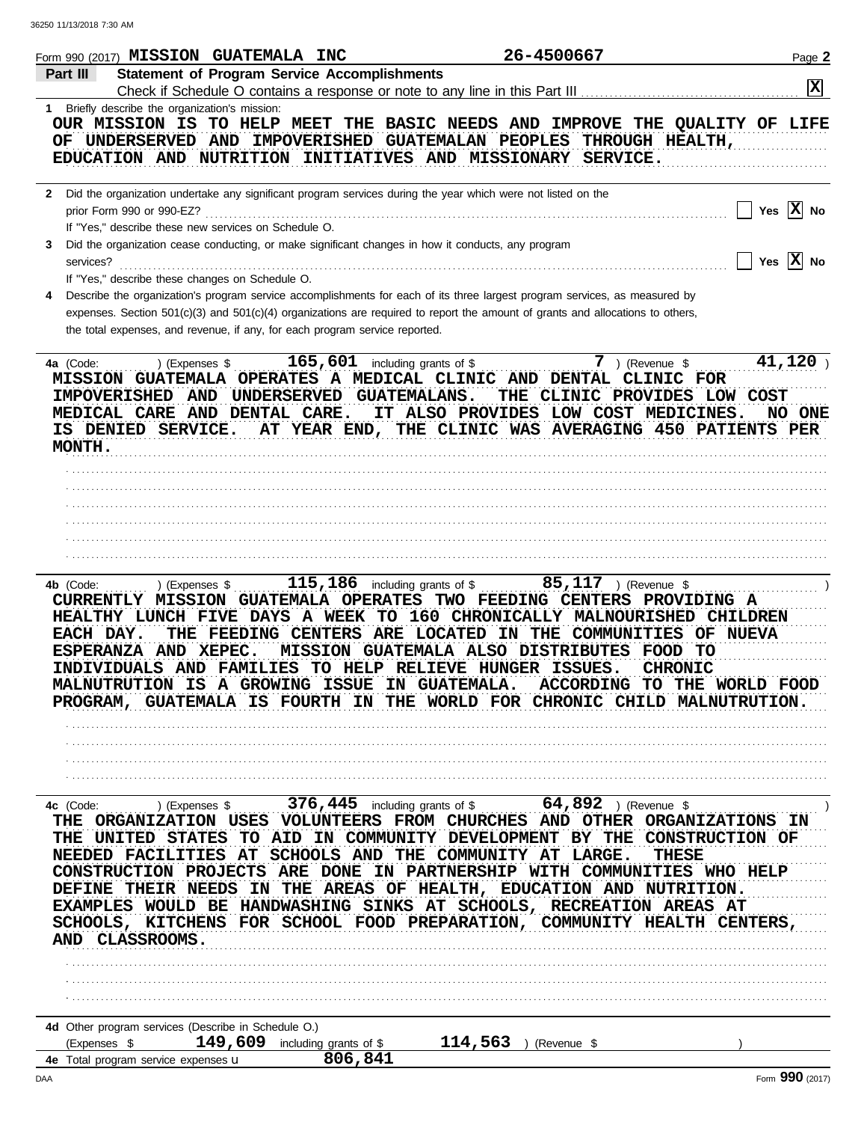| Form 990 (2017) MISSION GUATEMALA INC                                                                                                                                                                                                                                                                                                                                                          |                                                                      | 26-4500667                                                                            |                                                                                                                                                                                                                     | Page 2                |
|------------------------------------------------------------------------------------------------------------------------------------------------------------------------------------------------------------------------------------------------------------------------------------------------------------------------------------------------------------------------------------------------|----------------------------------------------------------------------|---------------------------------------------------------------------------------------|---------------------------------------------------------------------------------------------------------------------------------------------------------------------------------------------------------------------|-----------------------|
| <b>Statement of Program Service Accomplishments</b><br>Part III                                                                                                                                                                                                                                                                                                                                |                                                                      |                                                                                       |                                                                                                                                                                                                                     |                       |
| Check if Schedule O contains a response or note to any line in this Part III                                                                                                                                                                                                                                                                                                                   |                                                                      |                                                                                       |                                                                                                                                                                                                                     | $ \mathbf{x} $        |
| 1 Briefly describe the organization's mission:<br>OUR MISSION IS<br>TO HELP MEET<br>UNDERSERVED AND IMPOVERISHED GUATEMALAN PEOPLES<br>OF.<br>EDUCATION AND NUTRITION INITIATIVES AND MISSIONARY SERVICE.                                                                                                                                                                                      |                                                                      |                                                                                       | THE BASIC NEEDS AND IMPROVE THE QUALITY OF LIFE<br>THROUGH HEALTH,                                                                                                                                                  |                       |
| 2 Did the organization undertake any significant program services during the year which were not listed on the<br>prior Form 990 or 990-EZ?<br>If "Yes," describe these new services on Schedule O.<br>Did the organization cease conducting, or make significant changes in how it conducts, any program                                                                                      |                                                                      |                                                                                       |                                                                                                                                                                                                                     | Yes $ X $ No          |
| services?                                                                                                                                                                                                                                                                                                                                                                                      |                                                                      |                                                                                       |                                                                                                                                                                                                                     | Yes $ \mathbf{X} $ No |
| If "Yes," describe these changes on Schedule O.<br>Describe the organization's program service accomplishments for each of its three largest program services, as measured by<br>expenses. Section 501(c)(3) and 501(c)(4) organizations are required to report the amount of grants and allocations to others,<br>the total expenses, and revenue, if any, for each program service reported. |                                                                      |                                                                                       |                                                                                                                                                                                                                     |                       |
| 4a (Code:<br>) (Expenses \$<br>MISSION GUATEMALA OPERATES A MEDICAL CLINIC AND DENTAL CLINIC FOR<br><b>IMPOVERISHED</b><br>AND<br>MEDICAL CARE AND DENTAL CARE.<br>IS DENIED SERVICE.<br>MONTH.                                                                                                                                                                                                | 165,601 including grants of \$<br>UNDERSERVED<br><b>GUATEMALANS.</b> | THE                                                                                   | 7 ) (Revenue \$<br>CLINIC PROVIDES LOW COST<br>IT ALSO PROVIDES LOW COST MEDICINES.<br>AT YEAR END, THE CLINIC WAS AVERAGING 450 PATIENTS PER                                                                       | 41,120<br>NO ONE      |
|                                                                                                                                                                                                                                                                                                                                                                                                |                                                                      |                                                                                       |                                                                                                                                                                                                                     |                       |
|                                                                                                                                                                                                                                                                                                                                                                                                |                                                                      |                                                                                       |                                                                                                                                                                                                                     |                       |
|                                                                                                                                                                                                                                                                                                                                                                                                |                                                                      |                                                                                       |                                                                                                                                                                                                                     |                       |
|                                                                                                                                                                                                                                                                                                                                                                                                |                                                                      |                                                                                       |                                                                                                                                                                                                                     |                       |
| 4b (Code:<br>) (Expenses \$<br>CURRENTLY MISSION GUATEMALA OPERATES TWO FEEDING CENTERS<br>HEALTHY LUNCH FIVE DAYS A WEEK TO<br>THE FEEDING CENTERS<br>EACH DAY.<br>ESPERANZA AND XEPEC.<br>INDIVIDUALS AND FAMILIES TO HELP RELIEVE HUNGER ISSUES.<br>MALNUTRUTION IS A GROWING ISSUE IN GUATEMALA.<br>PROGRAM, GUATEMALA                                                                     | 115, 186 including grants of $$$<br>IS FOURTH IN                     | 85,117<br><b>ARE LOCATED</b><br>IN THE<br>MISSION GUATEMALA ALSO DISTRIBUTES          | ) (Revenue \$<br><b>PROVIDING A</b><br>160 CHRONICALLY MALNOURISHED CHILDREN<br>COMMUNITIES<br>OF NUEVA<br>FOOD<br>TO<br><b>CHRONIC</b><br>ACCORDING TO THE WORLD FOOD<br>THE WORLD FOR CHRONIC CHILD MALNUTRUTION. |                       |
|                                                                                                                                                                                                                                                                                                                                                                                                |                                                                      |                                                                                       |                                                                                                                                                                                                                     |                       |
|                                                                                                                                                                                                                                                                                                                                                                                                |                                                                      |                                                                                       |                                                                                                                                                                                                                     |                       |
|                                                                                                                                                                                                                                                                                                                                                                                                |                                                                      |                                                                                       |                                                                                                                                                                                                                     |                       |
| 4c (Code:<br>) (Expenses \$<br>THE ORGANIZATION USES VOLUNTEERS FROM CHURCHES AND OTHER ORGANIZATIONS<br>THE UNITED STATES<br>NEEDED FACILITIES AT                                                                                                                                                                                                                                             |                                                                      | 376, 445 including grants of \$ 64, 892 ) (Revenue \$<br>SCHOOLS AND THE COMMUNITY AT | TO AID IN COMMUNITY DEVELOPMENT BY THE CONSTRUCTION OF<br><b>LARGE.</b><br><b>THESE</b>                                                                                                                             | ΙN                    |
| CONSTRUCTION PROJECTS ARE DONE IN PARTNERSHIP WITH COMMUNITIES WHO HELP<br>DEFINE THEIR NEEDS IN THE AREAS OF HEALTH, EDUCATION AND NUTRITION.<br>EXAMPLES WOULD BE HANDWASHING SINKS AT SCHOOLS, RECREATION AREAS AT<br>SCHOOLS, KITCHENS FOR SCHOOL FOOD PREPARATION, COMMUNITY HEALTH CENTERS,<br>AND CLASSROOMS.                                                                           |                                                                      |                                                                                       |                                                                                                                                                                                                                     |                       |
|                                                                                                                                                                                                                                                                                                                                                                                                |                                                                      |                                                                                       |                                                                                                                                                                                                                     |                       |
|                                                                                                                                                                                                                                                                                                                                                                                                |                                                                      |                                                                                       |                                                                                                                                                                                                                     |                       |
| 4d Other program services (Describe in Schedule O.)                                                                                                                                                                                                                                                                                                                                            |                                                                      |                                                                                       |                                                                                                                                                                                                                     |                       |
| (Expenses \$<br>4e Total program service expenses u                                                                                                                                                                                                                                                                                                                                            | 149,609 including grants of \$<br>806,841                            | 114,563<br>(Revenue \$                                                                |                                                                                                                                                                                                                     |                       |
| DAA                                                                                                                                                                                                                                                                                                                                                                                            |                                                                      |                                                                                       |                                                                                                                                                                                                                     | Form 990 (2017)       |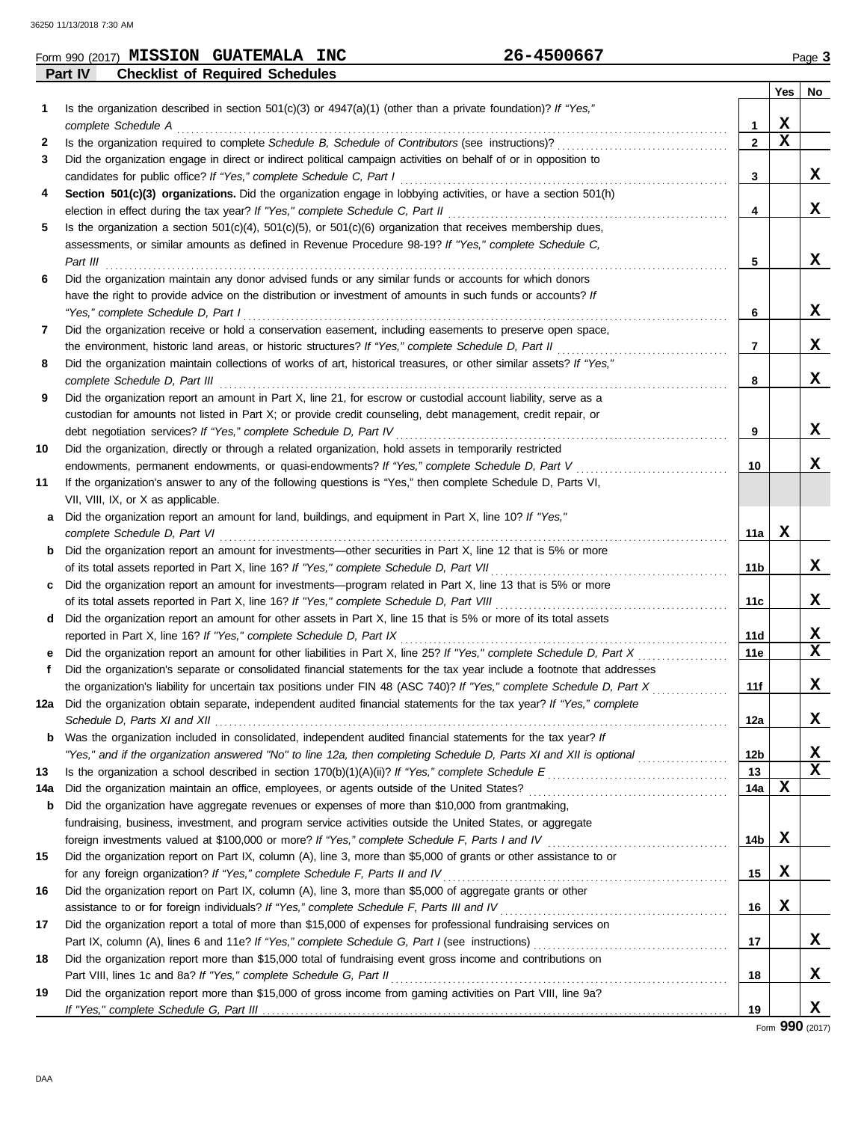|                     |  | 26-4500667                                                                      |                                                                                                                                                                                                                        |     | Page $3$ |
|---------------------|--|---------------------------------------------------------------------------------|------------------------------------------------------------------------------------------------------------------------------------------------------------------------------------------------------------------------|-----|----------|
| Part IV             |  |                                                                                 |                                                                                                                                                                                                                        |     |          |
|                     |  |                                                                                 |                                                                                                                                                                                                                        | Yes | No       |
|                     |  |                                                                                 |                                                                                                                                                                                                                        |     |          |
| complete Schedule A |  |                                                                                 |                                                                                                                                                                                                                        |     |          |
| 2                   |  |                                                                                 |                                                                                                                                                                                                                        |     |          |
|                     |  | Form 990 (2017) MISSION GUATEMALA INC<br><b>Checklist of Required Schedules</b> | Is the organization described in section $501(c)(3)$ or $4947(a)(1)$ (other than a private foundation)? If "Yes,"<br>Is the organization required to complete Schedule B, Schedule of Contributors (see instructions)? |     |          |

| 2   | Is the organization required to complete Schedule B, Schedule of Contributors (see instructions)?                       | $\mathbf{2}$ | X |                  |
|-----|-------------------------------------------------------------------------------------------------------------------------|--------------|---|------------------|
| 3   | Did the organization engage in direct or indirect political campaign activities on behalf of or in opposition to        |              |   |                  |
|     | candidates for public office? If "Yes," complete Schedule C, Part I                                                     | 3            |   | X                |
| 4   | Section 501(c)(3) organizations. Did the organization engage in lobbying activities, or have a section 501(h)           |              |   |                  |
|     | election in effect during the tax year? If "Yes," complete Schedule C, Part II                                          | 4            |   | X                |
| 5   | Is the organization a section $501(c)(4)$ , $501(c)(5)$ , or $501(c)(6)$ organization that receives membership dues,    |              |   |                  |
|     | assessments, or similar amounts as defined in Revenue Procedure 98-19? If "Yes," complete Schedule C,                   |              |   |                  |
|     | Part III                                                                                                                | 5            |   | X                |
| 6   | Did the organization maintain any donor advised funds or any similar funds or accounts for which donors                 |              |   |                  |
|     | have the right to provide advice on the distribution or investment of amounts in such funds or accounts? If             |              |   |                  |
|     | "Yes," complete Schedule D, Part I                                                                                      | 6            |   | X                |
| 7   | Did the organization receive or hold a conservation easement, including easements to preserve open space,               |              |   |                  |
|     | the environment, historic land areas, or historic structures? If "Yes," complete Schedule D, Part II                    | 7            |   | X                |
| 8   | Did the organization maintain collections of works of art, historical treasures, or other similar assets? If "Yes,"     |              |   |                  |
|     | complete Schedule D, Part III                                                                                           | 8            |   | x                |
| 9   | Did the organization report an amount in Part X, line 21, for escrow or custodial account liability, serve as a         |              |   |                  |
|     | custodian for amounts not listed in Part X; or provide credit counseling, debt management, credit repair, or            |              |   |                  |
|     | debt negotiation services? If "Yes," complete Schedule D, Part IV                                                       | 9            |   | x                |
| 10  | Did the organization, directly or through a related organization, hold assets in temporarily restricted                 |              |   |                  |
|     | endowments, permanent endowments, or quasi-endowments? If "Yes," complete Schedule D, Part V                            | 10           |   | x                |
| 11  | If the organization's answer to any of the following questions is "Yes," then complete Schedule D, Parts VI,            |              |   |                  |
|     | VII, VIII, IX, or X as applicable.                                                                                      |              |   |                  |
| a   | Did the organization report an amount for land, buildings, and equipment in Part X, line 10? If "Yes,"                  |              |   |                  |
|     | complete Schedule D, Part VI                                                                                            | 11a          | X |                  |
|     | <b>b</b> Did the organization report an amount for investments—other securities in Part X, line 12 that is 5% or more   |              |   |                  |
|     | of its total assets reported in Part X, line 16? If "Yes," complete Schedule D, Part VII                                | 11b          |   | X                |
| c.  | Did the organization report an amount for investments—program related in Part X, line 13 that is 5% or more             |              |   |                  |
|     | of its total assets reported in Part X, line 16? If "Yes," complete Schedule D, Part VIII                               | 11c          |   | X                |
|     | d Did the organization report an amount for other assets in Part X, line 15 that is 5% or more of its total assets      |              |   |                  |
|     | reported in Part X, line 16? If "Yes," complete Schedule D, Part IX                                                     | 11d          |   | X                |
|     | Did the organization report an amount for other liabilities in Part X, line 25? If "Yes," complete Schedule D, Part X   | 11e          |   | $\mathbf x$      |
| е   |                                                                                                                         |              |   |                  |
| f   | Did the organization's separate or consolidated financial statements for the tax year include a footnote that addresses |              |   | X                |
|     | the organization's liability for uncertain tax positions under FIN 48 (ASC 740)? If "Yes," complete Schedule D, Part X  | 11f          |   |                  |
|     | 12a Did the organization obtain separate, independent audited financial statements for the tax year? If "Yes," complete |              |   | X                |
|     |                                                                                                                         | 12a          |   |                  |
| b   | Was the organization included in consolidated, independent audited financial statements for the tax year? If            |              |   |                  |
|     | "Yes," and if the organization answered "No" to line 12a, then completing Schedule D, Parts XI and XII is optional      | 12b          |   | х<br>$\mathbf x$ |
|     | Is the organization a school described in section 170(b)(1)(A)(ii)? If "Yes," complete Schedule E                       | 13           |   |                  |
| 14a | Did the organization maintain an office, employees, or agents outside of the United States?                             | 14a          | х |                  |
| b   | Did the organization have aggregate revenues or expenses of more than \$10,000 from grantmaking,                        |              |   |                  |
|     | fundraising, business, investment, and program service activities outside the United States, or aggregate               |              |   |                  |
|     |                                                                                                                         | 14b          | X |                  |
| 15  | Did the organization report on Part IX, column (A), line 3, more than \$5,000 of grants or other assistance to or       |              |   |                  |
|     | for any foreign organization? If "Yes," complete Schedule F, Parts II and IV                                            | 15           | X |                  |
| 16  | Did the organization report on Part IX, column (A), line 3, more than \$5,000 of aggregate grants or other              |              |   |                  |
|     | assistance to or for foreign individuals? If "Yes," complete Schedule F, Parts III and IV                               | 16           | X |                  |
| 17  | Did the organization report a total of more than \$15,000 of expenses for professional fundraising services on          |              |   |                  |
|     |                                                                                                                         | 17           |   | X                |
| 18  | Did the organization report more than \$15,000 total of fundraising event gross income and contributions on             |              |   |                  |
|     | Part VIII, lines 1c and 8a? If "Yes," complete Schedule G, Part II                                                      | 18           |   | x                |

| 19 | Did the organization report more than \$15,000 of gross income from gaming activities on Part VIII, line 9a? |  |
|----|--------------------------------------------------------------------------------------------------------------|--|
|    | " "Yes." complete Schedule G. Part III                                                                       |  |

Form **990** (2017)

**X**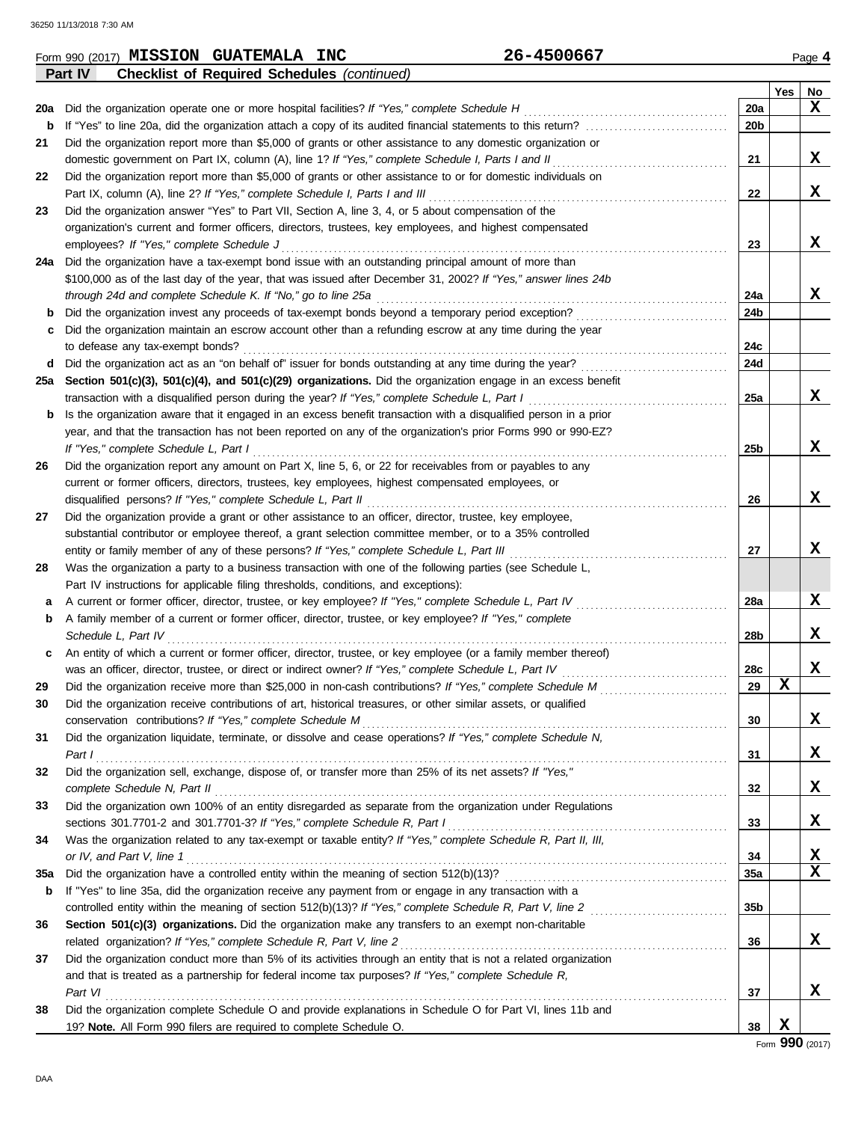|     | 26-4500667<br>Form 990 (2017) MISSION GUATEMALA INC                                                              |                 |             | Page 4 |
|-----|------------------------------------------------------------------------------------------------------------------|-----------------|-------------|--------|
|     | Part IV<br><b>Checklist of Required Schedules (continued)</b>                                                    |                 |             |        |
|     |                                                                                                                  |                 | Yes         | No     |
|     | 20a Did the organization operate one or more hospital facilities? If "Yes," complete Schedule H                  | <b>20a</b>      |             | x      |
| b   | If "Yes" to line 20a, did the organization attach a copy of its audited financial statements to this return?     | 20 <sub>b</sub> |             |        |
| 21  | Did the organization report more than \$5,000 of grants or other assistance to any domestic organization or      |                 |             |        |
|     | domestic government on Part IX, column (A), line 1? If "Yes," complete Schedule I, Parts I and II                | 21              |             | X      |
| 22  | Did the organization report more than \$5,000 of grants or other assistance to or for domestic individuals on    |                 |             |        |
|     | Part IX, column (A), line 2? If "Yes," complete Schedule I, Parts I and III                                      | 22              |             | X      |
| 23  | Did the organization answer "Yes" to Part VII, Section A, line 3, 4, or 5 about compensation of the              |                 |             |        |
|     | organization's current and former officers, directors, trustees, key employees, and highest compensated          |                 |             |        |
|     | employees? If "Yes," complete Schedule J                                                                         | 23              |             | X      |
|     | 24a Did the organization have a tax-exempt bond issue with an outstanding principal amount of more than          |                 |             |        |
|     | \$100,000 as of the last day of the year, that was issued after December 31, 2002? If "Yes," answer lines 24b    |                 |             |        |
|     | through 24d and complete Schedule K. If "No," go to line 25a                                                     | 24a             |             | X      |
| b   | Did the organization invest any proceeds of tax-exempt bonds beyond a temporary period exception?                | 24b             |             |        |
| c   | Did the organization maintain an escrow account other than a refunding escrow at any time during the year        |                 |             |        |
|     | to defease any tax-exempt bonds?                                                                                 | 24c             |             |        |
|     | d Did the organization act as an "on behalf of" issuer for bonds outstanding at any time during the year?        | 24d             |             |        |
|     | 25a Section 501(c)(3), 501(c)(4), and 501(c)(29) organizations. Did the organization engage in an excess benefit |                 |             |        |
|     | transaction with a disqualified person during the year? If "Yes," complete Schedule L, Part I                    | 25a             |             | X      |
| b   | Is the organization aware that it engaged in an excess benefit transaction with a disqualified person in a prior |                 |             |        |
|     | year, and that the transaction has not been reported on any of the organization's prior Forms 990 or 990-EZ?     |                 |             |        |
|     | If "Yes," complete Schedule L, Part I                                                                            | 25 <sub>b</sub> |             | X      |
| 26  | Did the organization report any amount on Part X, line 5, 6, or 22 for receivables from or payables to any       |                 |             |        |
|     | current or former officers, directors, trustees, key employees, highest compensated employees, or                |                 |             |        |
|     | disqualified persons? If "Yes," complete Schedule L, Part II                                                     | 26              |             | X      |
| 27  | Did the organization provide a grant or other assistance to an officer, director, trustee, key employee,         |                 |             |        |
|     | substantial contributor or employee thereof, a grant selection committee member, or to a 35% controlled          |                 |             |        |
|     | entity or family member of any of these persons? If "Yes," complete Schedule L, Part III                         | 27              |             | X      |
| 28  | Was the organization a party to a business transaction with one of the following parties (see Schedule L,        |                 |             |        |
|     | Part IV instructions for applicable filing thresholds, conditions, and exceptions):                              |                 |             |        |
|     | A current or former officer, director, trustee, or key employee? If "Yes," complete Schedule L, Part IV          | 28a             |             | X      |
| а   | A family member of a current or former officer, director, trustee, or key employee? If "Yes," complete           |                 |             |        |
| b   | Schedule L, Part IV                                                                                              |                 |             | x      |
|     |                                                                                                                  | 28b             |             |        |
| C   | An entity of which a current or former officer, director, trustee, or key employee (or a family member thereof)  |                 |             | X      |
|     | was an officer, director, trustee, or direct or indirect owner? If "Yes," complete Schedule L, Part IV           | 28c             | $\mathbf x$ |        |
|     | Did the organization receive more than \$25,000 in non-cash contributions? If "Yes," complete Schedule M         | 29              |             |        |
| 30  | Did the organization receive contributions of art, historical treasures, or other similar assets, or qualified   |                 |             |        |
|     | conservation contributions? If "Yes," complete Schedule M                                                        | 30              |             | X      |
| 31  | Did the organization liquidate, terminate, or dissolve and cease operations? If "Yes," complete Schedule N,      |                 |             |        |
|     | Part I                                                                                                           | 31              |             | X      |
| 32  | Did the organization sell, exchange, dispose of, or transfer more than 25% of its net assets? If "Yes,"          |                 |             |        |
|     | complete Schedule N, Part II                                                                                     | 32              |             | X      |
| 33  | Did the organization own 100% of an entity disregarded as separate from the organization under Regulations       |                 |             |        |
|     | sections 301.7701-2 and 301.7701-3? If "Yes," complete Schedule R, Part I                                        | 33              |             | X      |
| 34  | Was the organization related to any tax-exempt or taxable entity? If "Yes," complete Schedule R, Part II, III,   |                 |             |        |
|     | or IV, and Part V, line 1                                                                                        | 34              |             | X      |
| 35a |                                                                                                                  | 35a             |             | X      |
| b   | If "Yes" to line 35a, did the organization receive any payment from or engage in any transaction with a          |                 |             |        |
|     |                                                                                                                  | 35 <sub>b</sub> |             |        |
| 36  | Section 501(c)(3) organizations. Did the organization make any transfers to an exempt non-charitable             |                 |             |        |
|     | related organization? If "Yes," complete Schedule R, Part V, line 2                                              | 36              |             | X      |
| 37  | Did the organization conduct more than 5% of its activities through an entity that is not a related organization |                 |             |        |
|     | and that is treated as a partnership for federal income tax purposes? If "Yes," complete Schedule R,             |                 |             |        |
|     | Part VI                                                                                                          | 37              |             | X      |
| 38  | Did the organization complete Schedule O and provide explanations in Schedule O for Part VI, lines 11b and       |                 |             |        |
|     | 19? Note. All Form 990 filers are required to complete Schedule O.                                               | 38              | X           |        |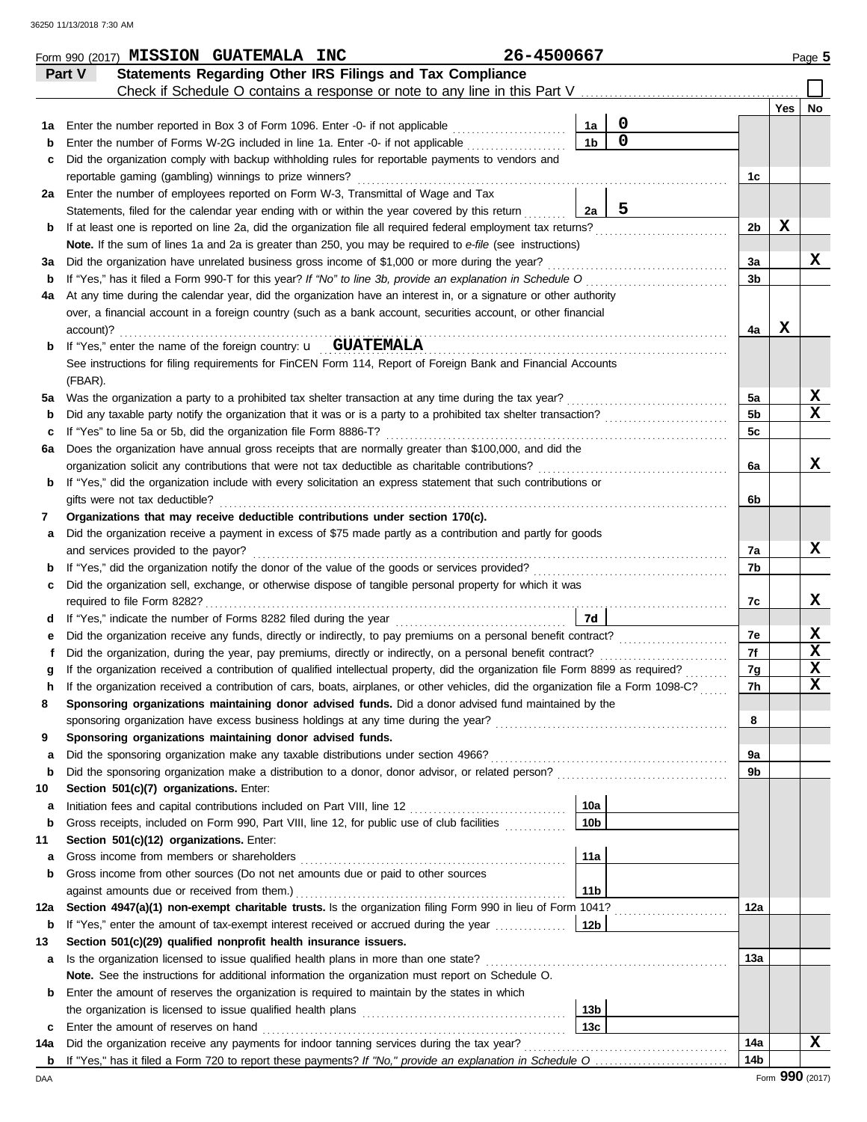|        | Form 990 (2017) MISSION GUATEMALA INC                                                                                                                                                                         | 26-4500667 |                                     |                |     | Page 5                  |
|--------|---------------------------------------------------------------------------------------------------------------------------------------------------------------------------------------------------------------|------------|-------------------------------------|----------------|-----|-------------------------|
|        | Statements Regarding Other IRS Filings and Tax Compliance<br>Part V                                                                                                                                           |            |                                     |                |     |                         |
|        | Check if Schedule O contains a response or note to any line in this Part V                                                                                                                                    |            |                                     |                |     |                         |
|        |                                                                                                                                                                                                               |            |                                     |                | Yes | No                      |
| 1а     | Enter the number reported in Box 3 of Form 1096. Enter -0- if not applicable                                                                                                                                  |            | $\mathbf 0$<br>1a<br>$\overline{0}$ |                |     |                         |
| b      | Enter the number of Forms W-2G included in line 1a. Enter -0- if not applicable                                                                                                                               |            | 1 <sub>b</sub>                      |                |     |                         |
| с      | Did the organization comply with backup withholding rules for reportable payments to vendors and                                                                                                              |            |                                     |                |     |                         |
|        | reportable gaming (gambling) winnings to prize winners?<br>2a Enter the number of employees reported on Form W-3, Transmittal of Wage and Tax                                                                 |            |                                     | 1c             |     |                         |
|        | Statements, filed for the calendar year ending with or within the year covered by this return                                                                                                                 |            | 5<br>2a                             |                |     |                         |
| b      | If at least one is reported on line 2a, did the organization file all required federal employment tax returns?                                                                                                |            |                                     | 2b             | X   |                         |
|        | Note. If the sum of lines 1a and 2a is greater than 250, you may be required to e-file (see instructions)                                                                                                     |            |                                     |                |     |                         |
| За     | Did the organization have unrelated business gross income of \$1,000 or more during the year?                                                                                                                 |            |                                     | За             |     | X                       |
| b      | If "Yes," has it filed a Form 990-T for this year? If "No" to line 3b, provide an explanation in Schedule O                                                                                                   |            |                                     | 3b             |     |                         |
| 4a     | At any time during the calendar year, did the organization have an interest in, or a signature or other authority                                                                                             |            |                                     |                |     |                         |
|        | over, a financial account in a foreign country (such as a bank account, securities account, or other financial                                                                                                |            |                                     |                |     |                         |
|        | account)?                                                                                                                                                                                                     |            |                                     | 4a             | X   |                         |
| b      | If "Yes," enter the name of the foreign country: <b>u</b> GUATEMALA                                                                                                                                           |            |                                     |                |     |                         |
|        | See instructions for filing requirements for FinCEN Form 114, Report of Foreign Bank and Financial Accounts                                                                                                   |            |                                     |                |     |                         |
|        | (FBAR).                                                                                                                                                                                                       |            |                                     |                |     |                         |
| 5a     | Was the organization a party to a prohibited tax shelter transaction at any time during the tax year?                                                                                                         |            |                                     | 5a             |     | X                       |
| b      | Did any taxable party notify the organization that it was or is a party to a prohibited tax shelter transaction?                                                                                              |            |                                     | 5 <sub>b</sub> |     | $\mathbf x$             |
| с      | If "Yes" to line 5a or 5b, did the organization file Form 8886-T?                                                                                                                                             |            |                                     | 5c             |     |                         |
| 6а     | Does the organization have annual gross receipts that are normally greater than \$100,000, and did the                                                                                                        |            |                                     |                |     |                         |
|        | organization solicit any contributions that were not tax deductible as charitable contributions?                                                                                                              |            |                                     | 6a             |     | x                       |
| b      | If "Yes," did the organization include with every solicitation an express statement that such contributions or                                                                                                |            |                                     |                |     |                         |
|        | gifts were not tax deductible?                                                                                                                                                                                |            |                                     | 6b             |     |                         |
| 7      | Organizations that may receive deductible contributions under section 170(c).<br>Did the organization receive a payment in excess of \$75 made partly as a contribution and partly for goods                  |            |                                     |                |     |                         |
| а      | and services provided to the payor?                                                                                                                                                                           |            |                                     | 7a             |     | x                       |
| b      | If "Yes," did the organization notify the donor of the value of the goods or services provided?                                                                                                               |            |                                     | 7b             |     |                         |
| с      | Did the organization sell, exchange, or otherwise dispose of tangible personal property for which it was                                                                                                      |            |                                     |                |     |                         |
|        | required to file Form 8282?                                                                                                                                                                                   |            |                                     | 7c             |     | x                       |
| d      |                                                                                                                                                                                                               |            | 7d                                  |                |     |                         |
| е      | Did the organization receive any funds, directly or indirectly, to pay premiums on a personal benefit contract?                                                                                               |            |                                     | 7e             |     | X                       |
|        | Did the organization, during the year, pay premiums, directly or indirectly, on a personal benefit contract?                                                                                                  |            |                                     | 7f             |     | X                       |
|        | If the organization received a contribution of qualified intellectual property, did the organization file Form 8899 as required?                                                                              |            |                                     | 7g             |     | $\mathbf x$             |
|        | If the organization received a contribution of cars, boats, airplanes, or other vehicles, did the organization file a Form 1098-C?                                                                            |            |                                     | 7h             |     | $\overline{\textbf{x}}$ |
| 8      | Sponsoring organizations maintaining donor advised funds. Did a donor advised fund maintained by the                                                                                                          |            |                                     |                |     |                         |
|        |                                                                                                                                                                                                               |            |                                     | 8              |     |                         |
| 9      | Sponsoring organizations maintaining donor advised funds.                                                                                                                                                     |            |                                     |                |     |                         |
| а      |                                                                                                                                                                                                               |            |                                     | 9a             |     |                         |
| b      | Did the sponsoring organization make a distribution to a donor, donor advisor, or related person?                                                                                                             |            |                                     | 9b             |     |                         |
| 10     | Section 501(c)(7) organizations. Enter:                                                                                                                                                                       |            |                                     |                |     |                         |
| а<br>b | Initiation fees and capital contributions included on Part VIII, line 12 [11] [11] [11] [12] [11] [12] [11] [1<br>Gross receipts, included on Form 990, Part VIII, line 12, for public use of club facilities |            | 10a<br>10 <sub>b</sub>              |                |     |                         |
| 11     | Section 501(c)(12) organizations. Enter:                                                                                                                                                                      |            |                                     |                |     |                         |
| а      | Gross income from members or shareholders                                                                                                                                                                     |            | 11a                                 |                |     |                         |
| b      | Gross income from other sources (Do not net amounts due or paid to other sources                                                                                                                              |            |                                     |                |     |                         |
|        | against amounts due or received from them.)                                                                                                                                                                   |            | 11 <sub>b</sub>                     |                |     |                         |
| 12a    | Section 4947(a)(1) non-exempt charitable trusts. Is the organization filing Form 990 in lieu of Form 1041?                                                                                                    |            |                                     | 12a            |     |                         |
| b      | If "Yes," enter the amount of tax-exempt interest received or accrued during the year                                                                                                                         | 12b        |                                     |                |     |                         |
| 13     | Section 501(c)(29) qualified nonprofit health insurance issuers.                                                                                                                                              |            |                                     |                |     |                         |
| а      | Is the organization licensed to issue qualified health plans in more than one state?                                                                                                                          |            |                                     | 13а            |     |                         |
|        | Note. See the instructions for additional information the organization must report on Schedule O.                                                                                                             |            |                                     |                |     |                         |
| b      | Enter the amount of reserves the organization is required to maintain by the states in which                                                                                                                  |            |                                     |                |     |                         |
|        |                                                                                                                                                                                                               |            | 13 <sub>b</sub>                     |                |     |                         |
| c      | Enter the amount of reserves on hand                                                                                                                                                                          |            | 13 <sub>c</sub>                     |                |     |                         |
| 14a    | Did the organization receive any payments for indoor tanning services during the tax year?                                                                                                                    |            |                                     | 14a            |     | x                       |
|        |                                                                                                                                                                                                               |            |                                     | 14b            |     |                         |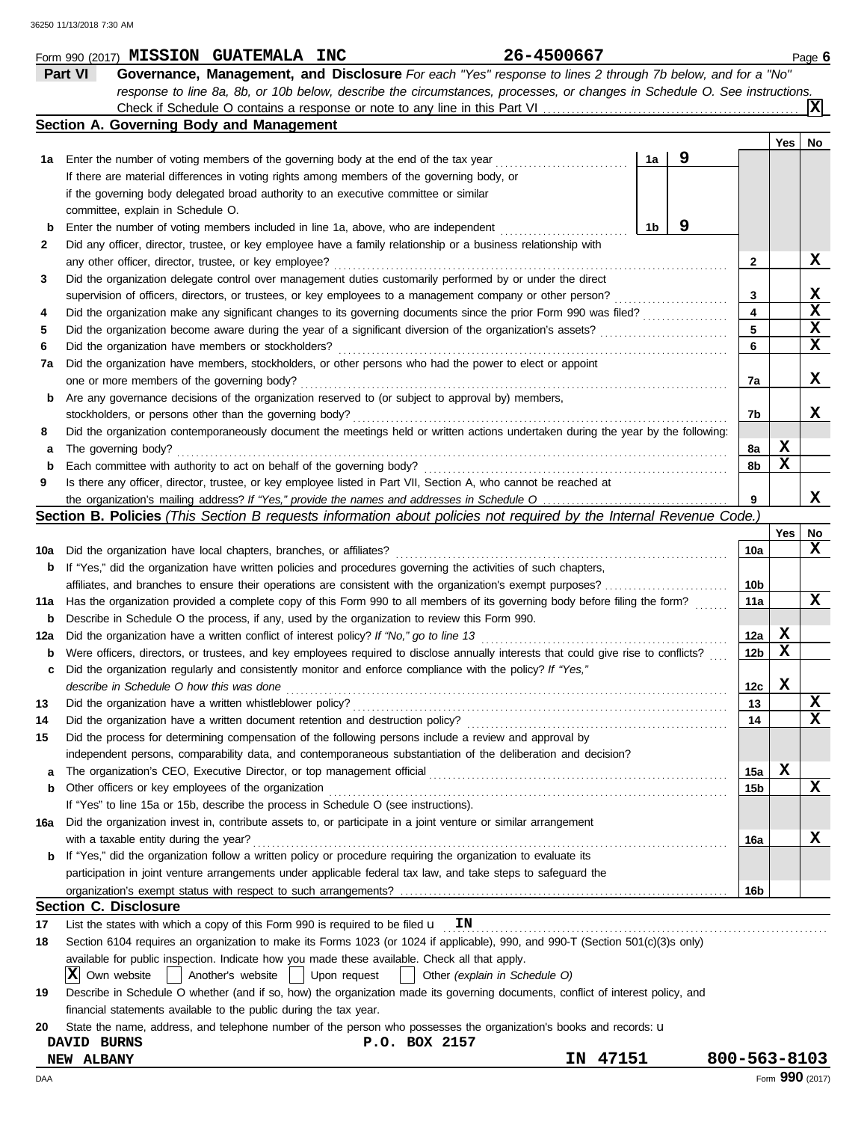|     | 26-4500667<br>Form 990 (2017) MISSION GUATEMALA INC                                                                                 |              |     | Page 6          |
|-----|-------------------------------------------------------------------------------------------------------------------------------------|--------------|-----|-----------------|
|     | Part VI<br>Governance, Management, and Disclosure For each "Yes" response to lines 2 through 7b below, and for a "No"               |              |     |                 |
|     | response to line 8a, 8b, or 10b below, describe the circumstances, processes, or changes in Schedule O. See instructions.           |              |     |                 |
|     |                                                                                                                                     |              |     | ΙXΙ             |
|     | Section A. Governing Body and Management                                                                                            |              |     |                 |
|     |                                                                                                                                     |              | Yes | No              |
| 1а  | 9<br>1a<br>Enter the number of voting members of the governing body at the end of the tax year                                      |              |     |                 |
|     | If there are material differences in voting rights among members of the governing body, or                                          |              |     |                 |
|     | if the governing body delegated broad authority to an executive committee or similar                                                |              |     |                 |
|     | committee, explain in Schedule O.                                                                                                   |              |     |                 |
| b   | 9<br>1 <sub>b</sub><br>Enter the number of voting members included in line 1a, above, who are independent                           |              |     |                 |
| 2   | Did any officer, director, trustee, or key employee have a family relationship or a business relationship with                      |              |     |                 |
|     | any other officer, director, trustee, or key employee?                                                                              | $\mathbf{2}$ |     | X               |
| 3   | Did the organization delegate control over management duties customarily performed by or under the direct                           |              |     |                 |
|     | supervision of officers, directors, or trustees, or key employees to a management company or other person?                          | 3            |     | X               |
| 4   | Did the organization make any significant changes to its governing documents since the prior Form 990 was filed?                    | 4            |     | $\mathbf x$     |
| 5   | Did the organization become aware during the year of a significant diversion of the organization's assets?                          | 5            |     | X               |
| 6   | Did the organization have members or stockholders?                                                                                  | 6            |     | $\mathbf x$     |
| 7a  | Did the organization have members, stockholders, or other persons who had the power to elect or appoint                             |              |     |                 |
|     | one or more members of the governing body?                                                                                          | 7a           |     | X               |
| b   | Are any governance decisions of the organization reserved to (or subject to approval by) members,                                   |              |     |                 |
|     | stockholders, or persons other than the governing body?                                                                             | 7b           |     | x               |
| 8   | Did the organization contemporaneously document the meetings held or written actions undertaken during the year by the following:   |              |     |                 |
| a   | The governing body?                                                                                                                 | 8a           | X   |                 |
| b   | Each committee with authority to act on behalf of the governing body?                                                               | 8b           | x   |                 |
| 9   | Is there any officer, director, trustee, or key employee listed in Part VII, Section A, who cannot be reached at                    |              |     |                 |
|     |                                                                                                                                     | 9            |     | x               |
|     | <b>Section B. Policies</b> (This Section B requests information about policies not required by the Internal Revenue Code.)          |              |     |                 |
|     |                                                                                                                                     |              | Yes | No              |
| 10a | Did the organization have local chapters, branches, or affiliates?                                                                  | 10a          |     | X               |
| b   | If "Yes," did the organization have written policies and procedures governing the activities of such chapters,                      |              |     |                 |
|     | affiliates, and branches to ensure their operations are consistent with the organization's exempt purposes?                         | 10b          |     |                 |
| 11a | Has the organization provided a complete copy of this Form 990 to all members of its governing body before filing the form?         | 11a          |     | $\mathbf x$     |
| b   | Describe in Schedule O the process, if any, used by the organization to review this Form 990.                                       |              |     |                 |
| 12a | Did the organization have a written conflict of interest policy? If "No," go to line 13                                             | 12a          | X   |                 |
| b   | Were officers, directors, or trustees, and key employees required to disclose annually interests that could give rise to conflicts? | 12b          | X   |                 |
| c   | Did the organization regularly and consistently monitor and enforce compliance with the policy? If "Yes,"                           |              |     |                 |
|     | describe in Schedule O how this was done                                                                                            | 12c          | X   |                 |
| 13  | Did the organization have a written whistleblower policy?                                                                           | 13           |     | $\mathbf x$     |
| 14  | Did the organization have a written document retention and destruction policy?                                                      | 14           |     | X               |
| 15  | Did the process for determining compensation of the following persons include a review and approval by                              |              |     |                 |
|     | independent persons, comparability data, and contemporaneous substantiation of the deliberation and decision?                       |              |     |                 |
| a   | The organization's CEO, Executive Director, or top management official                                                              | 15a          | X   |                 |
| b   | Other officers or key employees of the organization                                                                                 | 15b          |     | X               |
|     | If "Yes" to line 15a or 15b, describe the process in Schedule O (see instructions).                                                 |              |     |                 |
| 16a | Did the organization invest in, contribute assets to, or participate in a joint venture or similar arrangement                      |              |     |                 |
|     | with a taxable entity during the year?                                                                                              | 16a          |     | X               |
|     | If "Yes," did the organization follow a written policy or procedure requiring the organization to evaluate its                      |              |     |                 |
|     | participation in joint venture arrangements under applicable federal tax law, and take steps to safeguard the                       |              |     |                 |
|     |                                                                                                                                     | 16b          |     |                 |
|     | <b>Section C. Disclosure</b>                                                                                                        |              |     |                 |
| 17  | List the states with which a copy of this Form 990 is required to be filed $\mathbf u$<br>ΙN                                        |              |     |                 |
| 18  | Section 6104 requires an organization to make its Forms 1023 (or 1024 if applicable), 990, and 990-T (Section 501(c)(3)s only)      |              |     |                 |
|     | available for public inspection. Indicate how you made these available. Check all that apply.                                       |              |     |                 |
|     | X <br>Another's website<br>Own website<br>Upon request<br>Other (explain in Schedule O)                                             |              |     |                 |
| 19  | Describe in Schedule O whether (and if so, how) the organization made its governing documents, conflict of interest policy, and     |              |     |                 |
|     | financial statements available to the public during the tax year.                                                                   |              |     |                 |
| 20  | State the name, address, and telephone number of the person who possesses the organization's books and records: u                   |              |     |                 |
|     | P.O. BOX 2157<br>DAVID BURNS                                                                                                        |              |     |                 |
|     | 47151<br>NEW ALBANY<br>IN.                                                                                                          | 800-563-8103 |     |                 |
| DAA |                                                                                                                                     |              |     | Form 990 (2017) |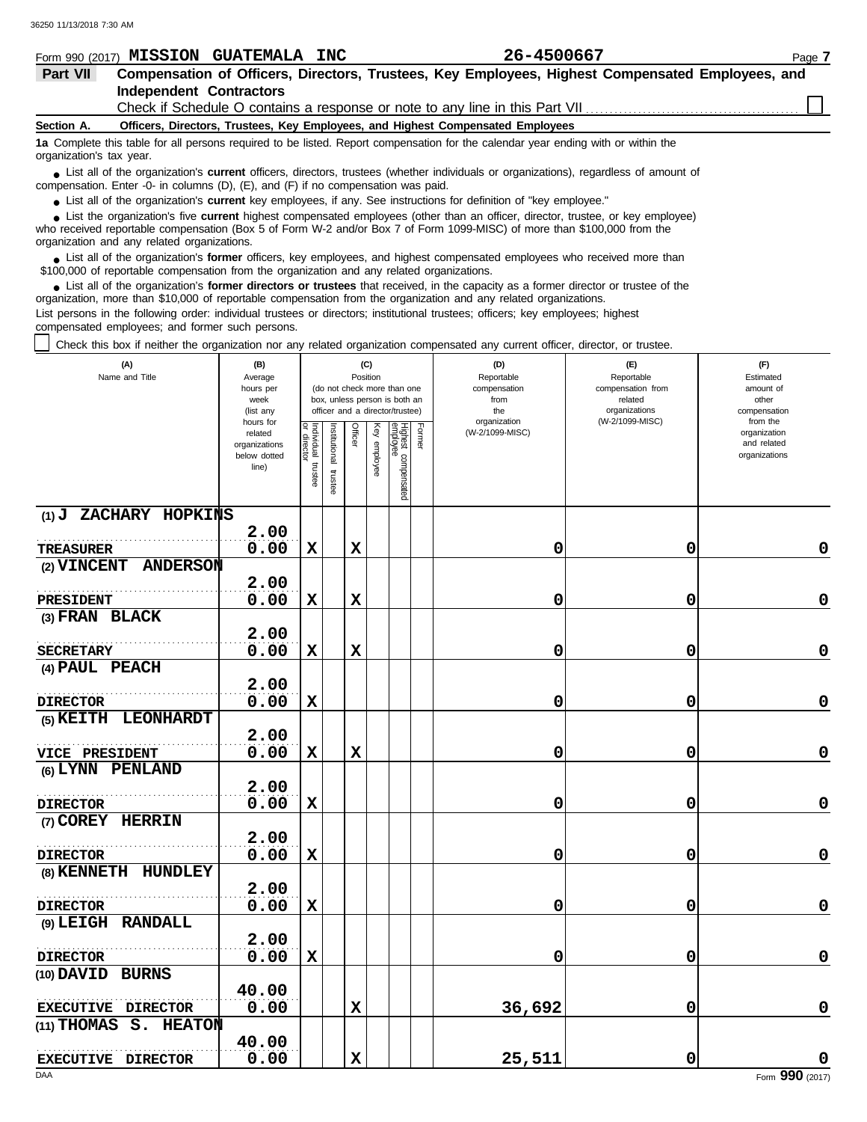|                                                                                                                                                                                                                             | Form 990 (2017) MISSION GUATEMALA INC                                           | 26-4500667                                                                                       | Page 7 |  |  |  |  |  |  |
|-----------------------------------------------------------------------------------------------------------------------------------------------------------------------------------------------------------------------------|---------------------------------------------------------------------------------|--------------------------------------------------------------------------------------------------|--------|--|--|--|--|--|--|
| Part VII                                                                                                                                                                                                                    |                                                                                 | Compensation of Officers, Directors, Trustees, Key Employees, Highest Compensated Employees, and |        |  |  |  |  |  |  |
|                                                                                                                                                                                                                             | <b>Independent Contractors</b>                                                  |                                                                                                  |        |  |  |  |  |  |  |
|                                                                                                                                                                                                                             |                                                                                 |                                                                                                  |        |  |  |  |  |  |  |
| Section A.                                                                                                                                                                                                                  | Officers, Directors, Trustees, Key Employees, and Highest Compensated Employees |                                                                                                  |        |  |  |  |  |  |  |
| 1a Complete this table for all persons required to be listed. Report compensation for the calendar year ending with or within the<br>organization's tax year.                                                               |                                                                                 |                                                                                                  |        |  |  |  |  |  |  |
| • List all of the organization's current officers, directors, trustees (whether individuals or organizations), regardless of amount of<br>compensation. Enter -0- in columns (D), (E), and (F) if no compensation was paid. |                                                                                 |                                                                                                  |        |  |  |  |  |  |  |

● List all of the organization's **current** key employees, if any. See instructions for definition of "key employee."

who received reportable compensation (Box 5 of Form W-2 and/or Box 7 of Form 1099-MISC) of more than \$100,000 from the ■ List the organization's five **current** highest compensated employees (other than an officer, director, trustee, or key employee)<br> **•** Preceived reportable compensation (Box 5 of Form W.2 and/or Box 7 of Form 1000 MISC)

organization and any related organizations.

■ List all of the organization's **former** officers, key employees, and highest compensated employees who received more than<br> **•** 00,000 of reportable compensation from the ergonization and any related ergonizations \$100,000 of reportable compensation from the organization and any related organizations.

■ List all of the organization's **former directors or trustees** that received, in the capacity as a former director or trustee of the<br>paization, more than \$10,000 of reportable compensation from the organization and any r organization, more than \$10,000 of reportable compensation from the organization and any related organizations. List persons in the following order: individual trustees or directors; institutional trustees; officers; key employees; highest compensated employees; and former such persons.

Check this box if neither the organization nor any related organization compensated any current officer, director, or trustee.

| (A)<br>Name and Title                | (B)<br>Average<br>hours per<br>week<br>(list any<br>hours for |                                   |                          | (C)<br>Position |              | (do not check more than one<br>box, unless person is both an<br>officer and a director/trustee) |        | (D)<br>Reportable<br>compensation<br>from<br>the<br>organization | (E)<br>Reportable<br>compensation from<br>related<br>organizations<br>(W-2/1099-MISC) | (F)<br>Estimated<br>amount of<br>other<br>compensation<br>from the |
|--------------------------------------|---------------------------------------------------------------|-----------------------------------|--------------------------|-----------------|--------------|-------------------------------------------------------------------------------------------------|--------|------------------------------------------------------------------|---------------------------------------------------------------------------------------|--------------------------------------------------------------------|
|                                      | related<br>organizations<br>below dotted<br>line)             | Individual trustee<br>or director | Institutional<br>trustee | Officer         | Key employee | Highest compensated<br>employee                                                                 | Former | (W-2/1099-MISC)                                                  |                                                                                       | organization<br>and related<br>organizations                       |
| (1) J ZACHARY HOPKINS                |                                                               |                                   |                          |                 |              |                                                                                                 |        |                                                                  |                                                                                       |                                                                    |
|                                      | 2.00                                                          |                                   |                          |                 |              |                                                                                                 |        |                                                                  |                                                                                       |                                                                    |
| TREASURER                            | 0.00                                                          | X                                 |                          | $\mathbf x$     |              |                                                                                                 |        | 0                                                                | 0                                                                                     | 0                                                                  |
| (2) VINCENT<br>ANDERSON              |                                                               |                                   |                          |                 |              |                                                                                                 |        |                                                                  |                                                                                       |                                                                    |
|                                      | 2.00                                                          |                                   |                          |                 |              |                                                                                                 |        |                                                                  |                                                                                       |                                                                    |
| PRESIDENT                            | 0.00                                                          | $\mathbf x$                       |                          | $\mathbf x$     |              |                                                                                                 |        | 0                                                                | 0                                                                                     | $\pmb{0}$                                                          |
| (3) FRAN BLACK                       | 2.00                                                          |                                   |                          |                 |              |                                                                                                 |        |                                                                  |                                                                                       |                                                                    |
| <b>SECRETARY</b>                     | 0.00                                                          | $\mathbf x$                       |                          | $\mathbf x$     |              |                                                                                                 |        | 0                                                                | 0                                                                                     | $\pmb{0}$                                                          |
| (4) PAUL PEACH                       |                                                               |                                   |                          |                 |              |                                                                                                 |        |                                                                  |                                                                                       |                                                                    |
|                                      | 2.00                                                          |                                   |                          |                 |              |                                                                                                 |        |                                                                  |                                                                                       |                                                                    |
| <b>DIRECTOR</b>                      | 0.00                                                          | $\mathbf x$                       |                          |                 |              |                                                                                                 |        | 0                                                                | 0                                                                                     | $\mathbf 0$                                                        |
| (5) KEITH LEONHARDT                  |                                                               |                                   |                          |                 |              |                                                                                                 |        |                                                                  |                                                                                       |                                                                    |
|                                      | 2.00                                                          |                                   |                          |                 |              |                                                                                                 |        |                                                                  |                                                                                       |                                                                    |
| VICE PRESIDENT                       | 0.00                                                          | $\mathbf x$                       |                          | $\mathbf x$     |              |                                                                                                 |        | 0                                                                | 0                                                                                     | 0                                                                  |
| (6) LYNN PENLAND                     |                                                               |                                   |                          |                 |              |                                                                                                 |        |                                                                  |                                                                                       |                                                                    |
|                                      | 2.00                                                          |                                   |                          |                 |              |                                                                                                 |        |                                                                  |                                                                                       |                                                                    |
| <b>DIRECTOR</b>                      | 0.00                                                          | $\mathbf x$                       |                          |                 |              |                                                                                                 |        | 0                                                                | 0                                                                                     | 0                                                                  |
| (7) COREY HERRIN                     |                                                               |                                   |                          |                 |              |                                                                                                 |        |                                                                  |                                                                                       |                                                                    |
|                                      | 2.00                                                          |                                   |                          |                 |              |                                                                                                 |        |                                                                  |                                                                                       |                                                                    |
| <b>DIRECTOR</b>                      | 0.00                                                          | $\mathbf x$                       |                          |                 |              |                                                                                                 |        | 0                                                                | 0                                                                                     | $\mathbf 0$                                                        |
| (8) KENNETH HUNDLEY                  |                                                               |                                   |                          |                 |              |                                                                                                 |        |                                                                  |                                                                                       |                                                                    |
|                                      | 2.00<br>0.00                                                  | $\mathbf x$                       |                          |                 |              |                                                                                                 |        | 0                                                                | 0                                                                                     | 0                                                                  |
| <b>DIRECTOR</b><br>(9) LEIGH RANDALL |                                                               |                                   |                          |                 |              |                                                                                                 |        |                                                                  |                                                                                       |                                                                    |
|                                      | 2.00                                                          |                                   |                          |                 |              |                                                                                                 |        |                                                                  |                                                                                       |                                                                    |
| <b>DIRECTOR</b>                      | 0.00                                                          | $\mathbf x$                       |                          |                 |              |                                                                                                 |        | 0                                                                | 0                                                                                     | 0                                                                  |
| (10) DAVID BURNS                     |                                                               |                                   |                          |                 |              |                                                                                                 |        |                                                                  |                                                                                       |                                                                    |
|                                      | 40.00                                                         |                                   |                          |                 |              |                                                                                                 |        |                                                                  |                                                                                       |                                                                    |
| EXECUTIVE DIRECTOR                   | 0.00                                                          |                                   |                          | $\mathbf x$     |              |                                                                                                 |        | 36,692                                                           | 0                                                                                     | 0                                                                  |
| S. HEATON<br>(11) THOMAS             |                                                               |                                   |                          |                 |              |                                                                                                 |        |                                                                  |                                                                                       |                                                                    |
|                                      | 40.00                                                         |                                   |                          |                 |              |                                                                                                 |        |                                                                  |                                                                                       |                                                                    |
| EXECUTIVE DIRECTOR                   | 0.00                                                          |                                   |                          | $\mathbf x$     |              |                                                                                                 |        | 25,511                                                           | 0                                                                                     | O                                                                  |
| DAA                                  |                                                               |                                   |                          |                 |              |                                                                                                 |        |                                                                  |                                                                                       | Form 990 (2017)                                                    |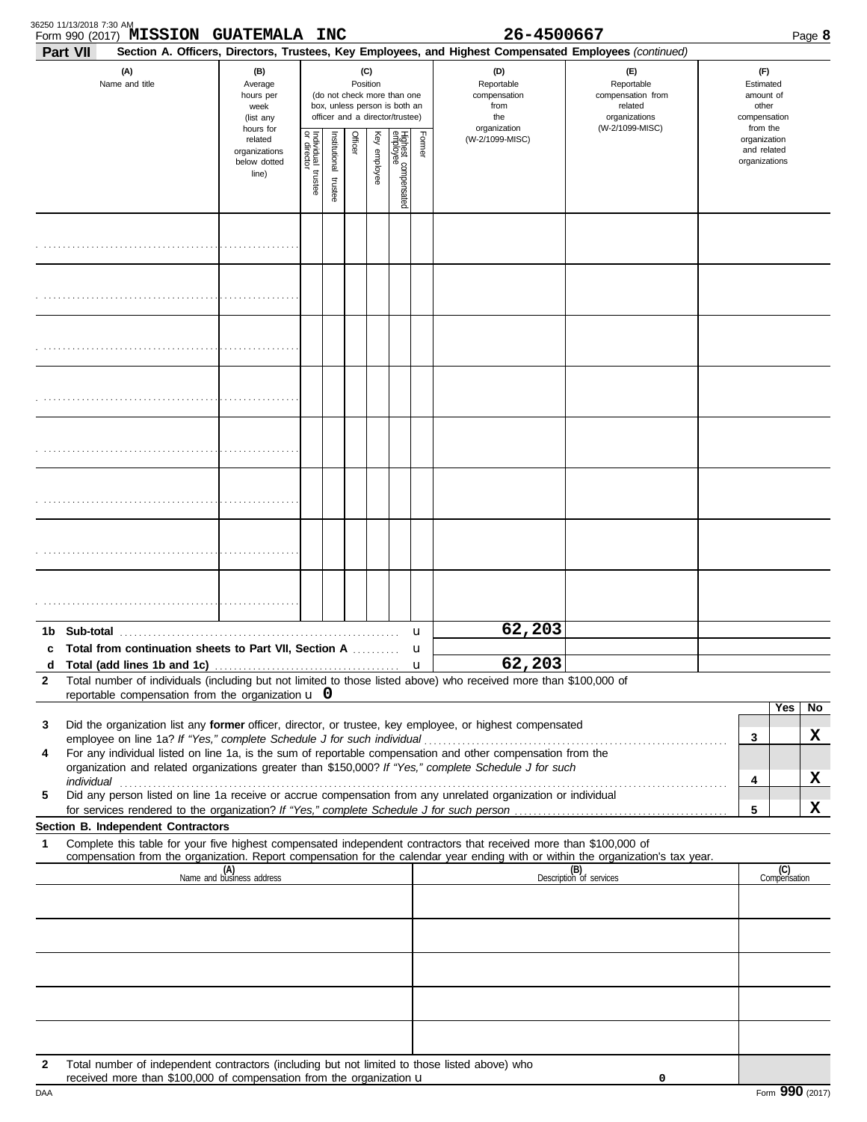| Part VII              | Form 990 (2017) MISSION GUATEMALA INC                                                                                                                                 |                                                                |                         |                          |         |                 |                                                                                                 |        | 26-4500667<br>Section A. Officers, Directors, Trustees, Key Employees, and Highest Compensated Employees (continued) |                                                                                                                                  |                                                          | Page 8              |
|-----------------------|-----------------------------------------------------------------------------------------------------------------------------------------------------------------------|----------------------------------------------------------------|-------------------------|--------------------------|---------|-----------------|-------------------------------------------------------------------------------------------------|--------|----------------------------------------------------------------------------------------------------------------------|----------------------------------------------------------------------------------------------------------------------------------|----------------------------------------------------------|---------------------|
| (A)<br>Name and title |                                                                                                                                                                       | (B)<br>Average<br>hours per<br>week<br>(list any               |                         |                          |         | (C)<br>Position | (do not check more than one<br>box, unless person is both an<br>officer and a director/trustee) |        | (D)<br>Reportable<br>compensation<br>from<br>the                                                                     | $(\mathsf{F})$<br>Reportable<br>compensation from<br>related<br>organizations                                                    | (F)<br>Estimated<br>amount of<br>other<br>compensation   |                     |
|                       |                                                                                                                                                                       | hours for<br>related<br>organizations<br>below dotted<br>line) | Individual 1<br>trustee | Institutional<br>trustee | Officer | Key employee    | Highest compensated<br>employee                                                                 | Former | organization<br>(W-2/1099-MISC)                                                                                      | (W-2/1099-MISC)                                                                                                                  | from the<br>organization<br>and related<br>organizations |                     |
|                       |                                                                                                                                                                       |                                                                |                         |                          |         |                 |                                                                                                 |        |                                                                                                                      |                                                                                                                                  |                                                          |                     |
|                       |                                                                                                                                                                       |                                                                |                         |                          |         |                 |                                                                                                 |        |                                                                                                                      |                                                                                                                                  |                                                          |                     |
|                       |                                                                                                                                                                       |                                                                |                         |                          |         |                 |                                                                                                 |        |                                                                                                                      |                                                                                                                                  |                                                          |                     |
|                       |                                                                                                                                                                       |                                                                |                         |                          |         |                 |                                                                                                 |        |                                                                                                                      |                                                                                                                                  |                                                          |                     |
|                       |                                                                                                                                                                       |                                                                |                         |                          |         |                 |                                                                                                 |        |                                                                                                                      |                                                                                                                                  |                                                          |                     |
|                       |                                                                                                                                                                       |                                                                |                         |                          |         |                 |                                                                                                 |        |                                                                                                                      |                                                                                                                                  |                                                          |                     |
|                       |                                                                                                                                                                       |                                                                |                         |                          |         |                 |                                                                                                 |        |                                                                                                                      |                                                                                                                                  |                                                          |                     |
|                       |                                                                                                                                                                       |                                                                |                         |                          |         |                 |                                                                                                 |        |                                                                                                                      |                                                                                                                                  |                                                          |                     |
|                       | Total from continuation sheets to Part VII, Section A                                                                                                                 |                                                                |                         |                          |         |                 |                                                                                                 | u      | 62,203                                                                                                               |                                                                                                                                  |                                                          |                     |
| d                     |                                                                                                                                                                       |                                                                |                         |                          |         |                 |                                                                                                 |        | 62, 203                                                                                                              |                                                                                                                                  |                                                          |                     |
| $\mathbf{2}$          |                                                                                                                                                                       |                                                                |                         |                          |         |                 |                                                                                                 |        | Total number of individuals (including but not limited to those listed above) who received more than \$100,000 of    |                                                                                                                                  |                                                          |                     |
|                       | reportable compensation from the organization $\bf{u}$ 0                                                                                                              |                                                                |                         |                          |         |                 |                                                                                                 |        |                                                                                                                      |                                                                                                                                  |                                                          | Yes<br>No           |
| 3                     |                                                                                                                                                                       |                                                                |                         |                          |         |                 |                                                                                                 |        | Did the organization list any former officer, director, or trustee, key employee, or highest compensated             |                                                                                                                                  |                                                          |                     |
| 4                     |                                                                                                                                                                       |                                                                |                         |                          |         |                 |                                                                                                 |        | For any individual listed on line 1a, is the sum of reportable compensation and other compensation from the          |                                                                                                                                  | 3                                                        | x                   |
|                       |                                                                                                                                                                       |                                                                |                         |                          |         |                 |                                                                                                 |        | organization and related organizations greater than \$150,000? If "Yes," complete Schedule J for such                |                                                                                                                                  | 4                                                        | X                   |
| 5                     |                                                                                                                                                                       |                                                                |                         |                          |         |                 |                                                                                                 |        | Did any person listed on line 1a receive or accrue compensation from any unrelated organization or individual        |                                                                                                                                  |                                                          |                     |
|                       |                                                                                                                                                                       |                                                                |                         |                          |         |                 |                                                                                                 |        |                                                                                                                      |                                                                                                                                  | 5                                                        | x                   |
| 1                     | Section B. Independent Contractors                                                                                                                                    |                                                                |                         |                          |         |                 |                                                                                                 |        | Complete this table for your five highest compensated independent contractors that received more than \$100,000 of   |                                                                                                                                  |                                                          |                     |
|                       |                                                                                                                                                                       |                                                                |                         |                          |         |                 |                                                                                                 |        |                                                                                                                      | compensation from the organization. Report compensation for the calendar year ending with or within the organization's tax year. |                                                          |                     |
|                       |                                                                                                                                                                       | (A)<br>Name and business address                               |                         |                          |         |                 |                                                                                                 |        |                                                                                                                      | (B)<br>Description of services                                                                                                   |                                                          | (C)<br>Compensation |
|                       |                                                                                                                                                                       |                                                                |                         |                          |         |                 |                                                                                                 |        |                                                                                                                      |                                                                                                                                  |                                                          |                     |
|                       |                                                                                                                                                                       |                                                                |                         |                          |         |                 |                                                                                                 |        |                                                                                                                      |                                                                                                                                  |                                                          |                     |
|                       |                                                                                                                                                                       |                                                                |                         |                          |         |                 |                                                                                                 |        |                                                                                                                      |                                                                                                                                  |                                                          |                     |
|                       |                                                                                                                                                                       |                                                                |                         |                          |         |                 |                                                                                                 |        |                                                                                                                      |                                                                                                                                  |                                                          |                     |
|                       |                                                                                                                                                                       |                                                                |                         |                          |         |                 |                                                                                                 |        |                                                                                                                      |                                                                                                                                  |                                                          |                     |
| $\mathbf{2}$          | Total number of independent contractors (including but not limited to those listed above) who<br>received more than \$100,000 of compensation from the organization u |                                                                |                         |                          |         |                 |                                                                                                 |        |                                                                                                                      | 0                                                                                                                                |                                                          |                     |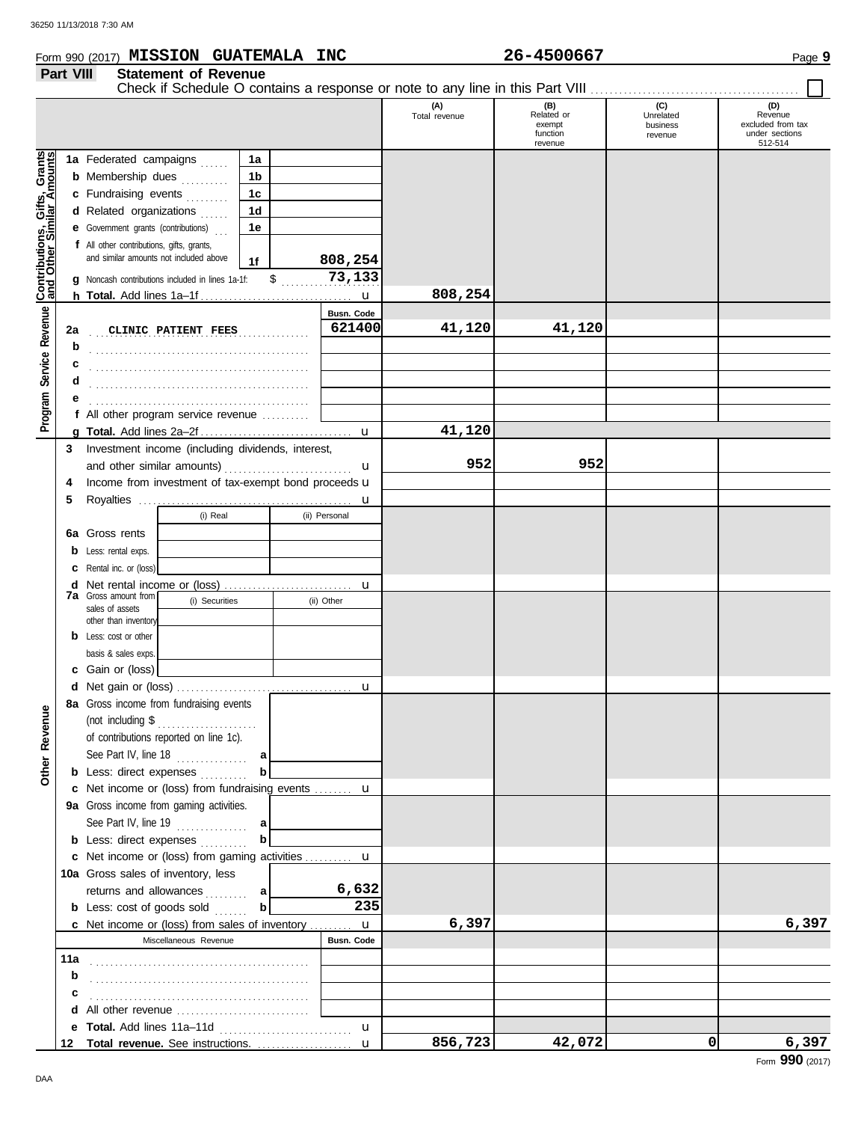|                                 | Form 990 (2017) MISSION GUATEMALA INC<br><b>Part VIII</b><br><b>Statement of Revenue</b>               |               |                      | 26-4500667                                         |                                         | Page 9                                                           |
|---------------------------------|--------------------------------------------------------------------------------------------------------|---------------|----------------------|----------------------------------------------------|-----------------------------------------|------------------------------------------------------------------|
|                                 |                                                                                                        |               |                      |                                                    |                                         |                                                                  |
|                                 |                                                                                                        |               | (A)<br>Total revenue | (B)<br>Related or<br>exempt<br>function<br>revenue | (C)<br>Unrelated<br>business<br>revenue | (D)<br>Revenue<br>excluded from tax<br>under sections<br>512-514 |
| Grants                          | 1a Federated campaigns<br>1a                                                                           |               |                      |                                                    |                                         |                                                                  |
|                                 | <b>b</b> Membership dues<br>1b                                                                         |               |                      |                                                    |                                         |                                                                  |
| Gifts, Grand                    | c Fundraising events<br>1c                                                                             |               |                      |                                                    |                                         |                                                                  |
|                                 | d Related organizations<br>1 <sub>d</sub>                                                              |               |                      |                                                    |                                         |                                                                  |
|                                 | e Government grants (contributions)<br>1e                                                              |               |                      |                                                    |                                         |                                                                  |
| Contributions,<br>and Other Sim | f All other contributions, gifts, grants,                                                              |               |                      |                                                    |                                         |                                                                  |
|                                 | and similar amounts not included above<br>1f                                                           | 808,254       |                      |                                                    |                                         |                                                                  |
|                                 | \$<br>g Noncash contributions included in lines 1a-1f:                                                 | 73,133        |                      |                                                    |                                         |                                                                  |
|                                 |                                                                                                        |               | 808,254              |                                                    |                                         |                                                                  |
|                                 |                                                                                                        | Busn. Code    |                      |                                                    |                                         |                                                                  |
| 2a                              | CLINIC PATIENT FEES                                                                                    | 621400        | 41,120               | 41,120                                             |                                         |                                                                  |
| b                               |                                                                                                        |               |                      |                                                    |                                         |                                                                  |
| c                               |                                                                                                        |               |                      |                                                    |                                         |                                                                  |
| d                               |                                                                                                        |               |                      |                                                    |                                         |                                                                  |
|                                 |                                                                                                        |               |                      |                                                    |                                         |                                                                  |
|                                 | f All other program service revenue                                                                    |               |                      |                                                    |                                         |                                                                  |
|                                 |                                                                                                        |               | 41,120               |                                                    |                                         |                                                                  |
|                                 | 3 Investment income (including dividends, interest,                                                    |               |                      |                                                    |                                         |                                                                  |
|                                 | and other similar amounts)                                                                             | u             | 952                  | 952                                                |                                         |                                                                  |
| 4                               | Income from investment of tax-exempt bond proceeds u                                                   |               |                      |                                                    |                                         |                                                                  |
| 5                               |                                                                                                        |               |                      |                                                    |                                         |                                                                  |
|                                 | (i) Real                                                                                               | (ii) Personal |                      |                                                    |                                         |                                                                  |
|                                 | 6a Gross rents                                                                                         |               |                      |                                                    |                                         |                                                                  |
|                                 | <b>b</b> Less: rental exps.                                                                            |               |                      |                                                    |                                         |                                                                  |
|                                 | <b>c</b> Rental inc. or (loss)                                                                         |               |                      |                                                    |                                         |                                                                  |
|                                 | <b>7a</b> Gross amount from                                                                            |               |                      |                                                    |                                         |                                                                  |
|                                 | (i) Securities<br>sales of assets                                                                      | (ii) Other    |                      |                                                    |                                         |                                                                  |
|                                 | other than inventory                                                                                   |               |                      |                                                    |                                         |                                                                  |
|                                 | <b>b</b> Less: cost or other                                                                           |               |                      |                                                    |                                         |                                                                  |
|                                 | basis & sales exps.                                                                                    |               |                      |                                                    |                                         |                                                                  |
|                                 | c Gain or $(\text{loss})$                                                                              |               |                      |                                                    |                                         |                                                                  |
|                                 |                                                                                                        |               |                      |                                                    |                                         |                                                                  |
|                                 | 8a Gross income from fundraising events                                                                |               |                      |                                                    |                                         |                                                                  |
|                                 | (not including \$<br>.                                                                                 |               |                      |                                                    |                                         |                                                                  |
|                                 | of contributions reported on line 1c).                                                                 |               |                      |                                                    |                                         |                                                                  |
|                                 |                                                                                                        |               |                      |                                                    |                                         |                                                                  |
|                                 |                                                                                                        |               |                      |                                                    |                                         |                                                                  |
|                                 | <b>b</b> Less: direct expenses<br>b                                                                    |               |                      |                                                    |                                         |                                                                  |
|                                 | c Net income or (loss) from fundraising events  u                                                      |               |                      |                                                    |                                         |                                                                  |
|                                 | 9a Gross income from gaming activities.                                                                |               |                      |                                                    |                                         |                                                                  |
|                                 | See Part IV, line 19 $\ldots$ a                                                                        |               |                      |                                                    |                                         |                                                                  |
|                                 | $\mathbf b$<br><b>b</b> Less: direct expenses                                                          |               |                      |                                                    |                                         |                                                                  |
|                                 | c Net income or (loss) from gaming activities  u                                                       |               |                      |                                                    |                                         |                                                                  |
|                                 | 10a Gross sales of inventory, less                                                                     |               |                      |                                                    |                                         |                                                                  |
|                                 | returns and allowances  a                                                                              | 6,632         |                      |                                                    |                                         |                                                                  |
|                                 | <b>b</b> Less: cost of goods sold<br>$\mathbf{b}$<br>c Net income or (loss) from sales of inventory  u | 235           | 6,397                |                                                    |                                         | 6,397                                                            |

u

u

**b** . . . . . . . . . . . . . . . . . . . . . . . . . . . . . . . . . . . . . . . . . . . . . . **c** . . . . . . . . . . . . . . . . . . . . . . . . . . . . . . . . . . . . . . . . . . . . . . **d** All other revenue .............................. **e Total.** Add lines 11a–11d . . . . . . . . . . . . . . . . . . . . . . . . . . . . **Total revenue.** See instructions. . . . . . . . . . . . . . . . . . . . . **12**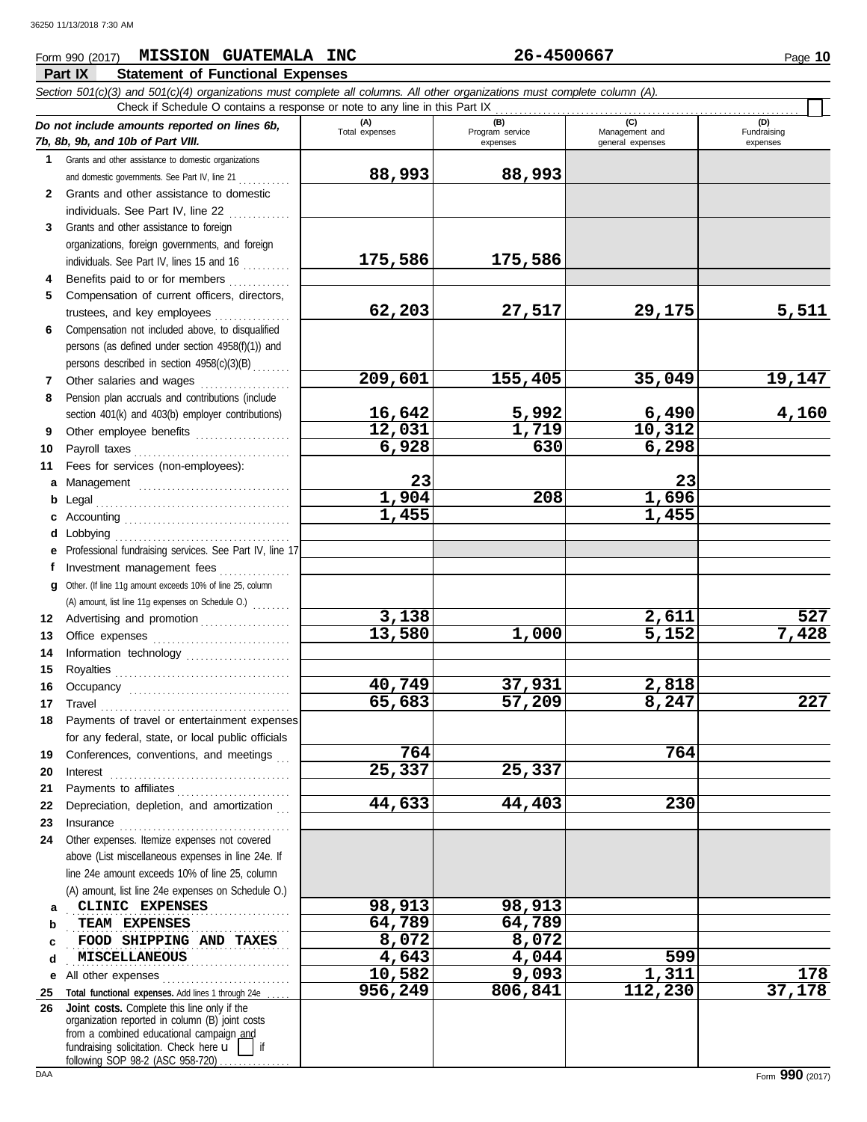## **Part IX Statement of Functional Expenses** Form 990 (2017) Page **10 MISSION GUATEMALA INC 26-4500667**

|              | Section 501(c)(3) and 501(c)(4) organizations must complete all columns. All other organizations must complete column (A).<br>Check if Schedule O contains a response or note to any line in this Part IX                                                                                                                                                                                                                                                                                                                   |                  |                             |                                    |                         |  |  |  |  |
|--------------|-----------------------------------------------------------------------------------------------------------------------------------------------------------------------------------------------------------------------------------------------------------------------------------------------------------------------------------------------------------------------------------------------------------------------------------------------------------------------------------------------------------------------------|------------------|-----------------------------|------------------------------------|-------------------------|--|--|--|--|
|              | Do not include amounts reported on lines 6b,                                                                                                                                                                                                                                                                                                                                                                                                                                                                                | (A)              | (B)                         | (C)                                | (D)                     |  |  |  |  |
|              | 7b, 8b, 9b, and 10b of Part VIII.                                                                                                                                                                                                                                                                                                                                                                                                                                                                                           | Total expenses   | Program service<br>expenses | Management and<br>general expenses | Fundraising<br>expenses |  |  |  |  |
|              | 1 Grants and other assistance to domestic organizations                                                                                                                                                                                                                                                                                                                                                                                                                                                                     |                  |                             |                                    |                         |  |  |  |  |
|              | and domestic governments. See Part IV, line 21                                                                                                                                                                                                                                                                                                                                                                                                                                                                              | 88,993           | 88,993                      |                                    |                         |  |  |  |  |
| $\mathbf{2}$ | Grants and other assistance to domestic                                                                                                                                                                                                                                                                                                                                                                                                                                                                                     |                  |                             |                                    |                         |  |  |  |  |
|              | individuals. See Part IV, line 22                                                                                                                                                                                                                                                                                                                                                                                                                                                                                           |                  |                             |                                    |                         |  |  |  |  |
| 3            | Grants and other assistance to foreign                                                                                                                                                                                                                                                                                                                                                                                                                                                                                      |                  |                             |                                    |                         |  |  |  |  |
|              | organizations, foreign governments, and foreign                                                                                                                                                                                                                                                                                                                                                                                                                                                                             |                  |                             |                                    |                         |  |  |  |  |
|              | individuals. See Part IV, lines 15 and 16                                                                                                                                                                                                                                                                                                                                                                                                                                                                                   | 175,586          | 175,586                     |                                    |                         |  |  |  |  |
| 4            | Benefits paid to or for members                                                                                                                                                                                                                                                                                                                                                                                                                                                                                             |                  |                             |                                    |                         |  |  |  |  |
| 5            | Compensation of current officers, directors,                                                                                                                                                                                                                                                                                                                                                                                                                                                                                |                  |                             |                                    |                         |  |  |  |  |
|              | trustees, and key employees                                                                                                                                                                                                                                                                                                                                                                                                                                                                                                 | 62,203           | 27,517                      | 29,175                             | 5,511                   |  |  |  |  |
| 6            | Compensation not included above, to disqualified                                                                                                                                                                                                                                                                                                                                                                                                                                                                            |                  |                             |                                    |                         |  |  |  |  |
|              | persons (as defined under section 4958(f)(1)) and                                                                                                                                                                                                                                                                                                                                                                                                                                                                           |                  |                             |                                    |                         |  |  |  |  |
|              | persons described in section 4958(c)(3)(B)                                                                                                                                                                                                                                                                                                                                                                                                                                                                                  |                  |                             |                                    |                         |  |  |  |  |
| 7            | Other salaries and wages                                                                                                                                                                                                                                                                                                                                                                                                                                                                                                    | 209,601          | 155,405                     | 35,049                             | 19,147                  |  |  |  |  |
| 8            | Pension plan accruals and contributions (include                                                                                                                                                                                                                                                                                                                                                                                                                                                                            |                  |                             |                                    |                         |  |  |  |  |
|              | section 401(k) and 403(b) employer contributions)                                                                                                                                                                                                                                                                                                                                                                                                                                                                           | 16,642           | 5,992                       | 6,490                              | 4,160                   |  |  |  |  |
| 9            | Other employee benefits                                                                                                                                                                                                                                                                                                                                                                                                                                                                                                     | 12,031           | $\overline{1,719}$          | 10,312                             |                         |  |  |  |  |
| 10           |                                                                                                                                                                                                                                                                                                                                                                                                                                                                                                                             | 6,928            | 630                         | 6,298                              |                         |  |  |  |  |
| 11           | Fees for services (non-employees):                                                                                                                                                                                                                                                                                                                                                                                                                                                                                          | 23               |                             |                                    |                         |  |  |  |  |
| a            |                                                                                                                                                                                                                                                                                                                                                                                                                                                                                                                             | 1,904            | 208                         | 23<br>1,696                        |                         |  |  |  |  |
| b            |                                                                                                                                                                                                                                                                                                                                                                                                                                                                                                                             | 1,455            |                             | 1,455                              |                         |  |  |  |  |
|              |                                                                                                                                                                                                                                                                                                                                                                                                                                                                                                                             |                  |                             |                                    |                         |  |  |  |  |
|              | Professional fundraising services. See Part IV, line 17                                                                                                                                                                                                                                                                                                                                                                                                                                                                     |                  |                             |                                    |                         |  |  |  |  |
|              | Investment management fees                                                                                                                                                                                                                                                                                                                                                                                                                                                                                                  |                  |                             |                                    |                         |  |  |  |  |
| g            | Other. (If line 11g amount exceeds 10% of line 25, column                                                                                                                                                                                                                                                                                                                                                                                                                                                                   |                  |                             |                                    |                         |  |  |  |  |
|              | (A) amount, list line 11g expenses on Schedule O.)                                                                                                                                                                                                                                                                                                                                                                                                                                                                          |                  |                             |                                    |                         |  |  |  |  |
| 12           | Advertising and promotion                                                                                                                                                                                                                                                                                                                                                                                                                                                                                                   | 3,138            |                             | 2,611                              | 527                     |  |  |  |  |
| 13           |                                                                                                                                                                                                                                                                                                                                                                                                                                                                                                                             | 13,580           | 1,000                       | 5,152                              | 7,428                   |  |  |  |  |
| 14           | Information technology                                                                                                                                                                                                                                                                                                                                                                                                                                                                                                      |                  |                             |                                    |                         |  |  |  |  |
| 15           |                                                                                                                                                                                                                                                                                                                                                                                                                                                                                                                             |                  |                             |                                    |                         |  |  |  |  |
| 16           |                                                                                                                                                                                                                                                                                                                                                                                                                                                                                                                             | 40,749           | 37,931                      | 2,818                              |                         |  |  |  |  |
| 17           | $\begin{minipage}[c]{0.9\linewidth} \begin{tabular}{l} \textbf{True} \end{tabular} \end{minipage} \begin{minipage}[c]{0.9\linewidth} \begin{tabular}{l} \textbf{True} \end{tabular} \end{minipage} \end{minipage} \begin{minipage}[c]{0.9\linewidth} \begin{tabular}{l} \textbf{True} \end{tabular} \end{minipage} \end{minipage} \begin{minipage}[c]{0.9\linewidth} \begin{tabular}{l} \textbf{True} \end{tabular} \end{minipage} \end{minipage} \begin{minipage}[c]{0.9\linewidth} \begin{tabular}{l} \textbf{True} \end$ | 65, 683          | 57,209                      | 8,247                              | 227                     |  |  |  |  |
| 18           | Payments of travel or entertainment expenses                                                                                                                                                                                                                                                                                                                                                                                                                                                                                |                  |                             |                                    |                         |  |  |  |  |
|              | for any federal, state, or local public officials                                                                                                                                                                                                                                                                                                                                                                                                                                                                           |                  |                             |                                    |                         |  |  |  |  |
| 19           | Conferences, conventions, and meetings                                                                                                                                                                                                                                                                                                                                                                                                                                                                                      | 764              |                             | 764                                |                         |  |  |  |  |
| 20           | Interest                                                                                                                                                                                                                                                                                                                                                                                                                                                                                                                    | 25,337           | 25,337                      |                                    |                         |  |  |  |  |
| 21           |                                                                                                                                                                                                                                                                                                                                                                                                                                                                                                                             |                  |                             |                                    |                         |  |  |  |  |
| 22           | Depreciation, depletion, and amortization                                                                                                                                                                                                                                                                                                                                                                                                                                                                                   | 44,633           | 44,403                      | 230                                |                         |  |  |  |  |
| 23           |                                                                                                                                                                                                                                                                                                                                                                                                                                                                                                                             |                  |                             |                                    |                         |  |  |  |  |
| 24           | Other expenses. Itemize expenses not covered                                                                                                                                                                                                                                                                                                                                                                                                                                                                                |                  |                             |                                    |                         |  |  |  |  |
|              | above (List miscellaneous expenses in line 24e. If                                                                                                                                                                                                                                                                                                                                                                                                                                                                          |                  |                             |                                    |                         |  |  |  |  |
|              | line 24e amount exceeds 10% of line 25, column                                                                                                                                                                                                                                                                                                                                                                                                                                                                              |                  |                             |                                    |                         |  |  |  |  |
|              | (A) amount, list line 24e expenses on Schedule O.)                                                                                                                                                                                                                                                                                                                                                                                                                                                                          |                  |                             |                                    |                         |  |  |  |  |
| а            | CLINIC EXPENSES                                                                                                                                                                                                                                                                                                                                                                                                                                                                                                             | 98,913<br>64,789 | 98,913<br>64,789            |                                    |                         |  |  |  |  |
| b            | TEAM EXPENSES<br>FOOD SHIPPING AND TAXES                                                                                                                                                                                                                                                                                                                                                                                                                                                                                    | 8,072            | 8,072                       |                                    |                         |  |  |  |  |
| c<br>d       | <b>MISCELLANEOUS</b>                                                                                                                                                                                                                                                                                                                                                                                                                                                                                                        | 4,643            | 4,044                       | 599                                |                         |  |  |  |  |
|              |                                                                                                                                                                                                                                                                                                                                                                                                                                                                                                                             | 10,582           | 9,093                       | 1,311                              | 178                     |  |  |  |  |
| е<br>25      | All other expenses <b>Manual</b> State of the state of the state of the state of the state of the state of the state of<br>Total functional expenses. Add lines 1 through 24e                                                                                                                                                                                                                                                                                                                                               | 956,249          | 806,841                     | 112,230                            | 37,178                  |  |  |  |  |
| 26           | Joint costs. Complete this line only if the                                                                                                                                                                                                                                                                                                                                                                                                                                                                                 |                  |                             |                                    |                         |  |  |  |  |
|              | organization reported in column (B) joint costs                                                                                                                                                                                                                                                                                                                                                                                                                                                                             |                  |                             |                                    |                         |  |  |  |  |
|              | from a combined educational campaign and<br>fundraising solicitation. Check here $\mathbf{u}$<br>if                                                                                                                                                                                                                                                                                                                                                                                                                         |                  |                             |                                    |                         |  |  |  |  |

following SOP 98-2 (ASC 958-720) . . . . . . . . . . . . .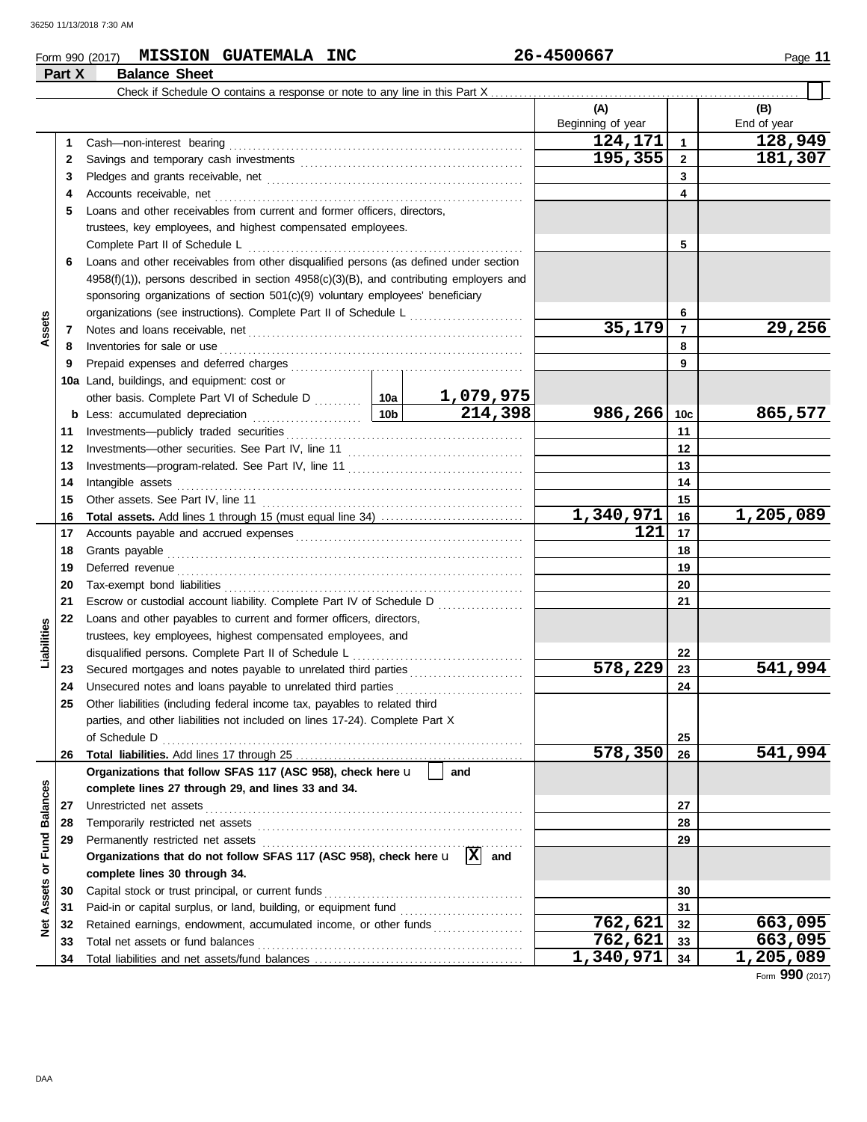### Form 990 (2017) Page **11 MISSION GUATEMALA INC 26-4500667 Part X Balance Sheet**

|                 |          | Check if Schedule O contains a response or note to any line in this Part X                                                                                                                                                          |  |         |                   |                |             |
|-----------------|----------|-------------------------------------------------------------------------------------------------------------------------------------------------------------------------------------------------------------------------------------|--|---------|-------------------|----------------|-------------|
|                 |          |                                                                                                                                                                                                                                     |  |         | (A)               |                | (B)         |
|                 |          |                                                                                                                                                                                                                                     |  |         | Beginning of year |                | End of year |
|                 | 1        |                                                                                                                                                                                                                                     |  |         | 124,171           | $\mathbf{1}$   | 128,949     |
|                 | 2        |                                                                                                                                                                                                                                     |  |         | 195,355           | $\mathbf{2}$   | 181,307     |
|                 | 3        |                                                                                                                                                                                                                                     |  |         |                   | 3              |             |
|                 | 4        |                                                                                                                                                                                                                                     |  |         |                   | 4              |             |
|                 | 5        | Loans and other receivables from current and former officers, directors,                                                                                                                                                            |  |         |                   |                |             |
|                 |          | trustees, key employees, and highest compensated employees.                                                                                                                                                                         |  |         |                   |                |             |
|                 |          |                                                                                                                                                                                                                                     |  |         |                   | 5              |             |
|                 | 6        | Loans and other receivables from other disqualified persons (as defined under section                                                                                                                                               |  |         |                   |                |             |
|                 |          | $4958(f)(1)$ ), persons described in section $4958(c)(3)(B)$ , and contributing employers and                                                                                                                                       |  |         |                   |                |             |
|                 |          | sponsoring organizations of section 501(c)(9) voluntary employees' beneficiary                                                                                                                                                      |  |         |                   |                |             |
|                 |          | organizations (see instructions). Complete Part II of Schedule L                                                                                                                                                                    |  |         |                   | 6              |             |
| Assets          | 7        |                                                                                                                                                                                                                                     |  |         | 35,179            | $\overline{7}$ | 29,256      |
|                 | 8        | Inventories for sale or use <i>communication</i> and the state or use of the contract of the state or use of the state or the state or the state or the state or the state or the state of the state or the state or the state or t |  |         |                   | 8              |             |
|                 | 9        |                                                                                                                                                                                                                                     |  |         |                   | 9              |             |
|                 |          | 10a Land, buildings, and equipment: cost or                                                                                                                                                                                         |  |         |                   |                |             |
|                 |          |                                                                                                                                                                                                                                     |  |         |                   |                |             |
|                 |          |                                                                                                                                                                                                                                     |  | 214,398 | 986,266           | 10c            | 865,577     |
|                 | 11       |                                                                                                                                                                                                                                     |  |         |                   | 11             |             |
|                 | 12       |                                                                                                                                                                                                                                     |  |         | $12 \,$           |                |             |
|                 | 13       |                                                                                                                                                                                                                                     |  |         | 13                |                |             |
|                 | 14       | Intangible assets with a state of the contract of the state of the state of the state of the state of the state of the state of the state of the state of the state of the state of the state of the state of the state of the      |  |         | 14                |                |             |
|                 | 15       |                                                                                                                                                                                                                                     |  |         |                   | 15             |             |
|                 | 16       | Total assets. Add lines 1 through 15 (must equal line 34)                                                                                                                                                                           |  |         | 1,340,971         | 16             | 1,205,089   |
|                 | 17       |                                                                                                                                                                                                                                     |  | 121     | 17                |                |             |
|                 | 18       | Grants payable                                                                                                                                                                                                                      |  |         | 18                |                |             |
|                 | 19       |                                                                                                                                                                                                                                     |  | 19      |                   |                |             |
|                 | 20       |                                                                                                                                                                                                                                     |  |         |                   | 20             |             |
|                 | 21       | Escrow or custodial account liability. Complete Part IV of Schedule D                                                                                                                                                               |  |         |                   | 21             |             |
|                 | 22       | Loans and other payables to current and former officers, directors,                                                                                                                                                                 |  |         |                   |                |             |
| Liabilities     |          | trustees, key employees, highest compensated employees, and                                                                                                                                                                         |  |         |                   |                |             |
|                 |          | disqualified persons. Complete Part II of Schedule L                                                                                                                                                                                |  |         |                   | 22             |             |
|                 | 23       | Secured mortgages and notes payable to unrelated third parties [111] Secured mortgages and notes payable to unrelated third parties                                                                                                 |  |         | 578,229           | 23             | 541,994     |
|                 | 24       |                                                                                                                                                                                                                                     |  |         |                   | 24             |             |
|                 | 25       | Other liabilities (including federal income tax, payables to related third                                                                                                                                                          |  |         |                   |                |             |
|                 |          | parties, and other liabilities not included on lines 17-24). Complete Part X                                                                                                                                                        |  |         |                   |                |             |
|                 |          | of Schedule D                                                                                                                                                                                                                       |  |         |                   | 25             |             |
|                 | 26       |                                                                                                                                                                                                                                     |  |         | 578,350           | 26             | 541,994     |
|                 |          | Organizations that follow SFAS 117 (ASC 958), check here u                                                                                                                                                                          |  | and     |                   |                |             |
|                 |          | complete lines 27 through 29, and lines 33 and 34.                                                                                                                                                                                  |  |         |                   | 27             |             |
| <b>Balances</b> | 27       | Unrestricted net assets                                                                                                                                                                                                             |  |         |                   | 28             |             |
|                 | 28<br>29 | Permanently restricted net assets                                                                                                                                                                                                   |  |         |                   | 29             |             |
| or Fund         |          | Organizations that do not follow SFAS 117 (ASC 958), check here u  X                                                                                                                                                                |  | and     |                   |                |             |
|                 |          | complete lines 30 through 34.                                                                                                                                                                                                       |  |         |                   |                |             |
|                 | 30       | Capital stock or trust principal, or current funds                                                                                                                                                                                  |  |         |                   | 30             |             |
| Assets          | 31       |                                                                                                                                                                                                                                     |  |         |                   | 31             |             |
|                 | 32       | Retained earnings, endowment, accumulated income, or other funds                                                                                                                                                                    |  |         | 762,621           | 32             | 663,095     |
| ğ               | 33       | Total net assets or fund balances                                                                                                                                                                                                   |  |         | 762,621           | 33             | 663,095     |
|                 | 34       |                                                                                                                                                                                                                                     |  |         | 1,340,971         | 34             | 1,205,089   |

Form **990** (2017)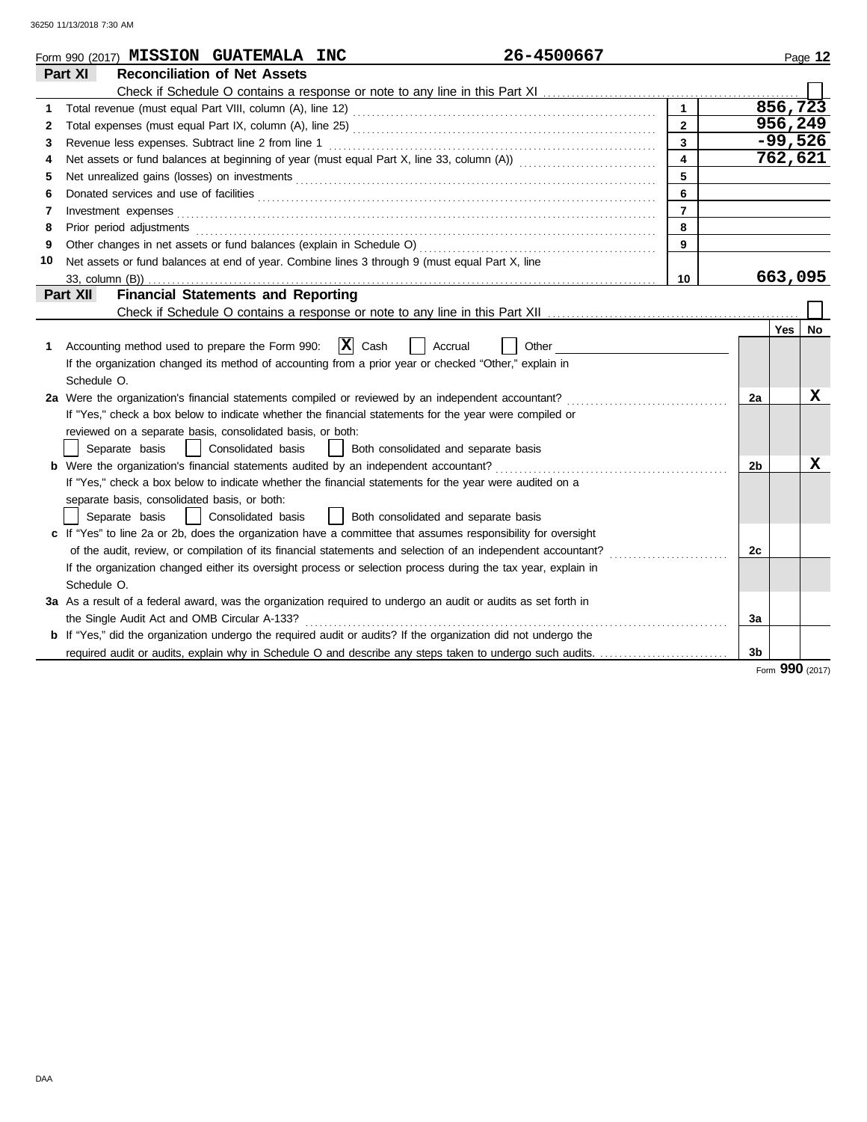| Part XI<br><b>Reconciliation of Net Assets</b><br>856, 723<br>$\mathbf{1}$<br>Total revenue (must equal Part VIII, column (A), line 12) [2010] [2010] [2010] [2010] [2010] [2010] [2010] [20<br>1<br>956,249<br>$\overline{2}$<br>2<br>$-99,526$<br>$\overline{\mathbf{3}}$<br>Revenue less expenses. Subtract line 2 from line 1<br>3<br>762,621<br>$\overline{\mathbf{4}}$<br>4<br>5<br>5<br>6<br>Donated services and use of facilities <b>constructs</b> and a service of the service of the service of the service of the service of the service of the service of the service of the service of the service of the service of the<br>6<br>$\overline{7}$<br>Investment expenses <b>contract and intervention contract and intervention contract and intervention contract and intervention contract and intervention contract and intervention contract and intervention contract and interv</b><br>7<br>8<br>Prior period adjustments entertainments and a series of the series of the series of the series of the series of the series of the series of the series of the series of the series of the series of the series of the series o<br>8<br>9<br>9<br>Net assets or fund balances at end of year. Combine lines 3 through 9 (must equal Part X, line<br>10<br>663,095<br>10<br>Part XII<br><b>Financial Statements and Reporting</b><br>Yes  <br>$ \mathbf{X} $ Cash<br>Accounting method used to prepare the Form 990:<br>Other<br>Accrual<br>1<br>If the organization changed its method of accounting from a prior year or checked "Other," explain in<br>Schedule O.<br>2a Were the organization's financial statements compiled or reviewed by an independent accountant?<br>2a<br>If "Yes," check a box below to indicate whether the financial statements for the year were compiled or<br>reviewed on a separate basis, consolidated basis, or both:<br>  Consolidated basis<br>Separate basis<br>  Both consolidated and separate basis<br>2b<br>If "Yes," check a box below to indicate whether the financial statements for the year were audited on a<br>separate basis, consolidated basis, or both:<br>Separate basis<br>Consolidated basis<br>  Both consolidated and separate basis<br>$\blacksquare$<br>c If "Yes" to line 2a or 2b, does the organization have a committee that assumes responsibility for oversight | 26-4500667<br>Form 990 (2017) MISSION GUATEMALA INC |    | Page 12   |
|-------------------------------------------------------------------------------------------------------------------------------------------------------------------------------------------------------------------------------------------------------------------------------------------------------------------------------------------------------------------------------------------------------------------------------------------------------------------------------------------------------------------------------------------------------------------------------------------------------------------------------------------------------------------------------------------------------------------------------------------------------------------------------------------------------------------------------------------------------------------------------------------------------------------------------------------------------------------------------------------------------------------------------------------------------------------------------------------------------------------------------------------------------------------------------------------------------------------------------------------------------------------------------------------------------------------------------------------------------------------------------------------------------------------------------------------------------------------------------------------------------------------------------------------------------------------------------------------------------------------------------------------------------------------------------------------------------------------------------------------------------------------------------------------------------------------------------------------------------------------------------------------------------------------------------------------------------------------------------------------------------------------------------------------------------------------------------------------------------------------------------------------------------------------------------------------------------------------------------------------------------------------------------------------------------------------------------------------------------|-----------------------------------------------------|----|-----------|
|                                                                                                                                                                                                                                                                                                                                                                                                                                                                                                                                                                                                                                                                                                                                                                                                                                                                                                                                                                                                                                                                                                                                                                                                                                                                                                                                                                                                                                                                                                                                                                                                                                                                                                                                                                                                                                                                                                                                                                                                                                                                                                                                                                                                                                                                                                                                                       |                                                     |    |           |
|                                                                                                                                                                                                                                                                                                                                                                                                                                                                                                                                                                                                                                                                                                                                                                                                                                                                                                                                                                                                                                                                                                                                                                                                                                                                                                                                                                                                                                                                                                                                                                                                                                                                                                                                                                                                                                                                                                                                                                                                                                                                                                                                                                                                                                                                                                                                                       |                                                     |    |           |
|                                                                                                                                                                                                                                                                                                                                                                                                                                                                                                                                                                                                                                                                                                                                                                                                                                                                                                                                                                                                                                                                                                                                                                                                                                                                                                                                                                                                                                                                                                                                                                                                                                                                                                                                                                                                                                                                                                                                                                                                                                                                                                                                                                                                                                                                                                                                                       |                                                     |    |           |
|                                                                                                                                                                                                                                                                                                                                                                                                                                                                                                                                                                                                                                                                                                                                                                                                                                                                                                                                                                                                                                                                                                                                                                                                                                                                                                                                                                                                                                                                                                                                                                                                                                                                                                                                                                                                                                                                                                                                                                                                                                                                                                                                                                                                                                                                                                                                                       |                                                     |    |           |
|                                                                                                                                                                                                                                                                                                                                                                                                                                                                                                                                                                                                                                                                                                                                                                                                                                                                                                                                                                                                                                                                                                                                                                                                                                                                                                                                                                                                                                                                                                                                                                                                                                                                                                                                                                                                                                                                                                                                                                                                                                                                                                                                                                                                                                                                                                                                                       |                                                     |    |           |
|                                                                                                                                                                                                                                                                                                                                                                                                                                                                                                                                                                                                                                                                                                                                                                                                                                                                                                                                                                                                                                                                                                                                                                                                                                                                                                                                                                                                                                                                                                                                                                                                                                                                                                                                                                                                                                                                                                                                                                                                                                                                                                                                                                                                                                                                                                                                                       |                                                     |    |           |
|                                                                                                                                                                                                                                                                                                                                                                                                                                                                                                                                                                                                                                                                                                                                                                                                                                                                                                                                                                                                                                                                                                                                                                                                                                                                                                                                                                                                                                                                                                                                                                                                                                                                                                                                                                                                                                                                                                                                                                                                                                                                                                                                                                                                                                                                                                                                                       |                                                     |    |           |
|                                                                                                                                                                                                                                                                                                                                                                                                                                                                                                                                                                                                                                                                                                                                                                                                                                                                                                                                                                                                                                                                                                                                                                                                                                                                                                                                                                                                                                                                                                                                                                                                                                                                                                                                                                                                                                                                                                                                                                                                                                                                                                                                                                                                                                                                                                                                                       |                                                     |    |           |
|                                                                                                                                                                                                                                                                                                                                                                                                                                                                                                                                                                                                                                                                                                                                                                                                                                                                                                                                                                                                                                                                                                                                                                                                                                                                                                                                                                                                                                                                                                                                                                                                                                                                                                                                                                                                                                                                                                                                                                                                                                                                                                                                                                                                                                                                                                                                                       |                                                     |    |           |
|                                                                                                                                                                                                                                                                                                                                                                                                                                                                                                                                                                                                                                                                                                                                                                                                                                                                                                                                                                                                                                                                                                                                                                                                                                                                                                                                                                                                                                                                                                                                                                                                                                                                                                                                                                                                                                                                                                                                                                                                                                                                                                                                                                                                                                                                                                                                                       |                                                     |    |           |
|                                                                                                                                                                                                                                                                                                                                                                                                                                                                                                                                                                                                                                                                                                                                                                                                                                                                                                                                                                                                                                                                                                                                                                                                                                                                                                                                                                                                                                                                                                                                                                                                                                                                                                                                                                                                                                                                                                                                                                                                                                                                                                                                                                                                                                                                                                                                                       |                                                     |    |           |
|                                                                                                                                                                                                                                                                                                                                                                                                                                                                                                                                                                                                                                                                                                                                                                                                                                                                                                                                                                                                                                                                                                                                                                                                                                                                                                                                                                                                                                                                                                                                                                                                                                                                                                                                                                                                                                                                                                                                                                                                                                                                                                                                                                                                                                                                                                                                                       |                                                     |    |           |
|                                                                                                                                                                                                                                                                                                                                                                                                                                                                                                                                                                                                                                                                                                                                                                                                                                                                                                                                                                                                                                                                                                                                                                                                                                                                                                                                                                                                                                                                                                                                                                                                                                                                                                                                                                                                                                                                                                                                                                                                                                                                                                                                                                                                                                                                                                                                                       |                                                     |    |           |
|                                                                                                                                                                                                                                                                                                                                                                                                                                                                                                                                                                                                                                                                                                                                                                                                                                                                                                                                                                                                                                                                                                                                                                                                                                                                                                                                                                                                                                                                                                                                                                                                                                                                                                                                                                                                                                                                                                                                                                                                                                                                                                                                                                                                                                                                                                                                                       |                                                     |    |           |
|                                                                                                                                                                                                                                                                                                                                                                                                                                                                                                                                                                                                                                                                                                                                                                                                                                                                                                                                                                                                                                                                                                                                                                                                                                                                                                                                                                                                                                                                                                                                                                                                                                                                                                                                                                                                                                                                                                                                                                                                                                                                                                                                                                                                                                                                                                                                                       |                                                     |    |           |
|                                                                                                                                                                                                                                                                                                                                                                                                                                                                                                                                                                                                                                                                                                                                                                                                                                                                                                                                                                                                                                                                                                                                                                                                                                                                                                                                                                                                                                                                                                                                                                                                                                                                                                                                                                                                                                                                                                                                                                                                                                                                                                                                                                                                                                                                                                                                                       |                                                     |    | <b>No</b> |
|                                                                                                                                                                                                                                                                                                                                                                                                                                                                                                                                                                                                                                                                                                                                                                                                                                                                                                                                                                                                                                                                                                                                                                                                                                                                                                                                                                                                                                                                                                                                                                                                                                                                                                                                                                                                                                                                                                                                                                                                                                                                                                                                                                                                                                                                                                                                                       |                                                     |    |           |
|                                                                                                                                                                                                                                                                                                                                                                                                                                                                                                                                                                                                                                                                                                                                                                                                                                                                                                                                                                                                                                                                                                                                                                                                                                                                                                                                                                                                                                                                                                                                                                                                                                                                                                                                                                                                                                                                                                                                                                                                                                                                                                                                                                                                                                                                                                                                                       |                                                     |    |           |
|                                                                                                                                                                                                                                                                                                                                                                                                                                                                                                                                                                                                                                                                                                                                                                                                                                                                                                                                                                                                                                                                                                                                                                                                                                                                                                                                                                                                                                                                                                                                                                                                                                                                                                                                                                                                                                                                                                                                                                                                                                                                                                                                                                                                                                                                                                                                                       |                                                     |    |           |
|                                                                                                                                                                                                                                                                                                                                                                                                                                                                                                                                                                                                                                                                                                                                                                                                                                                                                                                                                                                                                                                                                                                                                                                                                                                                                                                                                                                                                                                                                                                                                                                                                                                                                                                                                                                                                                                                                                                                                                                                                                                                                                                                                                                                                                                                                                                                                       |                                                     |    | X         |
|                                                                                                                                                                                                                                                                                                                                                                                                                                                                                                                                                                                                                                                                                                                                                                                                                                                                                                                                                                                                                                                                                                                                                                                                                                                                                                                                                                                                                                                                                                                                                                                                                                                                                                                                                                                                                                                                                                                                                                                                                                                                                                                                                                                                                                                                                                                                                       |                                                     |    |           |
|                                                                                                                                                                                                                                                                                                                                                                                                                                                                                                                                                                                                                                                                                                                                                                                                                                                                                                                                                                                                                                                                                                                                                                                                                                                                                                                                                                                                                                                                                                                                                                                                                                                                                                                                                                                                                                                                                                                                                                                                                                                                                                                                                                                                                                                                                                                                                       |                                                     |    |           |
|                                                                                                                                                                                                                                                                                                                                                                                                                                                                                                                                                                                                                                                                                                                                                                                                                                                                                                                                                                                                                                                                                                                                                                                                                                                                                                                                                                                                                                                                                                                                                                                                                                                                                                                                                                                                                                                                                                                                                                                                                                                                                                                                                                                                                                                                                                                                                       |                                                     |    |           |
|                                                                                                                                                                                                                                                                                                                                                                                                                                                                                                                                                                                                                                                                                                                                                                                                                                                                                                                                                                                                                                                                                                                                                                                                                                                                                                                                                                                                                                                                                                                                                                                                                                                                                                                                                                                                                                                                                                                                                                                                                                                                                                                                                                                                                                                                                                                                                       |                                                     |    | x         |
|                                                                                                                                                                                                                                                                                                                                                                                                                                                                                                                                                                                                                                                                                                                                                                                                                                                                                                                                                                                                                                                                                                                                                                                                                                                                                                                                                                                                                                                                                                                                                                                                                                                                                                                                                                                                                                                                                                                                                                                                                                                                                                                                                                                                                                                                                                                                                       |                                                     |    |           |
|                                                                                                                                                                                                                                                                                                                                                                                                                                                                                                                                                                                                                                                                                                                                                                                                                                                                                                                                                                                                                                                                                                                                                                                                                                                                                                                                                                                                                                                                                                                                                                                                                                                                                                                                                                                                                                                                                                                                                                                                                                                                                                                                                                                                                                                                                                                                                       |                                                     |    |           |
|                                                                                                                                                                                                                                                                                                                                                                                                                                                                                                                                                                                                                                                                                                                                                                                                                                                                                                                                                                                                                                                                                                                                                                                                                                                                                                                                                                                                                                                                                                                                                                                                                                                                                                                                                                                                                                                                                                                                                                                                                                                                                                                                                                                                                                                                                                                                                       |                                                     |    |           |
|                                                                                                                                                                                                                                                                                                                                                                                                                                                                                                                                                                                                                                                                                                                                                                                                                                                                                                                                                                                                                                                                                                                                                                                                                                                                                                                                                                                                                                                                                                                                                                                                                                                                                                                                                                                                                                                                                                                                                                                                                                                                                                                                                                                                                                                                                                                                                       |                                                     |    |           |
|                                                                                                                                                                                                                                                                                                                                                                                                                                                                                                                                                                                                                                                                                                                                                                                                                                                                                                                                                                                                                                                                                                                                                                                                                                                                                                                                                                                                                                                                                                                                                                                                                                                                                                                                                                                                                                                                                                                                                                                                                                                                                                                                                                                                                                                                                                                                                       |                                                     | 2с |           |
| If the organization changed either its oversight process or selection process during the tax year, explain in                                                                                                                                                                                                                                                                                                                                                                                                                                                                                                                                                                                                                                                                                                                                                                                                                                                                                                                                                                                                                                                                                                                                                                                                                                                                                                                                                                                                                                                                                                                                                                                                                                                                                                                                                                                                                                                                                                                                                                                                                                                                                                                                                                                                                                         |                                                     |    |           |
| Schedule O.                                                                                                                                                                                                                                                                                                                                                                                                                                                                                                                                                                                                                                                                                                                                                                                                                                                                                                                                                                                                                                                                                                                                                                                                                                                                                                                                                                                                                                                                                                                                                                                                                                                                                                                                                                                                                                                                                                                                                                                                                                                                                                                                                                                                                                                                                                                                           |                                                     |    |           |
| 3a As a result of a federal award, was the organization required to undergo an audit or audits as set forth in                                                                                                                                                                                                                                                                                                                                                                                                                                                                                                                                                                                                                                                                                                                                                                                                                                                                                                                                                                                                                                                                                                                                                                                                                                                                                                                                                                                                                                                                                                                                                                                                                                                                                                                                                                                                                                                                                                                                                                                                                                                                                                                                                                                                                                        |                                                     |    |           |
| the Single Audit Act and OMB Circular A-133?<br>За                                                                                                                                                                                                                                                                                                                                                                                                                                                                                                                                                                                                                                                                                                                                                                                                                                                                                                                                                                                                                                                                                                                                                                                                                                                                                                                                                                                                                                                                                                                                                                                                                                                                                                                                                                                                                                                                                                                                                                                                                                                                                                                                                                                                                                                                                                    |                                                     |    |           |
| <b>b</b> If "Yes," did the organization undergo the required audit or audits? If the organization did not undergo the                                                                                                                                                                                                                                                                                                                                                                                                                                                                                                                                                                                                                                                                                                                                                                                                                                                                                                                                                                                                                                                                                                                                                                                                                                                                                                                                                                                                                                                                                                                                                                                                                                                                                                                                                                                                                                                                                                                                                                                                                                                                                                                                                                                                                                 |                                                     |    |           |
| required audit or audits, explain why in Schedule O and describe any steps taken to undergo such audits.<br>3b                                                                                                                                                                                                                                                                                                                                                                                                                                                                                                                                                                                                                                                                                                                                                                                                                                                                                                                                                                                                                                                                                                                                                                                                                                                                                                                                                                                                                                                                                                                                                                                                                                                                                                                                                                                                                                                                                                                                                                                                                                                                                                                                                                                                                                        |                                                     |    |           |

Form **990** (2017)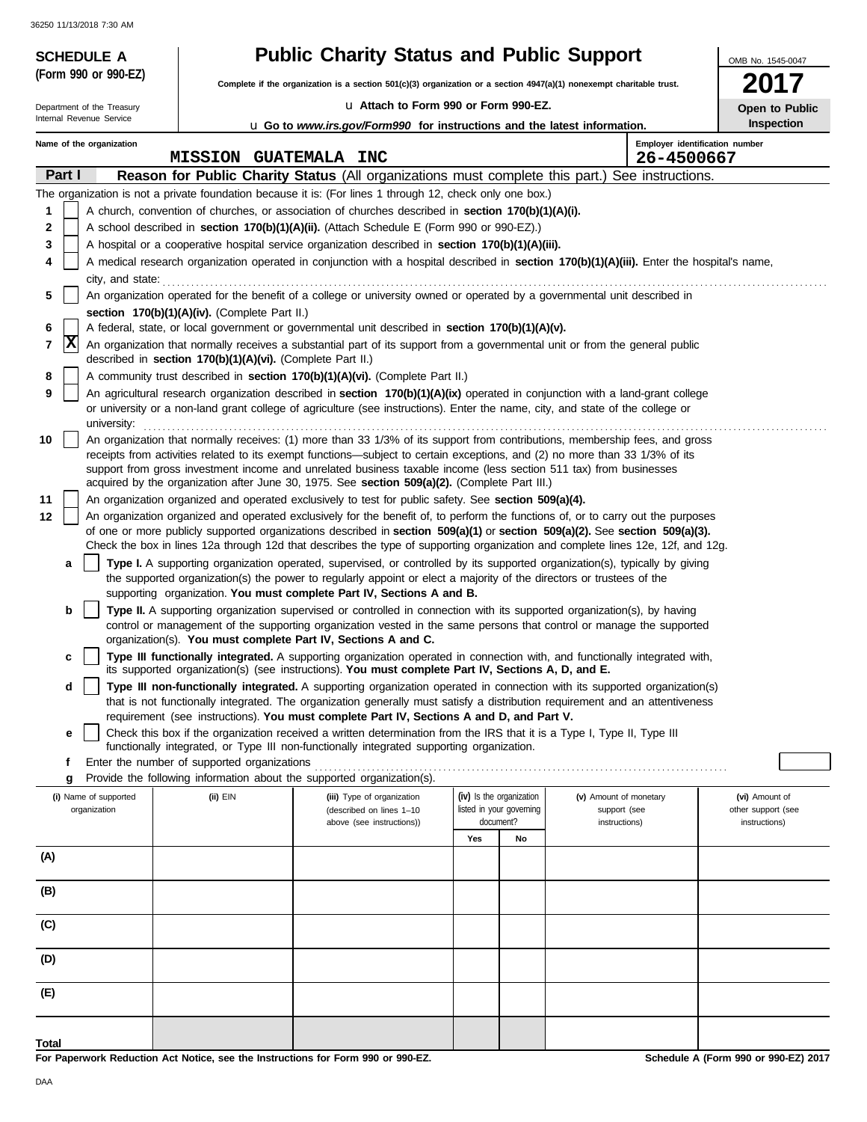| <b>SCHEDULE A</b>                                                                                                                                                                                                                                                                                                                                                                                                                                                                      |                                                            | <b>Public Charity Status and Public Support</b>                                                                                                                                                                                                                        |                          |                          |                                | OMB No. 1545-0047                   |
|----------------------------------------------------------------------------------------------------------------------------------------------------------------------------------------------------------------------------------------------------------------------------------------------------------------------------------------------------------------------------------------------------------------------------------------------------------------------------------------|------------------------------------------------------------|------------------------------------------------------------------------------------------------------------------------------------------------------------------------------------------------------------------------------------------------------------------------|--------------------------|--------------------------|--------------------------------|-------------------------------------|
| (Form 990 or 990-EZ)                                                                                                                                                                                                                                                                                                                                                                                                                                                                   |                                                            | Complete if the organization is a section $501(c)(3)$ organization or a section $4947(a)(1)$ nonexempt charitable trust.                                                                                                                                               |                          |                          |                                | 2017                                |
| Department of the Treasury                                                                                                                                                                                                                                                                                                                                                                                                                                                             |                                                            | La Attach to Form 990 or Form 990-EZ.                                                                                                                                                                                                                                  |                          |                          |                                | Open to Public                      |
| Internal Revenue Service                                                                                                                                                                                                                                                                                                                                                                                                                                                               |                                                            | <b>u</b> Go to www.irs.gov/Form990 for instructions and the latest information.                                                                                                                                                                                        |                          |                          |                                | Inspection                          |
| Name of the organization                                                                                                                                                                                                                                                                                                                                                                                                                                                               |                                                            |                                                                                                                                                                                                                                                                        |                          |                          | Employer identification number |                                     |
| Part I                                                                                                                                                                                                                                                                                                                                                                                                                                                                                 | <b>MISSION GUATEMALA INC</b>                               | Reason for Public Charity Status (All organizations must complete this part.) See instructions.                                                                                                                                                                        |                          |                          | 26-4500667                     |                                     |
|                                                                                                                                                                                                                                                                                                                                                                                                                                                                                        |                                                            | The organization is not a private foundation because it is: (For lines 1 through 12, check only one box.)                                                                                                                                                              |                          |                          |                                |                                     |
| 1                                                                                                                                                                                                                                                                                                                                                                                                                                                                                      |                                                            | A church, convention of churches, or association of churches described in section 170(b)(1)(A)(i).                                                                                                                                                                     |                          |                          |                                |                                     |
| 2                                                                                                                                                                                                                                                                                                                                                                                                                                                                                      |                                                            | A school described in section 170(b)(1)(A)(ii). (Attach Schedule E (Form 990 or 990-EZ).)                                                                                                                                                                              |                          |                          |                                |                                     |
| 3                                                                                                                                                                                                                                                                                                                                                                                                                                                                                      |                                                            | A hospital or a cooperative hospital service organization described in section 170(b)(1)(A)(iii).                                                                                                                                                                      |                          |                          |                                |                                     |
| 4<br>city, and state:                                                                                                                                                                                                                                                                                                                                                                                                                                                                  |                                                            | A medical research organization operated in conjunction with a hospital described in section 170(b)(1)(A)(iii). Enter the hospital's name,                                                                                                                             |                          |                          |                                |                                     |
| 5                                                                                                                                                                                                                                                                                                                                                                                                                                                                                      |                                                            | An organization operated for the benefit of a college or university owned or operated by a governmental unit described in                                                                                                                                              |                          |                          |                                |                                     |
|                                                                                                                                                                                                                                                                                                                                                                                                                                                                                        | section 170(b)(1)(A)(iv). (Complete Part II.)              |                                                                                                                                                                                                                                                                        |                          |                          |                                |                                     |
| 6<br>x                                                                                                                                                                                                                                                                                                                                                                                                                                                                                 |                                                            | A federal, state, or local government or governmental unit described in section 170(b)(1)(A)(v).                                                                                                                                                                       |                          |                          |                                |                                     |
| 7                                                                                                                                                                                                                                                                                                                                                                                                                                                                                      | described in section 170(b)(1)(A)(vi). (Complete Part II.) | An organization that normally receives a substantial part of its support from a governmental unit or from the general public                                                                                                                                           |                          |                          |                                |                                     |
| 8                                                                                                                                                                                                                                                                                                                                                                                                                                                                                      |                                                            | A community trust described in section 170(b)(1)(A)(vi). (Complete Part II.)                                                                                                                                                                                           |                          |                          |                                |                                     |
| 9<br>university:                                                                                                                                                                                                                                                                                                                                                                                                                                                                       |                                                            | An agricultural research organization described in <b>section 170(b)(1)(A)(ix)</b> operated in conjunction with a land-grant college<br>or university or a non-land grant college of agriculture (see instructions). Enter the name, city, and state of the college or |                          |                          |                                |                                     |
| An organization that normally receives: (1) more than 33 1/3% of its support from contributions, membership fees, and gross<br>10<br>receipts from activities related to its exempt functions—subject to certain exceptions, and (2) no more than 33 1/3% of its<br>support from gross investment income and unrelated business taxable income (less section 511 tax) from businesses<br>acquired by the organization after June 30, 1975. See section 509(a)(2). (Complete Part III.) |                                                            |                                                                                                                                                                                                                                                                        |                          |                          |                                |                                     |
| 11                                                                                                                                                                                                                                                                                                                                                                                                                                                                                     |                                                            | An organization organized and operated exclusively to test for public safety. See section 509(a)(4).                                                                                                                                                                   |                          |                          |                                |                                     |
| 12                                                                                                                                                                                                                                                                                                                                                                                                                                                                                     |                                                            | An organization organized and operated exclusively for the benefit of, to perform the functions of, or to carry out the purposes                                                                                                                                       |                          |                          |                                |                                     |
|                                                                                                                                                                                                                                                                                                                                                                                                                                                                                        |                                                            | of one or more publicly supported organizations described in section 509(a)(1) or section 509(a)(2). See section 509(a)(3).<br>Check the box in lines 12a through 12d that describes the type of supporting organization and complete lines 12e, 12f, and 12g.         |                          |                          |                                |                                     |
| a                                                                                                                                                                                                                                                                                                                                                                                                                                                                                      |                                                            | Type I. A supporting organization operated, supervised, or controlled by its supported organization(s), typically by giving                                                                                                                                            |                          |                          |                                |                                     |
|                                                                                                                                                                                                                                                                                                                                                                                                                                                                                        |                                                            | the supported organization(s) the power to regularly appoint or elect a majority of the directors or trustees of the                                                                                                                                                   |                          |                          |                                |                                     |
| b                                                                                                                                                                                                                                                                                                                                                                                                                                                                                      |                                                            | supporting organization. You must complete Part IV, Sections A and B.<br>Type II. A supporting organization supervised or controlled in connection with its supported organization(s), by having                                                                       |                          |                          |                                |                                     |
|                                                                                                                                                                                                                                                                                                                                                                                                                                                                                        |                                                            | control or management of the supporting organization vested in the same persons that control or manage the supported                                                                                                                                                   |                          |                          |                                |                                     |
|                                                                                                                                                                                                                                                                                                                                                                                                                                                                                        |                                                            | organization(s). You must complete Part IV, Sections A and C.                                                                                                                                                                                                          |                          |                          |                                |                                     |
|                                                                                                                                                                                                                                                                                                                                                                                                                                                                                        |                                                            | Type III functionally integrated. A supporting organization operated in connection with, and functionally integrated with,<br>its supported organization(s) (see instructions). You must complete Part IV, Sections A, D, and E.                                       |                          |                          |                                |                                     |
| d                                                                                                                                                                                                                                                                                                                                                                                                                                                                                      |                                                            | Type III non-functionally integrated. A supporting organization operated in connection with its supported organization(s)                                                                                                                                              |                          |                          |                                |                                     |
|                                                                                                                                                                                                                                                                                                                                                                                                                                                                                        |                                                            | that is not functionally integrated. The organization generally must satisfy a distribution requirement and an attentiveness<br>requirement (see instructions). You must complete Part IV, Sections A and D, and Part V.                                               |                          |                          |                                |                                     |
| е                                                                                                                                                                                                                                                                                                                                                                                                                                                                                      |                                                            | Check this box if the organization received a written determination from the IRS that it is a Type I, Type II, Type III                                                                                                                                                |                          |                          |                                |                                     |
| f                                                                                                                                                                                                                                                                                                                                                                                                                                                                                      | Enter the number of supported organizations                | functionally integrated, or Type III non-functionally integrated supporting organization.                                                                                                                                                                              |                          |                          |                                |                                     |
| g                                                                                                                                                                                                                                                                                                                                                                                                                                                                                      |                                                            | Provide the following information about the supported organization(s).                                                                                                                                                                                                 |                          |                          |                                |                                     |
| (i) Name of supported                                                                                                                                                                                                                                                                                                                                                                                                                                                                  | $(ii)$ EIN                                                 | (iii) Type of organization                                                                                                                                                                                                                                             | (iv) Is the organization |                          | (v) Amount of monetary         | (vi) Amount of                      |
| organization                                                                                                                                                                                                                                                                                                                                                                                                                                                                           |                                                            | (described on lines 1-10<br>above (see instructions))                                                                                                                                                                                                                  | document?                | listed in your governing | support (see<br>instructions)  | other support (see<br>instructions) |
|                                                                                                                                                                                                                                                                                                                                                                                                                                                                                        |                                                            |                                                                                                                                                                                                                                                                        | Yes                      | No                       |                                |                                     |
| (A)                                                                                                                                                                                                                                                                                                                                                                                                                                                                                    |                                                            |                                                                                                                                                                                                                                                                        |                          |                          |                                |                                     |
| (B)                                                                                                                                                                                                                                                                                                                                                                                                                                                                                    |                                                            |                                                                                                                                                                                                                                                                        |                          |                          |                                |                                     |
| (C)                                                                                                                                                                                                                                                                                                                                                                                                                                                                                    |                                                            |                                                                                                                                                                                                                                                                        |                          |                          |                                |                                     |
| (D)                                                                                                                                                                                                                                                                                                                                                                                                                                                                                    |                                                            |                                                                                                                                                                                                                                                                        |                          |                          |                                |                                     |
| (E)                                                                                                                                                                                                                                                                                                                                                                                                                                                                                    |                                                            |                                                                                                                                                                                                                                                                        |                          |                          |                                |                                     |
| Total                                                                                                                                                                                                                                                                                                                                                                                                                                                                                  |                                                            |                                                                                                                                                                                                                                                                        |                          |                          |                                |                                     |

**For Paperwork Reduction Act Notice, see the Instructions for Form 990 or 990-EZ.**

**Schedule A (Form 990 or 990-EZ) 2017**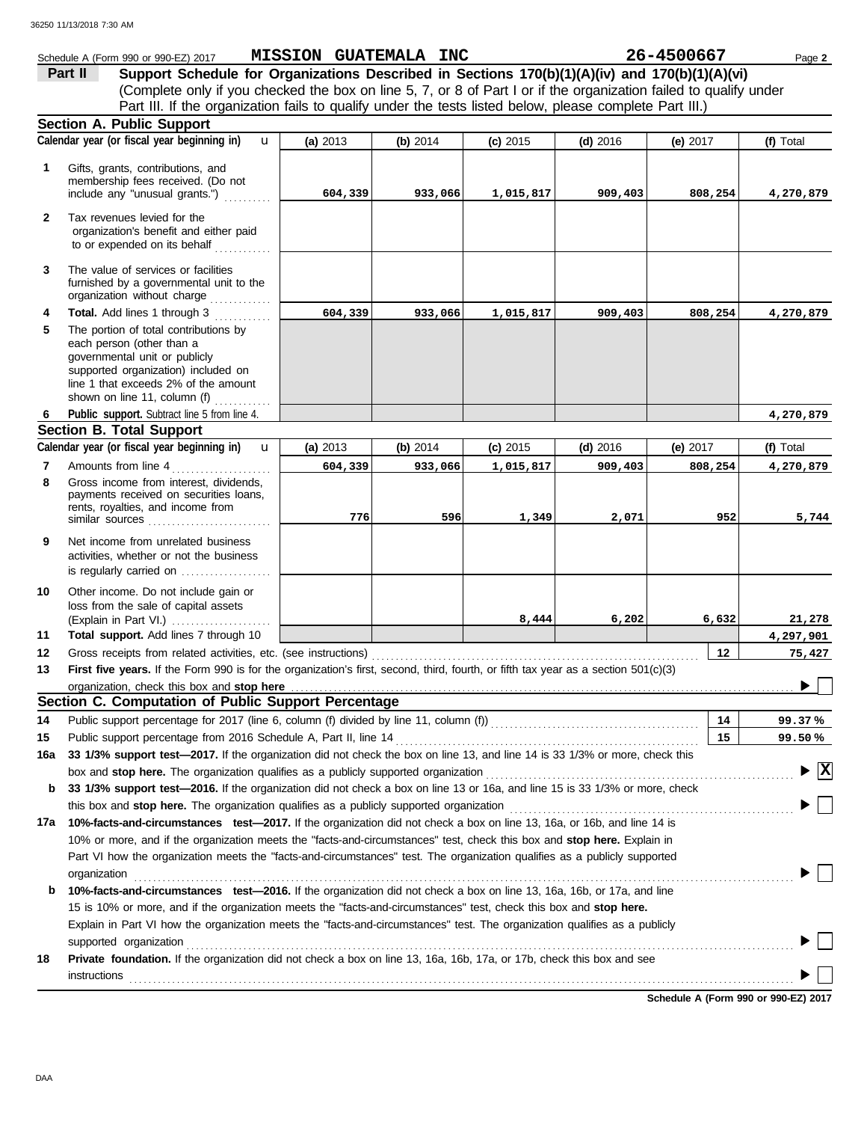|              | Schedule A (Form 990 or 990-EZ) 2017<br>Support Schedule for Organizations Described in Sections 170(b)(1)(A)(iv) and 170(b)(1)(A)(vi)<br>Part II                                                                           | <b>MISSION GUATEMALA INC</b> |            |            |            | 26-4500667 | Page 2                                        |
|--------------|-----------------------------------------------------------------------------------------------------------------------------------------------------------------------------------------------------------------------------|------------------------------|------------|------------|------------|------------|-----------------------------------------------|
|              | (Complete only if you checked the box on line 5, 7, or 8 of Part I or if the organization failed to qualify under                                                                                                           |                              |            |            |            |            |                                               |
|              | Part III. If the organization fails to qualify under the tests listed below, please complete Part III.)                                                                                                                     |                              |            |            |            |            |                                               |
|              | <b>Section A. Public Support</b>                                                                                                                                                                                            |                              |            |            |            |            |                                               |
|              | Calendar year (or fiscal year beginning in)<br>$\mathbf{u}$                                                                                                                                                                 | (a) 2013                     | (b) 2014   | $(c)$ 2015 | $(d)$ 2016 | (e) $2017$ | (f) Total                                     |
|              |                                                                                                                                                                                                                             |                              |            |            |            |            |                                               |
| 1            | Gifts, grants, contributions, and                                                                                                                                                                                           |                              |            |            |            |            |                                               |
|              | membership fees received. (Do not<br>include any "unusual grants.")                                                                                                                                                         | 604,339                      | 933,066    | 1,015,817  | 909, 403   | 808,254    | 4,270,879                                     |
|              |                                                                                                                                                                                                                             |                              |            |            |            |            |                                               |
| $\mathbf{2}$ | Tax revenues levied for the<br>organization's benefit and either paid<br>to or expended on its behalf                                                                                                                       |                              |            |            |            |            |                                               |
|              |                                                                                                                                                                                                                             |                              |            |            |            |            |                                               |
| 3            | The value of services or facilities<br>furnished by a governmental unit to the<br>organization without charge                                                                                                               |                              |            |            |            |            |                                               |
| 4            | Total. Add lines 1 through 3                                                                                                                                                                                                | 604,339                      | 933,066    | 1,015,817  | 909,403    | 808,254    | 4,270,879                                     |
| 5            | The portion of total contributions by<br>each person (other than a<br>governmental unit or publicly<br>supported organization) included on<br>line 1 that exceeds 2% of the amount<br>shown on line 11, column (f) $\ldots$ |                              |            |            |            |            |                                               |
| 6            | Public support. Subtract line 5 from line 4.                                                                                                                                                                                |                              |            |            |            |            | 4,270,879                                     |
|              | <b>Section B. Total Support</b>                                                                                                                                                                                             |                              |            |            |            |            |                                               |
|              | Calendar year (or fiscal year beginning in)<br>$\mathbf{u}$                                                                                                                                                                 | (a) 2013                     | (b) $2014$ | $(c)$ 2015 | $(d)$ 2016 | (e) $2017$ | (f) Total                                     |
| 7            | Amounts from line 4                                                                                                                                                                                                         | 604,339                      | 933,066    | 1,015,817  | 909,403    | 808,254    | 4,270,879                                     |
| 8            | Gross income from interest, dividends,<br>payments received on securities loans,<br>rents, royalties, and income from<br>similar sources                                                                                    | 776                          | 596        | 1,349      | 2,071      | 952        | 5,744                                         |
| 9            | Net income from unrelated business<br>activities, whether or not the business<br>is regularly carried on                                                                                                                    |                              |            |            |            |            |                                               |
| 10           | Other income. Do not include gain or                                                                                                                                                                                        |                              |            |            |            |            |                                               |
|              | loss from the sale of capital assets                                                                                                                                                                                        |                              |            |            |            |            |                                               |
|              |                                                                                                                                                                                                                             |                              |            | 8,444      | 6,202      | 6,632      | 21,278                                        |
| 11           | Total support. Add lines 7 through 10                                                                                                                                                                                       |                              |            |            |            |            | 4,297,901                                     |
| 12           |                                                                                                                                                                                                                             |                              |            |            |            | 12         | 75,427                                        |
| 13           | First five years. If the Form 990 is for the organization's first, second, third, fourth, or fifth tax year as a section 501(c)(3)                                                                                          |                              |            |            |            |            | $\sim$ $\sim$                                 |
|              | organization, check this box and stop here                                                                                                                                                                                  |                              |            |            |            |            |                                               |
|              | Section C. Computation of Public Support Percentage                                                                                                                                                                         |                              |            |            |            |            |                                               |
| 14           | Public support percentage for 2017 (line 6, column (f) divided by line 11, column (f)) [[[[[[[[[[[[[[[[[[[[[[                                                                                                               |                              |            |            |            | 14         | 99.37%                                        |
| 15           |                                                                                                                                                                                                                             |                              |            |            |            | 15         | 99.50%                                        |
| 16a          | 33 1/3% support test-2017. If the organization did not check the box on line 13, and line 14 is 33 1/3% or more, check this                                                                                                 |                              |            |            |            |            |                                               |
|              | box and stop here. The organization qualifies as a publicly supported organization                                                                                                                                          |                              |            |            |            |            | $\blacktriangleright$ $\overline{\mathbf{X}}$ |
| b            | 33 1/3% support test-2016. If the organization did not check a box on line 13 or 16a, and line 15 is 33 1/3% or more, check                                                                                                 |                              |            |            |            |            |                                               |
|              | this box and stop here. The organization qualifies as a publicly supported organization <b>contract contract and stop here.</b> The organization                                                                            |                              |            |            |            |            |                                               |
| 17а          | 10%-facts-and-circumstances test-2017. If the organization did not check a box on line 13, 16a, or 16b, and line 14 is                                                                                                      |                              |            |            |            |            |                                               |
|              | 10% or more, and if the organization meets the "facts-and-circumstances" test, check this box and stop here. Explain in                                                                                                     |                              |            |            |            |            |                                               |
|              | Part VI how the organization meets the "facts-and-circumstances" test. The organization qualifies as a publicly supported                                                                                                   |                              |            |            |            |            |                                               |
|              | organization                                                                                                                                                                                                                |                              |            |            |            |            |                                               |
| b            | 10%-facts-and-circumstances test-2016. If the organization did not check a box on line 13, 16a, 16b, or 17a, and line                                                                                                       |                              |            |            |            |            |                                               |
|              | 15 is 10% or more, and if the organization meets the "facts-and-circumstances" test, check this box and stop here.                                                                                                          |                              |            |            |            |            |                                               |
|              | Explain in Part VI how the organization meets the "facts-and-circumstances" test. The organization qualifies as a publicly                                                                                                  |                              |            |            |            |            |                                               |
|              | supported organization                                                                                                                                                                                                      |                              |            |            |            |            |                                               |
| 18           | Private foundation. If the organization did not check a box on line 13, 16a, 16b, 17a, or 17b, check this box and see                                                                                                       |                              |            |            |            |            |                                               |
|              | <b>instructions</b>                                                                                                                                                                                                         |                              |            |            |            |            |                                               |

**Schedule A (Form 990 or 990-EZ) 2017**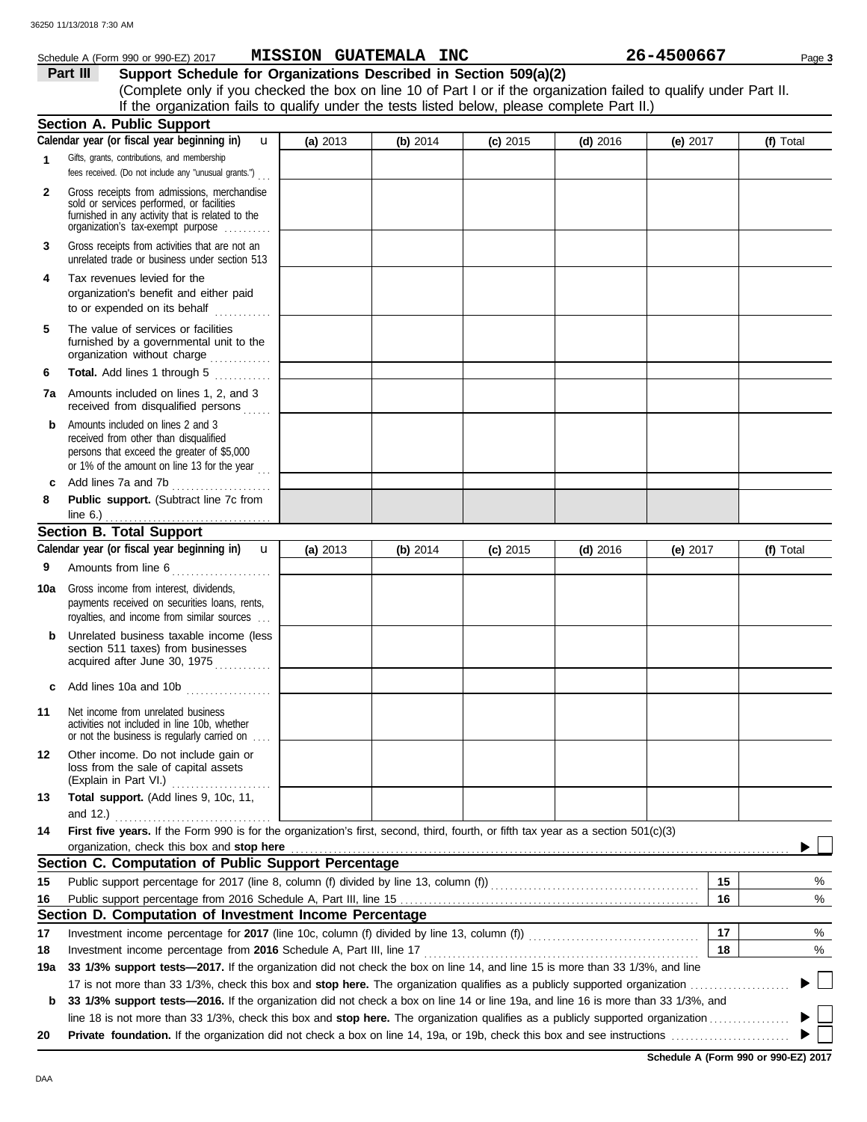#### unrelated trade or business under section 513 **Part III Support Schedule for Organizations Described in Section 509(a)(2)** (Complete only if you checked the box on line 10 of Part I or if the organization failed to qualify under Part II. **1** Gifts, grants, contributions, and membership **2 3 6** Schedule A (Form 990 or 990-EZ) 2017 Page **3 MISSION GUATEMALA INC 26-4500667** fees received. (Do not include any "unusual grants.") . . . Gross receipts from admissions, merchandise sold or services performed, or facilities furnished in any activity that is related to the Gross receipts from activities that are not an **Total.** Add lines 1 through 5  $\ldots$ ........ **Section A. Public Support** organization's tax-exempt purpose . . . . . . . . . . **4** Tax revenues levied for the organization's benefit and either paid to or expended on its behalf . . . . . . . . . . . . organization without charge *. . . . . . . .* . . . furnished by a governmental unit to the **5** The value of services or facilities **7a** Amounts included on lines 1, 2, and 3 received from disqualified persons ...... **b** Amounts included on lines 2 and 3 **(a)** 2013 **(b)** 2014 **(c)** 2015 **(d)** 2016 **(e)** 2017 **(f)** Total **Calendar year (or fiscal year beginning in)**  If the organization fails to qualify under the tests listed below, please complete Part II.) u 36250 11/13/2018 7:30 AM

|     | OID33 TCCCIPIS TIUTTI QUITIISSIUTIS, TIICIUTIQITUISC<br>sold or services performed, or facilities<br>furnished in any activity that is related to the<br>organization's tax-exempt purpose |          |            |            |            |          |          |                                      |                          |
|-----|--------------------------------------------------------------------------------------------------------------------------------------------------------------------------------------------|----------|------------|------------|------------|----------|----------|--------------------------------------|--------------------------|
| 3   | Gross receipts from activities that are not an<br>unrelated trade or business under section 513                                                                                            |          |            |            |            |          |          |                                      |                          |
| 4   | Tax revenues levied for the<br>organization's benefit and either paid<br>to or expended on its behalf<br>.                                                                                 |          |            |            |            |          |          |                                      |                          |
| 5   | The value of services or facilities<br>furnished by a governmental unit to the<br>organization without charge                                                                              |          |            |            |            |          |          |                                      |                          |
| 6   | Total. Add lines 1 through 5<br>. <b>.</b> .                                                                                                                                               |          |            |            |            |          |          |                                      |                          |
| 7а  | Amounts included on lines 1, 2, and 3<br>received from disqualified persons<br>.                                                                                                           |          |            |            |            |          |          |                                      |                          |
| b   | Amounts included on lines 2 and 3<br>received from other than disqualified<br>persons that exceed the greater of \$5,000<br>or 1% of the amount on line 13 for the year $\ldots$           |          |            |            |            |          |          |                                      |                          |
| c   | Add lines 7a and 7b<br>.                                                                                                                                                                   |          |            |            |            |          |          |                                      |                          |
| 8   | Public support. (Subtract line 7c from<br>line $6.$ )                                                                                                                                      |          |            |            |            |          |          |                                      |                          |
|     | <b>Section B. Total Support</b>                                                                                                                                                            |          |            |            |            |          |          |                                      |                          |
|     | Calendar year (or fiscal year beginning in)<br>$\mathbf{u}$                                                                                                                                | (a) 2013 | (b) $2014$ | $(c)$ 2015 | $(d)$ 2016 | (e) 2017 |          | (f) Total                            |                          |
| 9   | Amounts from line 6<br>.                                                                                                                                                                   |          |            |            |            |          |          |                                      |                          |
| 10a | Gross income from interest, dividends,<br>payments received on securities loans, rents,<br>royalties, and income from similar sources                                                      |          |            |            |            |          |          |                                      |                          |
|     | <b>b</b> Unrelated business taxable income (less<br>section 511 taxes) from businesses<br>acquired after June 30, 1975                                                                     |          |            |            |            |          |          |                                      |                          |
| c   | Add lines 10a and 10b                                                                                                                                                                      |          |            |            |            |          |          |                                      |                          |
| 11  | Net income from unrelated business<br>activities not included in line 10b, whether<br>or not the business is regularly carried on                                                          |          |            |            |            |          |          |                                      |                          |
| 12  | Other income. Do not include gain or<br>loss from the sale of capital assets<br>(Explain in Part VI.) [11] [11] (Explain in Part VI.)                                                      |          |            |            |            |          |          |                                      |                          |
| 13  | Total support. (Add lines 9, 10c, 11,                                                                                                                                                      |          |            |            |            |          |          |                                      |                          |
|     | and 12.) $\ldots$                                                                                                                                                                          |          |            |            |            |          |          |                                      |                          |
|     | First five years. If the Form 990 is for the organization's first, second, third, fourth, or fifth tax year as a section 501(c)(3)                                                         |          |            |            |            |          |          |                                      |                          |
|     | organization, check this box and stop here<br>Section C. Computation of Public Support Percentage                                                                                          |          |            |            |            |          |          |                                      |                          |
|     |                                                                                                                                                                                            |          |            |            |            |          |          |                                      |                          |
| 15  | Public support percentage for 2017 (line 8, column (f) divided by line 13, column (f)) [[[[[[[[[[[[[[[[[[[[[[                                                                              |          |            |            |            |          | 15<br>16 |                                      | %                        |
| 16  |                                                                                                                                                                                            |          |            |            |            |          |          |                                      | $\%$                     |
| 17  | Section D. Computation of Investment Income Percentage                                                                                                                                     |          |            |            |            |          | 17       |                                      | %                        |
| 18  | Investment income percentage from 2016 Schedule A, Part III, line 17                                                                                                                       |          |            |            |            |          | 18       |                                      | %                        |
| 19a | 33 1/3% support tests-2017. If the organization did not check the box on line 14, and line 15 is more than 33 1/3%, and line                                                               |          |            |            |            |          |          |                                      |                          |
|     |                                                                                                                                                                                            |          |            |            |            |          |          |                                      | $\overline{\phantom{0}}$ |
| b   | 33 1/3% support tests-2016. If the organization did not check a box on line 14 or line 19a, and line 16 is more than 33 1/3%, and                                                          |          |            |            |            |          |          |                                      |                          |
|     |                                                                                                                                                                                            |          |            |            |            |          |          |                                      |                          |
| 20  |                                                                                                                                                                                            |          |            |            |            |          |          |                                      |                          |
|     |                                                                                                                                                                                            |          |            |            |            |          |          | Schedule A (Form 990 or 990-EZ) 2017 |                          |
| DAA |                                                                                                                                                                                            |          |            |            |            |          |          |                                      |                          |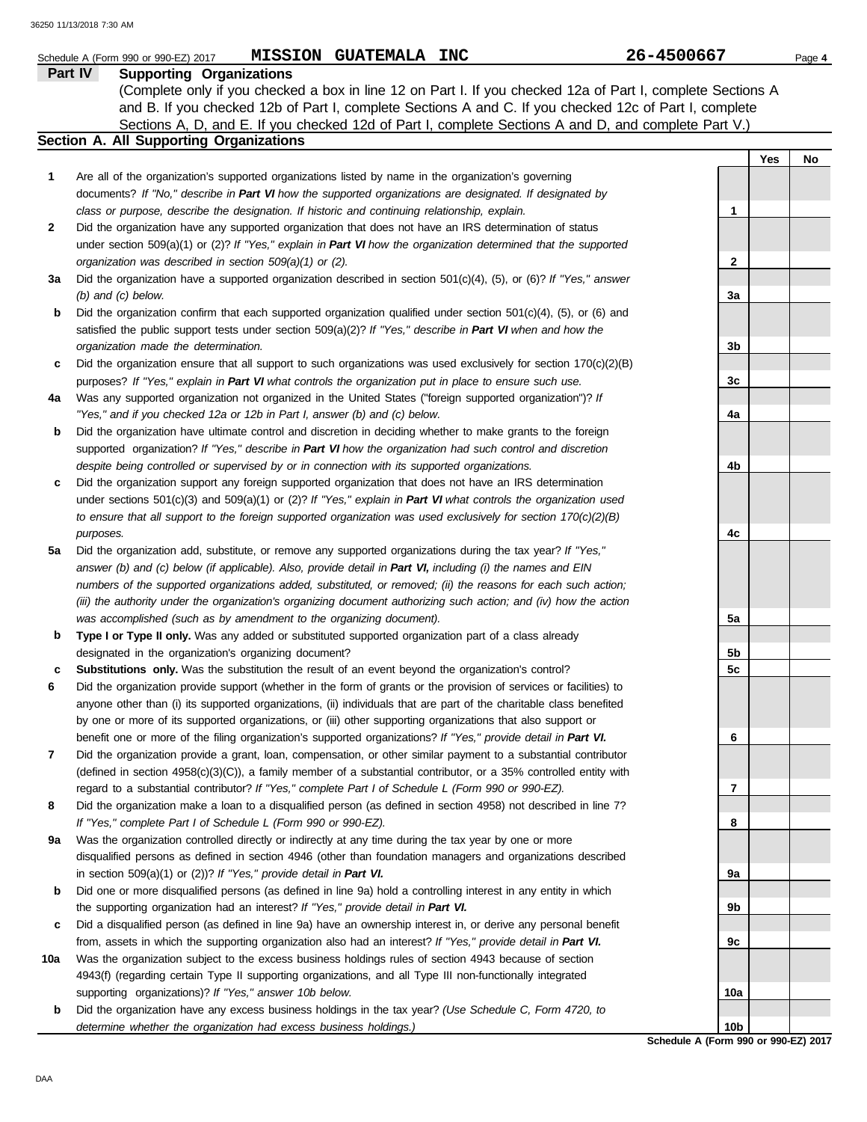|     | <b>MISSION GUATEMALA INC</b><br>Schedule A (Form 990 or 990-EZ) 2017                                                     | 26-4500667                           | Page 4    |
|-----|--------------------------------------------------------------------------------------------------------------------------|--------------------------------------|-----------|
|     | Part IV<br><b>Supporting Organizations</b>                                                                               |                                      |           |
|     | (Complete only if you checked a box in line 12 on Part I. If you checked 12a of Part I, complete Sections A              |                                      |           |
|     | and B. If you checked 12b of Part I, complete Sections A and C. If you checked 12c of Part I, complete                   |                                      |           |
|     | Sections A, D, and E. If you checked 12d of Part I, complete Sections A and D, and complete Part V.)                     |                                      |           |
|     | Section A. All Supporting Organizations                                                                                  |                                      |           |
|     |                                                                                                                          |                                      | Yes<br>No |
| 1   | Are all of the organization's supported organizations listed by name in the organization's governing                     |                                      |           |
|     | documents? If "No," describe in Part VI how the supported organizations are designated. If designated by                 |                                      |           |
|     | class or purpose, describe the designation. If historic and continuing relationship, explain.                            | 1                                    |           |
| 2   | Did the organization have any supported organization that does not have an IRS determination of status                   |                                      |           |
|     | under section 509(a)(1) or (2)? If "Yes," explain in Part VI how the organization determined that the supported          |                                      |           |
|     | organization was described in section 509(a)(1) or (2).                                                                  | $\mathbf{2}$                         |           |
| 3a  | Did the organization have a supported organization described in section $501(c)(4)$ , (5), or (6)? If "Yes," answer      |                                      |           |
|     | $(b)$ and $(c)$ below.                                                                                                   | 3a                                   |           |
| b   | Did the organization confirm that each supported organization qualified under section $501(c)(4)$ , $(5)$ , or $(6)$ and |                                      |           |
|     | satisfied the public support tests under section 509(a)(2)? If "Yes," describe in Part VI when and how the               |                                      |           |
|     | organization made the determination.                                                                                     | 3b                                   |           |
| c   | Did the organization ensure that all support to such organizations was used exclusively for section $170(c)(2)(B)$       |                                      |           |
|     | purposes? If "Yes," explain in Part VI what controls the organization put in place to ensure such use.                   | 3c                                   |           |
| 4a  | Was any supported organization not organized in the United States ("foreign supported organization")? If                 |                                      |           |
|     | "Yes," and if you checked 12a or 12b in Part I, answer (b) and (c) below.                                                | 4a                                   |           |
| b   | Did the organization have ultimate control and discretion in deciding whether to make grants to the foreign              |                                      |           |
|     | supported organization? If "Yes," describe in Part VI how the organization had such control and discretion               |                                      |           |
|     | despite being controlled or supervised by or in connection with its supported organizations.                             | 4b                                   |           |
| c   | Did the organization support any foreign supported organization that does not have an IRS determination                  |                                      |           |
|     | under sections $501(c)(3)$ and $509(a)(1)$ or (2)? If "Yes," explain in Part VI what controls the organization used      |                                      |           |
|     | to ensure that all support to the foreign supported organization was used exclusively for section $170(c)(2)(B)$         |                                      |           |
|     | purposes.                                                                                                                | 4c                                   |           |
| 5a  | Did the organization add, substitute, or remove any supported organizations during the tax year? If "Yes,"               |                                      |           |
|     | answer (b) and (c) below (if applicable). Also, provide detail in Part VI, including (i) the names and EIN               |                                      |           |
|     | numbers of the supported organizations added, substituted, or removed; (ii) the reasons for each such action;            |                                      |           |
|     | (iii) the authority under the organization's organizing document authorizing such action; and (iv) how the action        |                                      |           |
|     | was accomplished (such as by amendment to the organizing document).                                                      | 5a                                   |           |
| b   | Type I or Type II only. Was any added or substituted supported organization part of a class already                      |                                      |           |
|     | designated in the organization's organizing document?                                                                    | 5b                                   |           |
| c   | Substitutions only. Was the substitution the result of an event beyond the organization's control?                       | 5c                                   |           |
| 6   | Did the organization provide support (whether in the form of grants or the provision of services or facilities) to       |                                      |           |
|     | anyone other than (i) its supported organizations, (ii) individuals that are part of the charitable class benefited      |                                      |           |
|     | by one or more of its supported organizations, or (iii) other supporting organizations that also support or              |                                      |           |
|     | benefit one or more of the filing organization's supported organizations? If "Yes," provide detail in Part VI.           | 6                                    |           |
| 7   | Did the organization provide a grant, loan, compensation, or other similar payment to a substantial contributor          |                                      |           |
|     | (defined in section 4958(c)(3)(C)), a family member of a substantial contributor, or a 35% controlled entity with        |                                      |           |
|     | regard to a substantial contributor? If "Yes," complete Part I of Schedule L (Form 990 or 990-EZ).                       | 7                                    |           |
| 8   | Did the organization make a loan to a disqualified person (as defined in section 4958) not described in line 7?          |                                      |           |
|     | If "Yes," complete Part I of Schedule L (Form 990 or 990-EZ).                                                            | 8                                    |           |
| 9а  | Was the organization controlled directly or indirectly at any time during the tax year by one or more                    |                                      |           |
|     | disqualified persons as defined in section 4946 (other than foundation managers and organizations described              |                                      |           |
|     | in section $509(a)(1)$ or $(2)$ ? If "Yes," provide detail in Part VI.                                                   | 9а                                   |           |
| b   | Did one or more disqualified persons (as defined in line 9a) hold a controlling interest in any entity in which          |                                      |           |
|     | the supporting organization had an interest? If "Yes," provide detail in Part VI.                                        | 9b                                   |           |
| c   | Did a disqualified person (as defined in line 9a) have an ownership interest in, or derive any personal benefit          |                                      |           |
|     | from, assets in which the supporting organization also had an interest? If "Yes," provide detail in Part VI.             | 9с                                   |           |
| 10a | Was the organization subject to the excess business holdings rules of section 4943 because of section                    |                                      |           |
|     | 4943(f) (regarding certain Type II supporting organizations, and all Type III non-functionally integrated                |                                      |           |
|     | supporting organizations)? If "Yes," answer 10b below.                                                                   | 10a                                  |           |
| b   | Did the organization have any excess business holdings in the tax year? (Use Schedule C, Form 4720, to                   |                                      |           |
|     | determine whether the organization had excess business holdings.)                                                        | 10b                                  |           |
|     |                                                                                                                          | Schedule A (Form 990 or 990-F7) 2017 |           |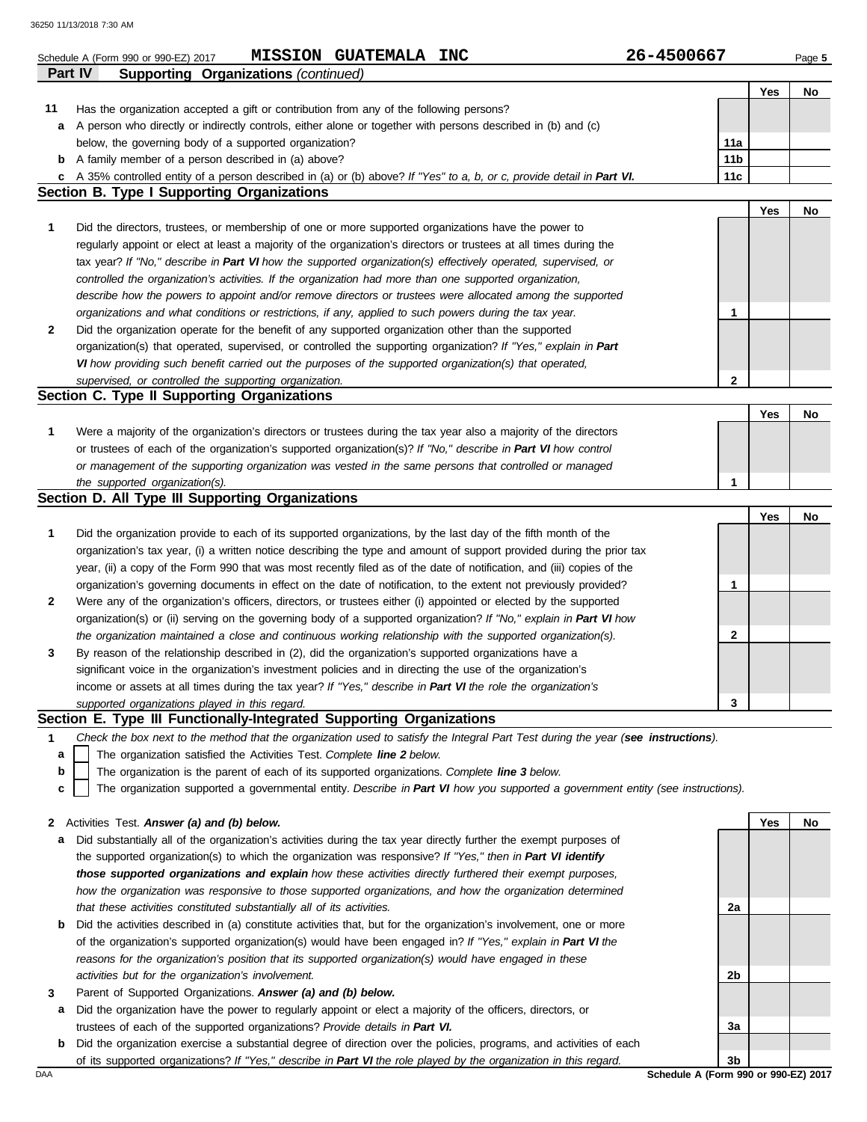|              | <b>MISSION GUATEMALA INC</b><br>Schedule A (Form 990 or 990-EZ) 2017                                                                                                                                                                 | 26-4500667      |     | Page 5 |
|--------------|--------------------------------------------------------------------------------------------------------------------------------------------------------------------------------------------------------------------------------------|-----------------|-----|--------|
| Part IV      | <b>Supporting Organizations (continued)</b>                                                                                                                                                                                          |                 |     |        |
|              |                                                                                                                                                                                                                                      |                 | Yes | No     |
| 11           | Has the organization accepted a gift or contribution from any of the following persons?                                                                                                                                              |                 |     |        |
|              | a A person who directly or indirectly controls, either alone or together with persons described in (b) and (c)                                                                                                                       |                 |     |        |
|              | below, the governing body of a supported organization?                                                                                                                                                                               | 11a             |     |        |
|              | <b>b</b> A family member of a person described in (a) above?                                                                                                                                                                         | 11 <sub>b</sub> |     |        |
|              | c A 35% controlled entity of a person described in (a) or (b) above? If "Yes" to a, b, or c, provide detail in Part VI.<br><b>Section B. Type I Supporting Organizations</b>                                                         | 11c             |     |        |
|              |                                                                                                                                                                                                                                      |                 | Yes | No     |
| 1            | Did the directors, trustees, or membership of one or more supported organizations have the power to                                                                                                                                  |                 |     |        |
|              | regularly appoint or elect at least a majority of the organization's directors or trustees at all times during the                                                                                                                   |                 |     |        |
|              | tax year? If "No," describe in Part VI how the supported organization(s) effectively operated, supervised, or                                                                                                                        |                 |     |        |
|              | controlled the organization's activities. If the organization had more than one supported organization,                                                                                                                              |                 |     |        |
|              | describe how the powers to appoint and/or remove directors or trustees were allocated among the supported                                                                                                                            |                 |     |        |
|              | organizations and what conditions or restrictions, if any, applied to such powers during the tax year.                                                                                                                               | 1               |     |        |
| 2            | Did the organization operate for the benefit of any supported organization other than the supported                                                                                                                                  |                 |     |        |
|              | organization(s) that operated, supervised, or controlled the supporting organization? If "Yes," explain in Part                                                                                                                      |                 |     |        |
|              | VI how providing such benefit carried out the purposes of the supported organization(s) that operated,                                                                                                                               |                 |     |        |
|              | supervised, or controlled the supporting organization.                                                                                                                                                                               | $\mathbf 2$     |     |        |
|              | Section C. Type II Supporting Organizations                                                                                                                                                                                          |                 |     |        |
|              |                                                                                                                                                                                                                                      |                 | Yes | No     |
| 1            | Were a majority of the organization's directors or trustees during the tax year also a majority of the directors                                                                                                                     |                 |     |        |
|              | or trustees of each of the organization's supported organization(s)? If "No," describe in Part VI how control                                                                                                                        |                 |     |        |
|              | or management of the supporting organization was vested in the same persons that controlled or managed                                                                                                                               |                 |     |        |
|              | the supported organization(s).                                                                                                                                                                                                       | $\mathbf{1}$    |     |        |
|              | Section D. All Type III Supporting Organizations                                                                                                                                                                                     |                 |     |        |
|              |                                                                                                                                                                                                                                      |                 | Yes | No     |
| 1            | Did the organization provide to each of its supported organizations, by the last day of the fifth month of the                                                                                                                       |                 |     |        |
|              | organization's tax year, (i) a written notice describing the type and amount of support provided during the prior tax                                                                                                                |                 |     |        |
|              | year, (ii) a copy of the Form 990 that was most recently filed as of the date of notification, and (iii) copies of the                                                                                                               |                 |     |        |
| 2            | organization's governing documents in effect on the date of notification, to the extent not previously provided?<br>Were any of the organization's officers, directors, or trustees either (i) appointed or elected by the supported | 1               |     |        |
|              | organization(s) or (ii) serving on the governing body of a supported organization? If "No," explain in Part VI how                                                                                                                   |                 |     |        |
|              | the organization maintained a close and continuous working relationship with the supported organization(s).                                                                                                                          | $\mathbf{2}$    |     |        |
| 3            | By reason of the relationship described in (2), did the organization's supported organizations have a                                                                                                                                |                 |     |        |
|              | significant voice in the organization's investment policies and in directing the use of the organization's                                                                                                                           |                 |     |        |
|              | income or assets at all times during the tax year? If "Yes," describe in Part VI the role the organization's                                                                                                                         |                 |     |        |
|              | supported organizations played in this regard.                                                                                                                                                                                       | 3               |     |        |
|              | Section E. Type III Functionally-Integrated Supporting Organizations                                                                                                                                                                 |                 |     |        |
| 1            | Check the box next to the method that the organization used to satisfy the Integral Part Test during the year (see instructions).                                                                                                    |                 |     |        |
| a            | The organization satisfied the Activities Test. Complete line 2 below.                                                                                                                                                               |                 |     |        |
| b            | The organization is the parent of each of its supported organizations. Complete line 3 below.                                                                                                                                        |                 |     |        |
| c            | The organization supported a governmental entity. Describe in Part VI how you supported a government entity (see instructions).                                                                                                      |                 |     |        |
|              |                                                                                                                                                                                                                                      |                 |     |        |
| $\mathbf{2}$ | Activities Test. Answer (a) and (b) below.                                                                                                                                                                                           |                 | Yes | No     |
| а            | Did substantially all of the organization's activities during the tax year directly further the exempt purposes of                                                                                                                   |                 |     |        |
|              | the supported organization(s) to which the organization was responsive? If "Yes," then in Part VI identify                                                                                                                           |                 |     |        |
|              | those supported organizations and explain how these activities directly furthered their exempt purposes,                                                                                                                             |                 |     |        |
|              | how the organization was responsive to those supported organizations, and how the organization determined                                                                                                                            |                 |     |        |
|              | that these activities constituted substantially all of its activities.                                                                                                                                                               | 2a              |     |        |
| b            | Did the activities described in (a) constitute activities that, but for the organization's involvement, one or more                                                                                                                  |                 |     |        |
|              | of the organization's supported organization(s) would have been engaged in? If "Yes," explain in Part VI the                                                                                                                         |                 |     |        |
|              | reasons for the organization's position that its supported organization(s) would have engaged in these                                                                                                                               |                 |     |        |
|              | activities but for the organization's involvement.                                                                                                                                                                                   | 2b              |     |        |
| 3            | Parent of Supported Organizations. Answer (a) and (b) below.                                                                                                                                                                         |                 |     |        |
| а            | Did the organization have the power to regularly appoint or elect a majority of the officers, directors, or                                                                                                                          |                 |     |        |
| b            | trustees of each of the supported organizations? Provide details in Part VI.<br>Did the organization exercise a substantial degree of direction over the policies, programs, and activities of each                                  | За              |     |        |
|              | of its supported organizations? If "Yes," describe in Part VI the role played by the organization in this regard.                                                                                                                    | 3 <sub>b</sub>  |     |        |

DAA **Schedule A (Form 990 or 990-EZ) 2017 3b**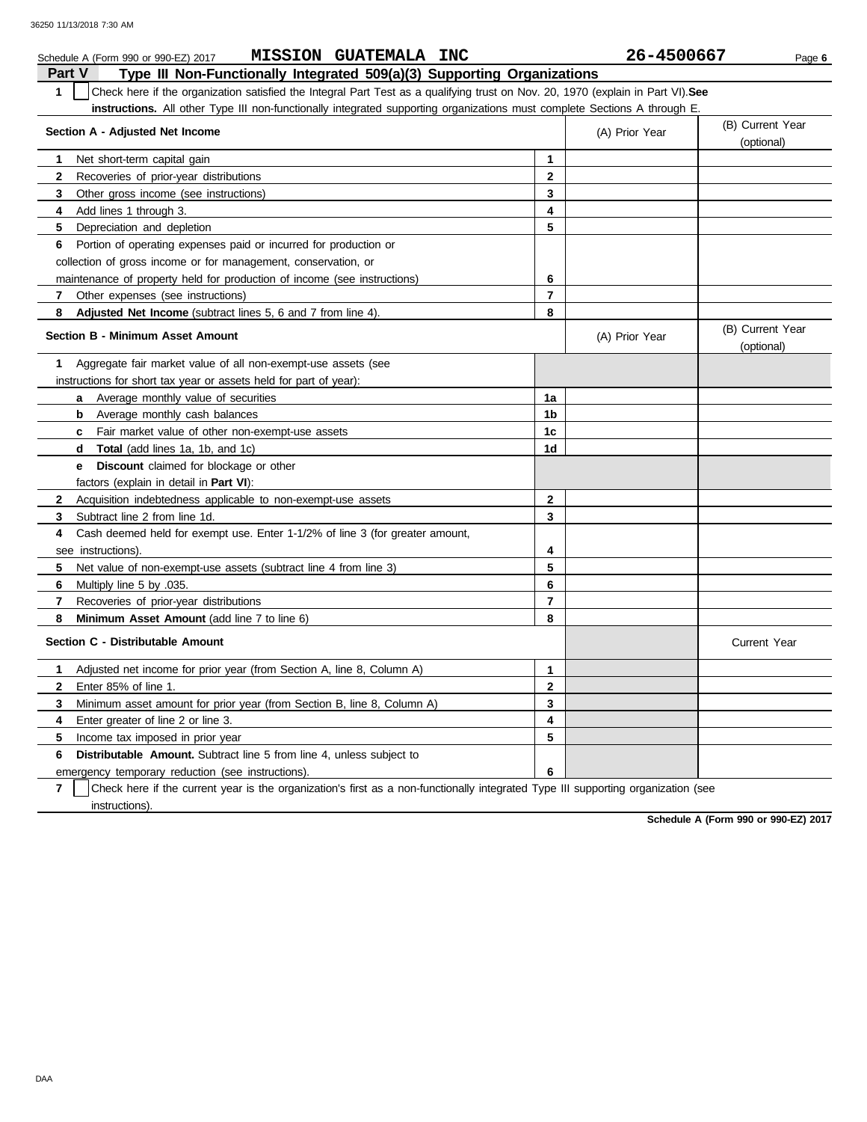|               | <b>MISSION GUATEMALA INC</b><br>Schedule A (Form 990 or 990-EZ) 2017                                                             |                | 26-4500667     | Page 6                         |  |
|---------------|----------------------------------------------------------------------------------------------------------------------------------|----------------|----------------|--------------------------------|--|
| <b>Part V</b> | Type III Non-Functionally Integrated 509(a)(3) Supporting Organizations                                                          |                |                |                                |  |
| $\mathbf 1$   | Check here if the organization satisfied the Integral Part Test as a qualifying trust on Nov. 20, 1970 (explain in Part VI). See |                |                |                                |  |
|               | instructions. All other Type III non-functionally integrated supporting organizations must complete Sections A through E.        |                |                |                                |  |
|               | Section A - Adjusted Net Income                                                                                                  |                |                | (B) Current Year               |  |
|               |                                                                                                                                  |                | (A) Prior Year | (optional)                     |  |
| 1             | Net short-term capital gain                                                                                                      | 1              |                |                                |  |
| $\mathbf{2}$  | Recoveries of prior-year distributions                                                                                           | $\mathbf{2}$   |                |                                |  |
| 3             | Other gross income (see instructions)                                                                                            | 3              |                |                                |  |
| 4             | Add lines 1 through 3.                                                                                                           | 4              |                |                                |  |
| 5             | Depreciation and depletion                                                                                                       | 5              |                |                                |  |
| 6             | Portion of operating expenses paid or incurred for production or                                                                 |                |                |                                |  |
|               | collection of gross income or for management, conservation, or                                                                   |                |                |                                |  |
|               | maintenance of property held for production of income (see instructions)                                                         | 6              |                |                                |  |
| 7             | Other expenses (see instructions)                                                                                                | $\overline{7}$ |                |                                |  |
| 8             | Adjusted Net Income (subtract lines 5, 6 and 7 from line 4).                                                                     | 8              |                |                                |  |
|               | <b>Section B - Minimum Asset Amount</b>                                                                                          |                | (A) Prior Year | (B) Current Year<br>(optional) |  |
| 1             | Aggregate fair market value of all non-exempt-use assets (see                                                                    |                |                |                                |  |
|               | instructions for short tax year or assets held for part of year):                                                                |                |                |                                |  |
|               | <b>a</b> Average monthly value of securities                                                                                     | 1a             |                |                                |  |
|               | Average monthly cash balances<br>b                                                                                               | 1b             |                |                                |  |
|               | Fair market value of other non-exempt-use assets<br>C                                                                            | 1c             |                |                                |  |
|               | <b>Total</b> (add lines 1a, 1b, and 1c)<br>d                                                                                     | 1d             |                |                                |  |
|               | <b>e</b> Discount claimed for blockage or other                                                                                  |                |                |                                |  |
|               | factors (explain in detail in Part VI):                                                                                          |                |                |                                |  |
| $\mathbf{2}$  | Acquisition indebtedness applicable to non-exempt-use assets                                                                     | $\mathbf{2}$   |                |                                |  |
| 3             | Subtract line 2 from line 1d.                                                                                                    | 3              |                |                                |  |
| 4             | Cash deemed held for exempt use. Enter 1-1/2% of line 3 (for greater amount,                                                     |                |                |                                |  |
|               | see instructions).                                                                                                               | 4              |                |                                |  |
| 5             | Net value of non-exempt-use assets (subtract line 4 from line 3)                                                                 | 5              |                |                                |  |
| 6             | Multiply line 5 by .035.                                                                                                         | 6              |                |                                |  |
| 7             | Recoveries of prior-year distributions                                                                                           | $\overline{7}$ |                |                                |  |
| 8             | Minimum Asset Amount (add line 7 to line 6)                                                                                      | 8              |                |                                |  |
|               | Section C - Distributable Amount                                                                                                 |                |                | <b>Current Year</b>            |  |
| 1             | Adjusted net income for prior year (from Section A, line 8, Column A)                                                            | 1              |                |                                |  |
| $\mathbf{2}$  | Enter 85% of line 1.                                                                                                             | $\mathbf{2}$   |                |                                |  |
| 3             | Minimum asset amount for prior year (from Section B, line 8, Column A)                                                           | 3              |                |                                |  |
| 4             | Enter greater of line 2 or line 3.                                                                                               | 4              |                |                                |  |
| 5             | Income tax imposed in prior year                                                                                                 | 5              |                |                                |  |
| 6             | <b>Distributable Amount.</b> Subtract line 5 from line 4, unless subject to                                                      |                |                |                                |  |
|               | emergency temporary reduction (see instructions).                                                                                | 6              |                |                                |  |

**7** instructions). Check here if the current year is the organization's first as a non-functionally integrated Type III supporting organization (see

**Schedule A (Form 990 or 990-EZ) 2017**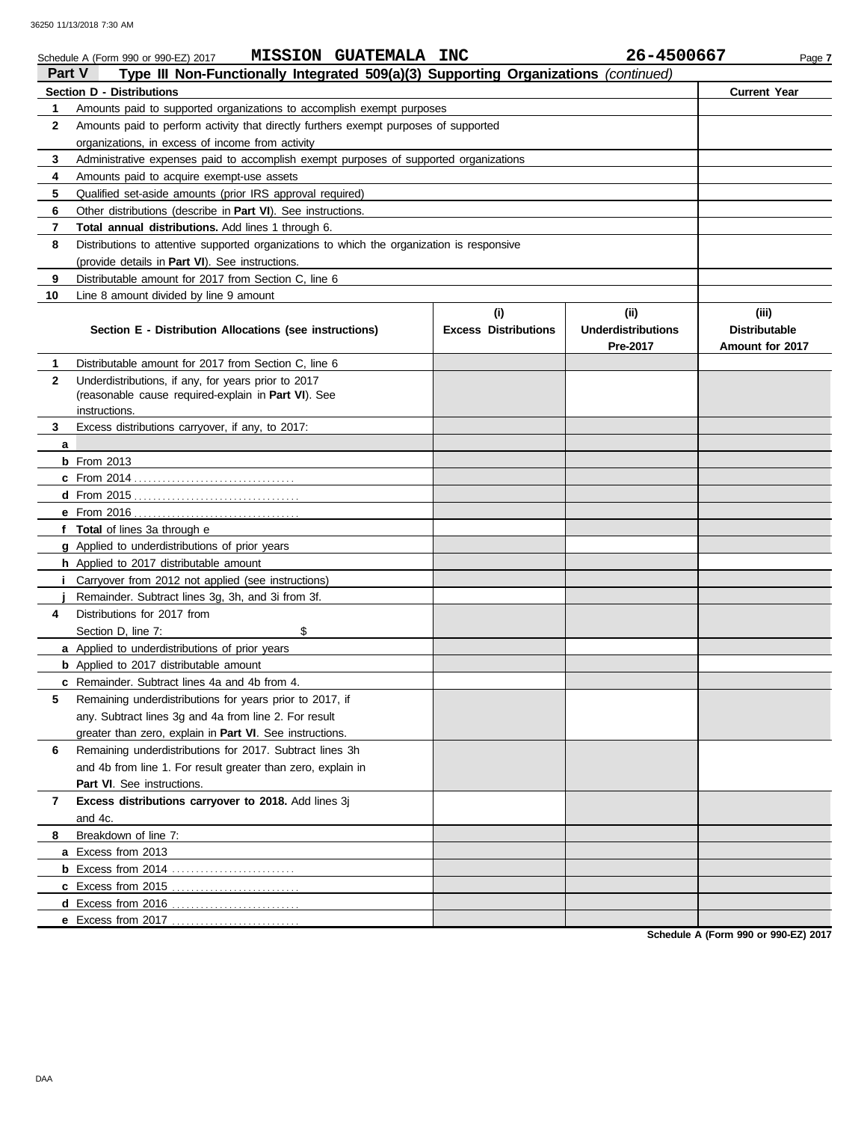|               | <b>MISSION GUATEMALA INC</b><br>Schedule A (Form 990 or 990-EZ) 2017                       |                             | 26-4500667                | Page 7               |
|---------------|--------------------------------------------------------------------------------------------|-----------------------------|---------------------------|----------------------|
| <b>Part V</b> | Type III Non-Functionally Integrated 509(a)(3) Supporting Organizations (continued)        |                             |                           |                      |
|               | <b>Section D - Distributions</b>                                                           |                             |                           | <b>Current Year</b>  |
| 1             | Amounts paid to supported organizations to accomplish exempt purposes                      |                             |                           |                      |
| $\mathbf{2}$  | Amounts paid to perform activity that directly furthers exempt purposes of supported       |                             |                           |                      |
|               | organizations, in excess of income from activity                                           |                             |                           |                      |
| 3             | Administrative expenses paid to accomplish exempt purposes of supported organizations      |                             |                           |                      |
| 4             | Amounts paid to acquire exempt-use assets                                                  |                             |                           |                      |
| 5             | Qualified set-aside amounts (prior IRS approval required)                                  |                             |                           |                      |
| 6             | Other distributions (describe in <b>Part VI</b> ). See instructions.                       |                             |                           |                      |
| 7             | <b>Total annual distributions.</b> Add lines 1 through 6.                                  |                             |                           |                      |
| 8             | Distributions to attentive supported organizations to which the organization is responsive |                             |                           |                      |
|               | (provide details in <b>Part VI</b> ). See instructions.                                    |                             |                           |                      |
| 9             | Distributable amount for 2017 from Section C, line 6                                       |                             |                           |                      |
| 10            | Line 8 amount divided by line 9 amount                                                     |                             |                           |                      |
|               |                                                                                            | (i)                         | (iii)                     | (iii)                |
|               | Section E - Distribution Allocations (see instructions)                                    | <b>Excess Distributions</b> | <b>Underdistributions</b> | <b>Distributable</b> |
|               |                                                                                            |                             | Pre-2017                  | Amount for 2017      |
| 1.            | Distributable amount for 2017 from Section C, line 6                                       |                             |                           |                      |
| $\mathbf{2}$  | Underdistributions, if any, for years prior to 2017                                        |                             |                           |                      |
|               | (reasonable cause required-explain in Part VI). See<br>instructions.                       |                             |                           |                      |
| 3             | Excess distributions carryover, if any, to 2017:                                           |                             |                           |                      |
| a             |                                                                                            |                             |                           |                      |
|               | $b$ From 2013                                                                              |                             |                           |                      |
|               |                                                                                            |                             |                           |                      |
|               |                                                                                            |                             |                           |                      |
|               |                                                                                            |                             |                           |                      |
|               | f Total of lines 3a through e                                                              |                             |                           |                      |
|               | g Applied to underdistributions of prior years                                             |                             |                           |                      |
|               | h Applied to 2017 distributable amount                                                     |                             |                           |                      |
|               | Carryover from 2012 not applied (see instructions)                                         |                             |                           |                      |
|               | Remainder. Subtract lines 3g, 3h, and 3i from 3f.                                          |                             |                           |                      |
| 4             | Distributions for 2017 from                                                                |                             |                           |                      |
|               | Section D, line 7:<br>\$                                                                   |                             |                           |                      |
|               | <b>a</b> Applied to underdistributions of prior years                                      |                             |                           |                      |
|               | <b>b</b> Applied to 2017 distributable amount                                              |                             |                           |                      |
|               | c Remainder. Subtract lines 4a and 4b from 4.                                              |                             |                           |                      |
| 5             | Remaining underdistributions for years prior to 2017, if                                   |                             |                           |                      |
|               | any. Subtract lines 3g and 4a from line 2. For result                                      |                             |                           |                      |
|               | greater than zero, explain in Part VI. See instructions.                                   |                             |                           |                      |
| 6             | Remaining underdistributions for 2017. Subtract lines 3h                                   |                             |                           |                      |
|               | and 4b from line 1. For result greater than zero, explain in                               |                             |                           |                      |
|               | Part VI. See instructions.                                                                 |                             |                           |                      |
| 7             | Excess distributions carryover to 2018. Add lines 3j                                       |                             |                           |                      |
|               | and 4c.                                                                                    |                             |                           |                      |
| 8             | Breakdown of line 7:                                                                       |                             |                           |                      |
|               | a Excess from 2013                                                                         |                             |                           |                      |
|               |                                                                                            |                             |                           |                      |
|               | c Excess from 2015                                                                         |                             |                           |                      |
|               | d Excess from 2016                                                                         |                             |                           |                      |
|               | e Excess from 2017                                                                         |                             |                           |                      |

**Schedule A (Form 990 or 990-EZ) 2017**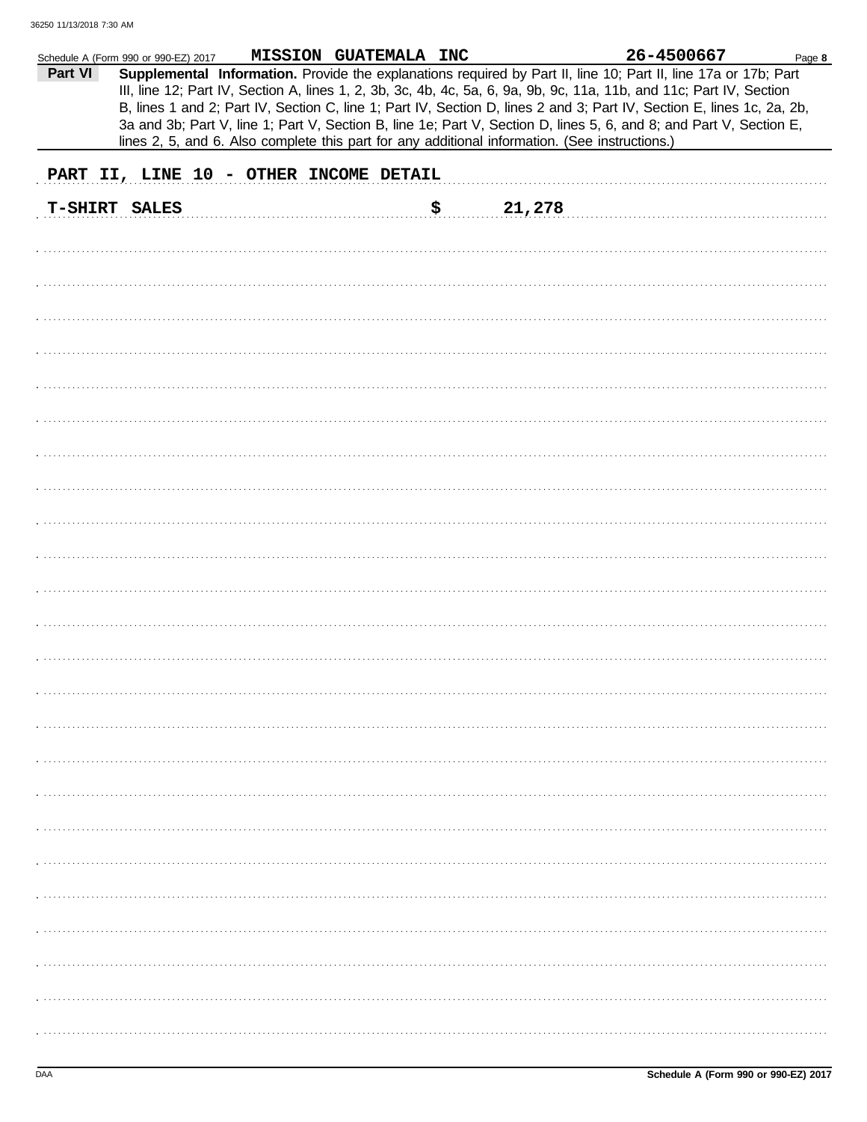| Schedule A (Form 990 or 990-EZ) 2017 |                      |  | <b>MISSION GUATEMALA INC</b>           |     |                                                                                                | 26-4500667                                                                                                             | Page 8 |
|--------------------------------------|----------------------|--|----------------------------------------|-----|------------------------------------------------------------------------------------------------|------------------------------------------------------------------------------------------------------------------------|--------|
| Part VI                              |                      |  |                                        |     |                                                                                                | Supplemental Information. Provide the explanations required by Part II, line 10; Part II, line 17a or 17b; Part        |        |
|                                      |                      |  |                                        |     |                                                                                                | III, line 12; Part IV, Section A, lines 1, 2, 3b, 3c, 4b, 4c, 5a, 6, 9a, 9b, 9c, 11a, 11b, and 11c; Part IV, Section   |        |
|                                      |                      |  |                                        |     |                                                                                                | B, lines 1 and 2; Part IV, Section C, line 1; Part IV, Section D, lines 2 and 3; Part IV, Section E, lines 1c, 2a, 2b, |        |
|                                      |                      |  |                                        |     |                                                                                                | 3a and 3b; Part V, line 1; Part V, Section B, line 1e; Part V, Section D, lines 5, 6, and 8; and Part V, Section E,    |        |
|                                      |                      |  |                                        |     |                                                                                                |                                                                                                                        |        |
|                                      |                      |  |                                        |     | lines 2, 5, and 6. Also complete this part for any additional information. (See instructions.) |                                                                                                                        |        |
|                                      |                      |  |                                        |     |                                                                                                |                                                                                                                        |        |
|                                      |                      |  | PART II, LINE 10 - OTHER INCOME DETAIL |     |                                                                                                |                                                                                                                        |        |
|                                      |                      |  |                                        |     |                                                                                                |                                                                                                                        |        |
|                                      | <b>T-SHIRT SALES</b> |  |                                        | \$. | 21,278                                                                                         |                                                                                                                        |        |
|                                      |                      |  |                                        |     |                                                                                                |                                                                                                                        |        |
|                                      |                      |  |                                        |     |                                                                                                |                                                                                                                        |        |
|                                      |                      |  |                                        |     |                                                                                                |                                                                                                                        |        |
|                                      |                      |  |                                        |     |                                                                                                |                                                                                                                        |        |
|                                      |                      |  |                                        |     |                                                                                                |                                                                                                                        |        |
|                                      |                      |  |                                        |     |                                                                                                |                                                                                                                        |        |
|                                      |                      |  |                                        |     |                                                                                                |                                                                                                                        |        |
|                                      |                      |  |                                        |     |                                                                                                |                                                                                                                        |        |
|                                      |                      |  |                                        |     |                                                                                                |                                                                                                                        |        |
|                                      |                      |  |                                        |     |                                                                                                |                                                                                                                        |        |
|                                      |                      |  |                                        |     |                                                                                                |                                                                                                                        |        |
|                                      |                      |  |                                        |     |                                                                                                |                                                                                                                        |        |
|                                      |                      |  |                                        |     |                                                                                                |                                                                                                                        |        |
|                                      |                      |  |                                        |     |                                                                                                |                                                                                                                        |        |
|                                      |                      |  |                                        |     |                                                                                                |                                                                                                                        |        |
|                                      |                      |  |                                        |     |                                                                                                |                                                                                                                        |        |
|                                      |                      |  |                                        |     |                                                                                                |                                                                                                                        |        |
|                                      |                      |  |                                        |     |                                                                                                |                                                                                                                        |        |
|                                      |                      |  |                                        |     |                                                                                                |                                                                                                                        |        |
|                                      |                      |  |                                        |     |                                                                                                |                                                                                                                        |        |
|                                      |                      |  |                                        |     |                                                                                                |                                                                                                                        |        |
|                                      |                      |  |                                        |     |                                                                                                |                                                                                                                        |        |
|                                      |                      |  |                                        |     |                                                                                                |                                                                                                                        |        |
|                                      |                      |  |                                        |     |                                                                                                |                                                                                                                        |        |
|                                      |                      |  |                                        |     |                                                                                                |                                                                                                                        |        |
|                                      |                      |  |                                        |     |                                                                                                |                                                                                                                        |        |
|                                      |                      |  |                                        |     |                                                                                                |                                                                                                                        |        |
|                                      |                      |  |                                        |     |                                                                                                |                                                                                                                        |        |
|                                      |                      |  |                                        |     |                                                                                                |                                                                                                                        |        |
|                                      |                      |  |                                        |     |                                                                                                |                                                                                                                        |        |
|                                      |                      |  |                                        |     |                                                                                                |                                                                                                                        |        |
|                                      |                      |  |                                        |     |                                                                                                |                                                                                                                        |        |
|                                      |                      |  |                                        |     |                                                                                                |                                                                                                                        |        |
|                                      |                      |  |                                        |     |                                                                                                |                                                                                                                        |        |
|                                      |                      |  |                                        |     |                                                                                                |                                                                                                                        |        |
|                                      |                      |  |                                        |     |                                                                                                |                                                                                                                        |        |
|                                      |                      |  |                                        |     |                                                                                                |                                                                                                                        |        |
|                                      |                      |  |                                        |     |                                                                                                |                                                                                                                        |        |
|                                      |                      |  |                                        |     |                                                                                                |                                                                                                                        |        |
|                                      |                      |  |                                        |     |                                                                                                |                                                                                                                        |        |
|                                      |                      |  |                                        |     |                                                                                                |                                                                                                                        |        |
|                                      |                      |  |                                        |     |                                                                                                |                                                                                                                        |        |
|                                      |                      |  |                                        |     |                                                                                                |                                                                                                                        |        |
|                                      |                      |  |                                        |     |                                                                                                |                                                                                                                        |        |
|                                      |                      |  |                                        |     |                                                                                                |                                                                                                                        |        |
|                                      |                      |  |                                        |     |                                                                                                |                                                                                                                        |        |
|                                      |                      |  |                                        |     |                                                                                                |                                                                                                                        |        |
|                                      |                      |  |                                        |     |                                                                                                |                                                                                                                        |        |
|                                      |                      |  |                                        |     |                                                                                                |                                                                                                                        |        |
|                                      |                      |  |                                        |     |                                                                                                |                                                                                                                        |        |
|                                      |                      |  |                                        |     |                                                                                                |                                                                                                                        |        |
|                                      |                      |  |                                        |     |                                                                                                |                                                                                                                        |        |
|                                      |                      |  |                                        |     |                                                                                                |                                                                                                                        |        |
|                                      |                      |  |                                        |     |                                                                                                |                                                                                                                        |        |
|                                      |                      |  |                                        |     |                                                                                                |                                                                                                                        |        |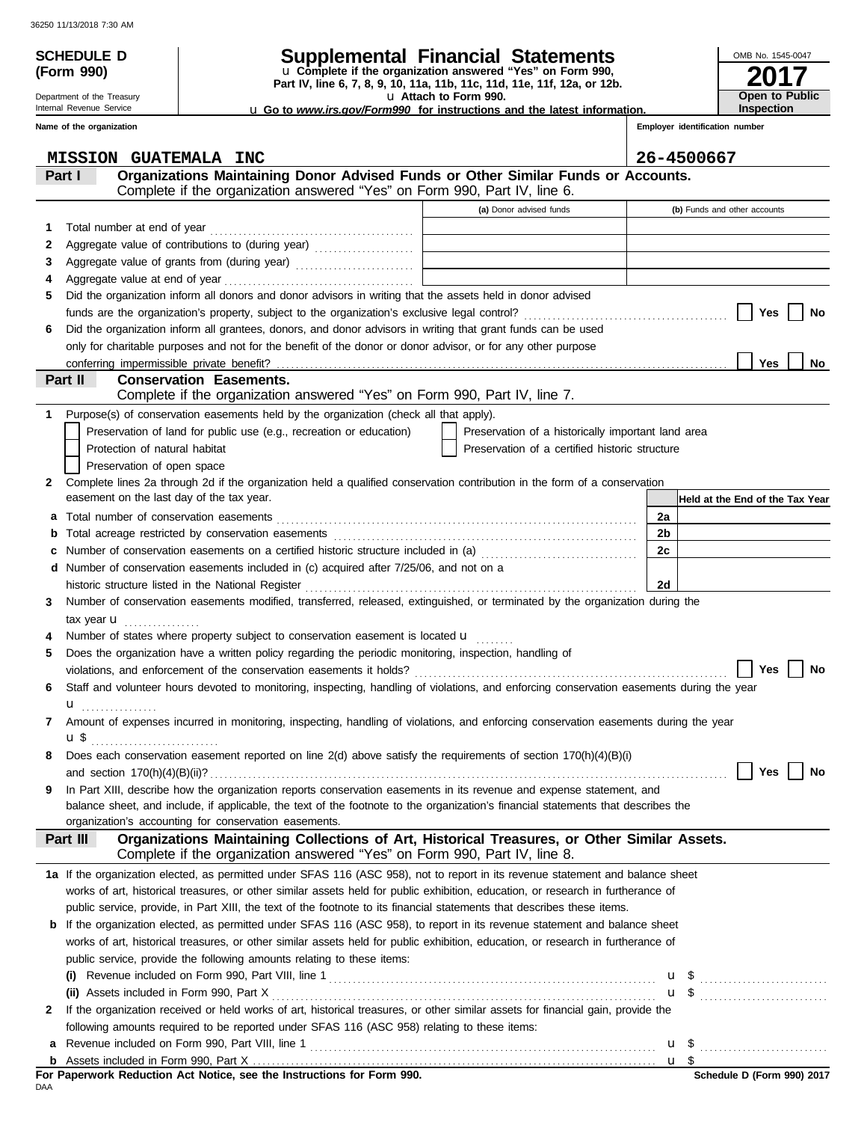Department of the Treasury Internal Revenue Service

**(Form 990)**

## **SCHEDULE D Supplemental Financial Statements**

**Part IV, line 6, 7, 8, 9, 10, 11a, 11b, 11c, 11d, 11e, 11f, 12a, or 12b.** u **Complete if the organization answered "Yes" on Form 990,**

u **Attach to Form 990.** 

|--|

**2017 Open to Public Inspection**

OMB No. 1545-0047

|  | Employer identification number |  |
|--|--------------------------------|--|
|--|--------------------------------|--|

|   | Name of the organization                                                                                                                                                                                 |                                                    | Employer identification number  |
|---|----------------------------------------------------------------------------------------------------------------------------------------------------------------------------------------------------------|----------------------------------------------------|---------------------------------|
|   |                                                                                                                                                                                                          |                                                    | 26-4500667                      |
|   | <b>MISSION GUATEMALA INC</b><br>Organizations Maintaining Donor Advised Funds or Other Similar Funds or Accounts.<br>Part I<br>Complete if the organization answered "Yes" on Form 990, Part IV, line 6. |                                                    |                                 |
|   |                                                                                                                                                                                                          | (a) Donor advised funds                            | (b) Funds and other accounts    |
| 1 | Total number at end of year                                                                                                                                                                              |                                                    |                                 |
| 2 |                                                                                                                                                                                                          |                                                    |                                 |
| 3 | Aggregate value of grants from (during year)                                                                                                                                                             |                                                    |                                 |
| 4 |                                                                                                                                                                                                          |                                                    |                                 |
| 5 | Did the organization inform all donors and donor advisors in writing that the assets held in donor advised                                                                                               |                                                    |                                 |
|   |                                                                                                                                                                                                          |                                                    | Yes<br>No                       |
| 6 | Did the organization inform all grantees, donors, and donor advisors in writing that grant funds can be used                                                                                             |                                                    |                                 |
|   | only for charitable purposes and not for the benefit of the donor or donor advisor, or for any other purpose                                                                                             |                                                    |                                 |
|   |                                                                                                                                                                                                          |                                                    | Yes<br>No                       |
|   | <b>Conservation Easements.</b><br>Part II<br>Complete if the organization answered "Yes" on Form 990, Part IV, line 7.                                                                                   |                                                    |                                 |
| 1 | Purpose(s) of conservation easements held by the organization (check all that apply).                                                                                                                    |                                                    |                                 |
|   | Preservation of land for public use (e.g., recreation or education)                                                                                                                                      | Preservation of a historically important land area |                                 |
|   | Protection of natural habitat                                                                                                                                                                            | Preservation of a certified historic structure     |                                 |
|   | Preservation of open space                                                                                                                                                                               |                                                    |                                 |
| 2 | Complete lines 2a through 2d if the organization held a qualified conservation contribution in the form of a conservation                                                                                |                                                    |                                 |
|   | easement on the last day of the tax year.                                                                                                                                                                |                                                    | Held at the End of the Tax Year |
| а |                                                                                                                                                                                                          |                                                    | 2a                              |
| b |                                                                                                                                                                                                          |                                                    | 2 <sub>b</sub>                  |
| с | Number of conservation easements on a certified historic structure included in (a) [[[[[[[[[[[[[[[[[[[[[[[[]]]]]]]]                                                                                      |                                                    | 2c                              |
| d | Number of conservation easements included in (c) acquired after 7/25/06, and not on a                                                                                                                    |                                                    |                                 |
|   |                                                                                                                                                                                                          |                                                    | 2d                              |
| 3 | Number of conservation easements modified, transferred, released, extinguished, or terminated by the organization during the                                                                             |                                                    |                                 |
|   | tax year $\mathbf{u}$                                                                                                                                                                                    |                                                    |                                 |
| 4 | Number of states where property subject to conservation easement is located u                                                                                                                            |                                                    |                                 |
| 5 | Does the organization have a written policy regarding the periodic monitoring, inspection, handling of                                                                                                   |                                                    | Yes<br>No                       |
| 6 | Staff and volunteer hours devoted to monitoring, inspecting, handling of violations, and enforcing conservation easements during the year                                                                |                                                    |                                 |
|   | u                                                                                                                                                                                                        |                                                    |                                 |
| 7 | Amount of expenses incurred in monitoring, inspecting, handling of violations, and enforcing conservation easements during the year                                                                      |                                                    |                                 |
|   | u \$                                                                                                                                                                                                     |                                                    |                                 |
|   | Does each conservation easement reported on line 2(d) above satisfy the requirements of section 170(h)(4)(B)(i)                                                                                          |                                                    |                                 |
|   |                                                                                                                                                                                                          |                                                    | Yes<br>No                       |
| 9 | In Part XIII, describe how the organization reports conservation easements in its revenue and expense statement, and                                                                                     |                                                    |                                 |
|   | balance sheet, and include, if applicable, the text of the footnote to the organization's financial statements that describes the                                                                        |                                                    |                                 |
|   | organization's accounting for conservation easements.                                                                                                                                                    |                                                    |                                 |
|   | Organizations Maintaining Collections of Art, Historical Treasures, or Other Similar Assets.<br>Part III<br>Complete if the organization answered "Yes" on Form 990, Part IV, line 8.                    |                                                    |                                 |
|   | 1a If the organization elected, as permitted under SFAS 116 (ASC 958), not to report in its revenue statement and balance sheet                                                                          |                                                    |                                 |
|   | works of art, historical treasures, or other similar assets held for public exhibition, education, or research in furtherance of                                                                         |                                                    |                                 |
|   | public service, provide, in Part XIII, the text of the footnote to its financial statements that describes these items.                                                                                  |                                                    |                                 |
| b | If the organization elected, as permitted under SFAS 116 (ASC 958), to report in its revenue statement and balance sheet                                                                                 |                                                    |                                 |
|   | works of art, historical treasures, or other similar assets held for public exhibition, education, or research in furtherance of                                                                         |                                                    |                                 |
|   | public service, provide the following amounts relating to these items:                                                                                                                                   |                                                    |                                 |
|   |                                                                                                                                                                                                          |                                                    |                                 |
|   |                                                                                                                                                                                                          |                                                    | $\mathbf{u}$ \$ $\ldots$        |
| 2 | If the organization received or held works of art, historical treasures, or other similar assets for financial gain, provide the                                                                         |                                                    |                                 |
|   | following amounts required to be reported under SFAS 116 (ASC 958) relating to these items:                                                                                                              |                                                    |                                 |
| а |                                                                                                                                                                                                          |                                                    | $u \,$ s                        |
|   |                                                                                                                                                                                                          |                                                    |                                 |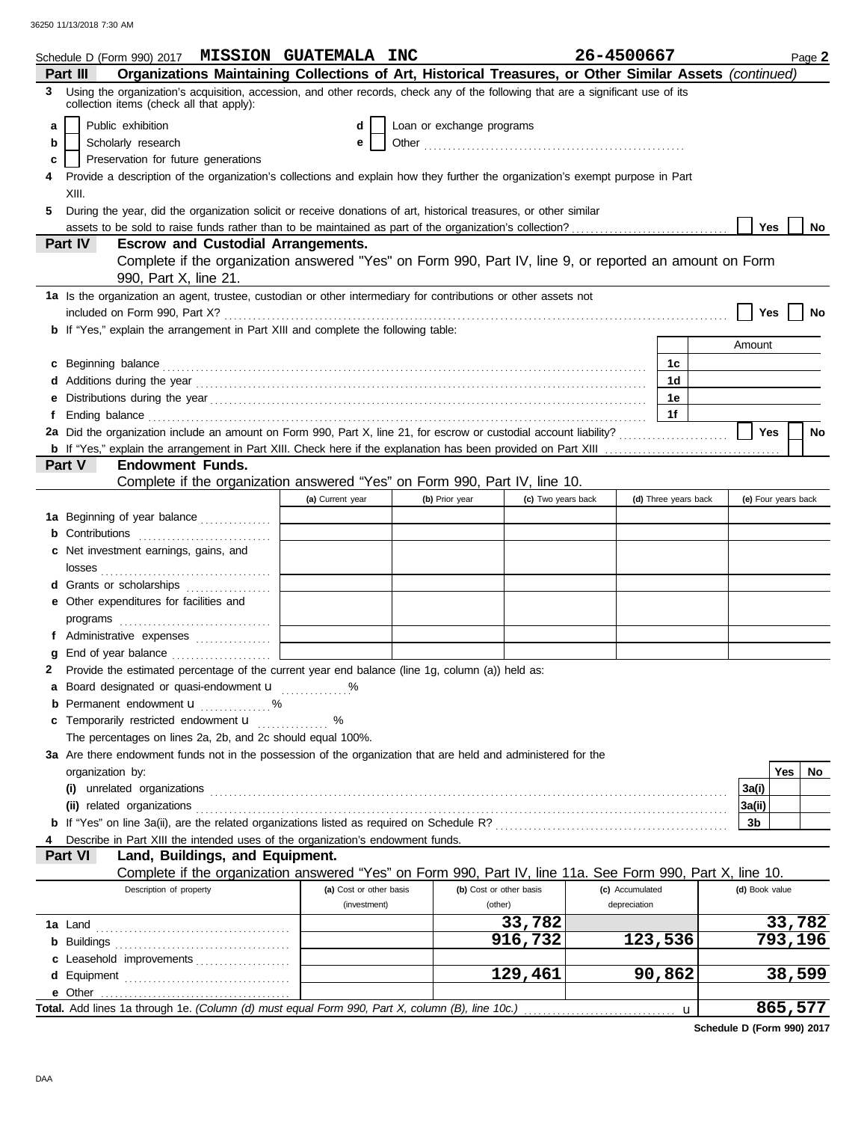|   | Schedule D (Form 990) 2017 MISSION GUATEMALA INC<br>Organizations Maintaining Collections of Art, Historical Treasures, or Other Similar Assets (continued)<br>Part III                                                              |                         |                           |                         | 26-4500667                      |                      |                | Page 2              |
|---|--------------------------------------------------------------------------------------------------------------------------------------------------------------------------------------------------------------------------------------|-------------------------|---------------------------|-------------------------|---------------------------------|----------------------|----------------|---------------------|
|   | 3 Using the organization's acquisition, accession, and other records, check any of the following that are a significant use of its                                                                                                   |                         |                           |                         |                                 |                      |                |                     |
|   | collection items (check all that apply):                                                                                                                                                                                             |                         |                           |                         |                                 |                      |                |                     |
| a | Public exhibition                                                                                                                                                                                                                    | d                       | Loan or exchange programs |                         |                                 |                      |                |                     |
| b | Scholarly research                                                                                                                                                                                                                   | е                       |                           |                         |                                 |                      |                |                     |
| c | Preservation for future generations                                                                                                                                                                                                  |                         |                           |                         |                                 |                      |                |                     |
| 4 | Provide a description of the organization's collections and explain how they further the organization's exempt purpose in Part                                                                                                       |                         |                           |                         |                                 |                      |                |                     |
| 5 | XIII.<br>During the year, did the organization solicit or receive donations of art, historical treasures, or other similar                                                                                                           |                         |                           |                         |                                 |                      |                |                     |
|   |                                                                                                                                                                                                                                      |                         |                           |                         |                                 |                      | <b>Yes</b>     | No                  |
|   | Part IV<br><b>Escrow and Custodial Arrangements.</b>                                                                                                                                                                                 |                         |                           |                         |                                 |                      |                |                     |
|   | Complete if the organization answered "Yes" on Form 990, Part IV, line 9, or reported an amount on Form                                                                                                                              |                         |                           |                         |                                 |                      |                |                     |
|   | 990, Part X, line 21.                                                                                                                                                                                                                |                         |                           |                         |                                 |                      |                |                     |
|   | 1a Is the organization an agent, trustee, custodian or other intermediary for contributions or other assets not                                                                                                                      |                         |                           |                         |                                 |                      |                |                     |
|   |                                                                                                                                                                                                                                      |                         |                           |                         |                                 |                      | Yes            | No                  |
|   | <b>b</b> If "Yes," explain the arrangement in Part XIII and complete the following table:                                                                                                                                            |                         |                           |                         |                                 |                      |                |                     |
|   |                                                                                                                                                                                                                                      |                         |                           |                         |                                 |                      | Amount         |                     |
|   | c Beginning balance <b>contract to the contract of the set of the contract of the contract of the contract of the contract of the contract of the contract of the contract of the contract of the contract of the contract of th</b> |                         |                           |                         |                                 | 1c                   |                |                     |
|   |                                                                                                                                                                                                                                      |                         |                           |                         |                                 | 1d                   |                |                     |
| е |                                                                                                                                                                                                                                      |                         |                           |                         |                                 | 1е                   |                |                     |
| f |                                                                                                                                                                                                                                      |                         |                           |                         |                                 | 1f                   |                |                     |
|   | 2a Did the organization include an amount on Form 990, Part X, line 21, for escrow or custodial account liability?                                                                                                                   |                         |                           |                         |                                 |                      | <b>Yes</b>     | No                  |
|   |                                                                                                                                                                                                                                      |                         |                           |                         |                                 |                      |                |                     |
|   | <b>Endowment Funds.</b><br>Part V<br>Complete if the organization answered "Yes" on Form 990, Part IV, line 10.                                                                                                                      |                         |                           |                         |                                 |                      |                |                     |
|   |                                                                                                                                                                                                                                      | (a) Current year        |                           |                         |                                 | (d) Three years back |                | (e) Four years back |
|   |                                                                                                                                                                                                                                      |                         | (b) Prior year            | (c) Two years back      |                                 |                      |                |                     |
|   | 1a Beginning of year balance                                                                                                                                                                                                         |                         |                           |                         |                                 |                      |                |                     |
|   | <b>b</b> Contributions<br>c Net investment earnings, gains, and                                                                                                                                                                      |                         |                           |                         |                                 |                      |                |                     |
|   |                                                                                                                                                                                                                                      |                         |                           |                         |                                 |                      |                |                     |
|   | d Grants or scholarships                                                                                                                                                                                                             |                         |                           |                         |                                 |                      |                |                     |
|   | e Other expenditures for facilities and                                                                                                                                                                                              |                         |                           |                         |                                 |                      |                |                     |
|   |                                                                                                                                                                                                                                      |                         |                           |                         |                                 |                      |                |                     |
|   | f Administrative expenses                                                                                                                                                                                                            |                         |                           |                         |                                 |                      |                |                     |
| a |                                                                                                                                                                                                                                      |                         |                           |                         |                                 |                      |                |                     |
| 2 | Provide the estimated percentage of the current year end balance (line 1g, column (a)) held as:                                                                                                                                      |                         |                           |                         |                                 |                      |                |                     |
|   | a Board designated or quasi-endowment u %                                                                                                                                                                                            |                         |                           |                         |                                 |                      |                |                     |
|   | Permanent endowment <b>u</b> %                                                                                                                                                                                                       |                         |                           |                         |                                 |                      |                |                     |
| c | Temporarily restricted endowment <b>u</b>                                                                                                                                                                                            | %                       |                           |                         |                                 |                      |                |                     |
|   | The percentages on lines 2a, 2b, and 2c should equal 100%.                                                                                                                                                                           |                         |                           |                         |                                 |                      |                |                     |
|   | 3a Are there endowment funds not in the possession of the organization that are held and administered for the                                                                                                                        |                         |                           |                         |                                 |                      |                |                     |
|   | organization by:                                                                                                                                                                                                                     |                         |                           |                         |                                 |                      |                | <b>Yes</b><br>No.   |
|   |                                                                                                                                                                                                                                      |                         |                           |                         |                                 |                      | 3a(i)          |                     |
|   |                                                                                                                                                                                                                                      |                         |                           |                         |                                 |                      | 3a(ii)         |                     |
|   |                                                                                                                                                                                                                                      |                         |                           |                         |                                 |                      | 3b             |                     |
| 4 | Describe in Part XIII the intended uses of the organization's endowment funds.                                                                                                                                                       |                         |                           |                         |                                 |                      |                |                     |
|   | Land, Buildings, and Equipment.<br>Part VI                                                                                                                                                                                           |                         |                           |                         |                                 |                      |                |                     |
|   | Complete if the organization answered "Yes" on Form 990, Part IV, line 11a. See Form 990, Part X, line 10.                                                                                                                           |                         |                           |                         |                                 |                      |                |                     |
|   | Description of property                                                                                                                                                                                                              | (a) Cost or other basis |                           | (b) Cost or other basis | (c) Accumulated<br>depreciation |                      | (d) Book value |                     |
|   |                                                                                                                                                                                                                                      | (investment)            |                           | (other)                 |                                 |                      |                |                     |
|   |                                                                                                                                                                                                                                      |                         |                           | 33,782<br>916,732       |                                 |                      |                | 33,782<br>793,196   |
|   |                                                                                                                                                                                                                                      |                         |                           |                         |                                 | 123,536              |                |                     |
|   | Leasehold improvements                                                                                                                                                                                                               |                         |                           | 129,461                 |                                 | 90,862               |                | 38,599              |
| d |                                                                                                                                                                                                                                      |                         |                           |                         |                                 |                      |                |                     |
|   | Total. Add lines 1a through 1e. (Column (d) must equal Form 990, Part X, column (B), line 10c.)                                                                                                                                      |                         |                           |                         |                                 |                      |                | 865,577             |
|   |                                                                                                                                                                                                                                      |                         |                           |                         |                                 | $\mathbf u$          |                |                     |

**Schedule D (Form 990) 2017**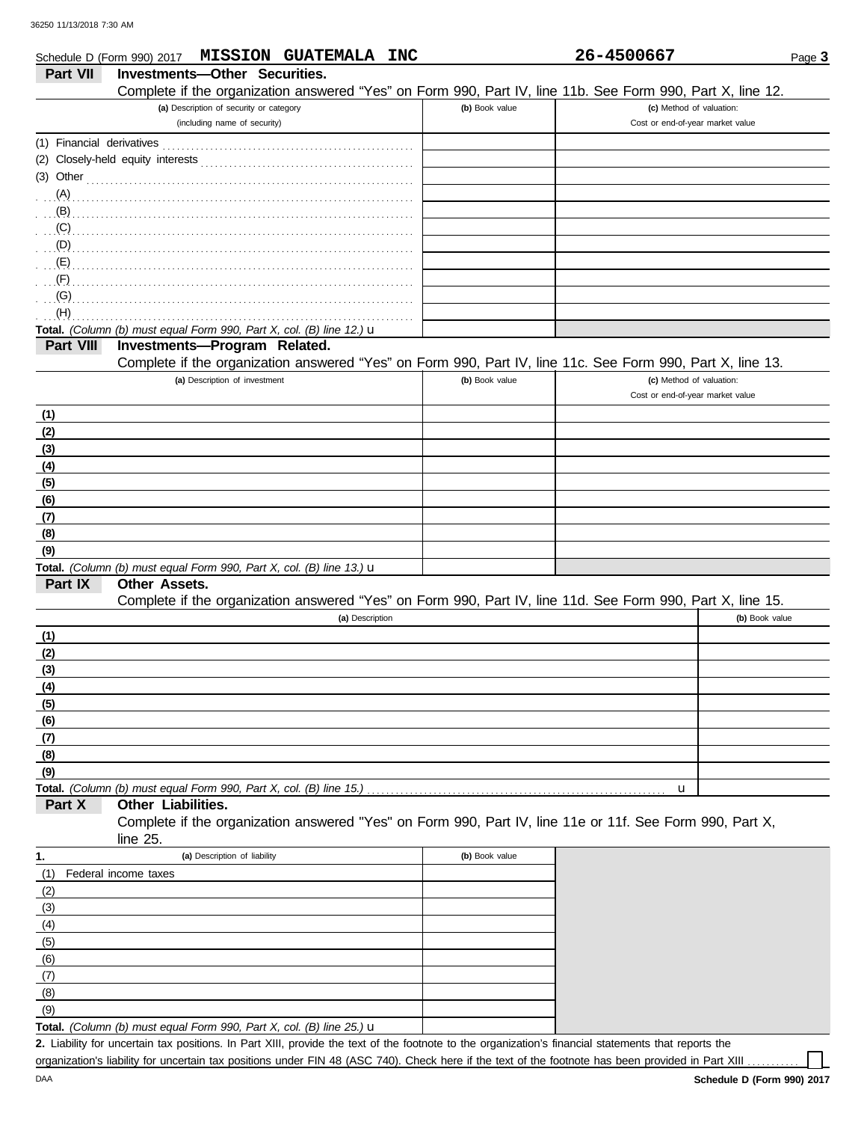|                    | <b>MISSION GUATEMALA INC</b><br>Schedule D (Form 990) 2017                                                                     |                | 26-4500667                       | Page 3         |
|--------------------|--------------------------------------------------------------------------------------------------------------------------------|----------------|----------------------------------|----------------|
| <b>Part VII</b>    | <b>Investments-Other Securities.</b>                                                                                           |                |                                  |                |
|                    | Complete if the organization answered "Yes" on Form 990, Part IV, line 11b. See Form 990, Part X, line 12.                     |                |                                  |                |
|                    | (a) Description of security or category                                                                                        | (b) Book value | (c) Method of valuation:         |                |
|                    | (including name of security)                                                                                                   |                | Cost or end-of-year market value |                |
|                    |                                                                                                                                |                |                                  |                |
|                    | (2) Closely-held equity interests                                                                                              |                |                                  |                |
|                    | (3) Other $\ldots$ and $\ldots$                                                                                                |                |                                  |                |
| (A)                |                                                                                                                                |                |                                  |                |
| (B)                |                                                                                                                                |                |                                  |                |
| (C)                |                                                                                                                                |                |                                  |                |
| $\Box$ (D)         |                                                                                                                                |                |                                  |                |
| $\mathbf{E}$ (E)   |                                                                                                                                |                |                                  |                |
| (F)                |                                                                                                                                |                |                                  |                |
| $\overline{G}$ (G) |                                                                                                                                |                |                                  |                |
| (H)                |                                                                                                                                |                |                                  |                |
|                    | Total. (Column (b) must equal Form 990, Part X, col. (B) line 12.) u                                                           |                |                                  |                |
| Part VIII          | Investments-Program Related.                                                                                                   |                |                                  |                |
|                    | Complete if the organization answered "Yes" on Form 990, Part IV, line 11c. See Form 990, Part X, line 13.                     |                |                                  |                |
|                    | (a) Description of investment                                                                                                  | (b) Book value | (c) Method of valuation:         |                |
|                    |                                                                                                                                |                | Cost or end-of-year market value |                |
| (1)                |                                                                                                                                |                |                                  |                |
| (2)                |                                                                                                                                |                |                                  |                |
| (3)                |                                                                                                                                |                |                                  |                |
| (4)                |                                                                                                                                |                |                                  |                |
| (5)<br>(6)         |                                                                                                                                |                |                                  |                |
| (7)                |                                                                                                                                |                |                                  |                |
| (8)                |                                                                                                                                |                |                                  |                |
| (9)                |                                                                                                                                |                |                                  |                |
|                    | Total. (Column (b) must equal Form 990, Part X, col. (B) line 13.) u                                                           |                |                                  |                |
| Part IX            | <b>Other Assets.</b>                                                                                                           |                |                                  |                |
|                    | Complete if the organization answered "Yes" on Form 990, Part IV, line 11d. See Form 990, Part X, line 15.                     |                |                                  |                |
|                    | (a) Description                                                                                                                |                |                                  | (b) Book value |
| (1)                |                                                                                                                                |                |                                  |                |
| (2)                |                                                                                                                                |                |                                  |                |
| (3)                |                                                                                                                                |                |                                  |                |
| <u>(4)</u>         |                                                                                                                                |                |                                  |                |
| (5)                |                                                                                                                                |                |                                  |                |
| (6)                |                                                                                                                                |                |                                  |                |
| (7)                |                                                                                                                                |                |                                  |                |
| (8)                |                                                                                                                                |                |                                  |                |
| (9)                |                                                                                                                                |                |                                  |                |
|                    | Total. (Column (b) must equal Form 990, Part X, col. (B) line 15.)                                                             |                | u                                |                |
| Part X             | Other Liabilities.<br>Complete if the organization answered "Yes" on Form 990, Part IV, line 11e or 11f. See Form 990, Part X, |                |                                  |                |
|                    | line 25.                                                                                                                       |                |                                  |                |
| 1.                 | (a) Description of liability                                                                                                   | (b) Book value |                                  |                |
| (1)                | Federal income taxes                                                                                                           |                |                                  |                |
| (2)                |                                                                                                                                |                |                                  |                |
| (3)                |                                                                                                                                |                |                                  |                |
| (4)                |                                                                                                                                |                |                                  |                |
| (5)                |                                                                                                                                |                |                                  |                |
| (6)                |                                                                                                                                |                |                                  |                |
| (7)                |                                                                                                                                |                |                                  |                |

**Total.** *(Column (b) must equal Form 990, Part X, col. (B) line 25.)* u

Liability for uncertain tax positions. In Part XIII, provide the text of the footnote to the organization's financial statements that reports the **2.** organization's liability for uncertain tax positions under FIN 48 (ASC 740). Check here if the text of the footnote has been provided in Part XIII

 $(9)$ (8)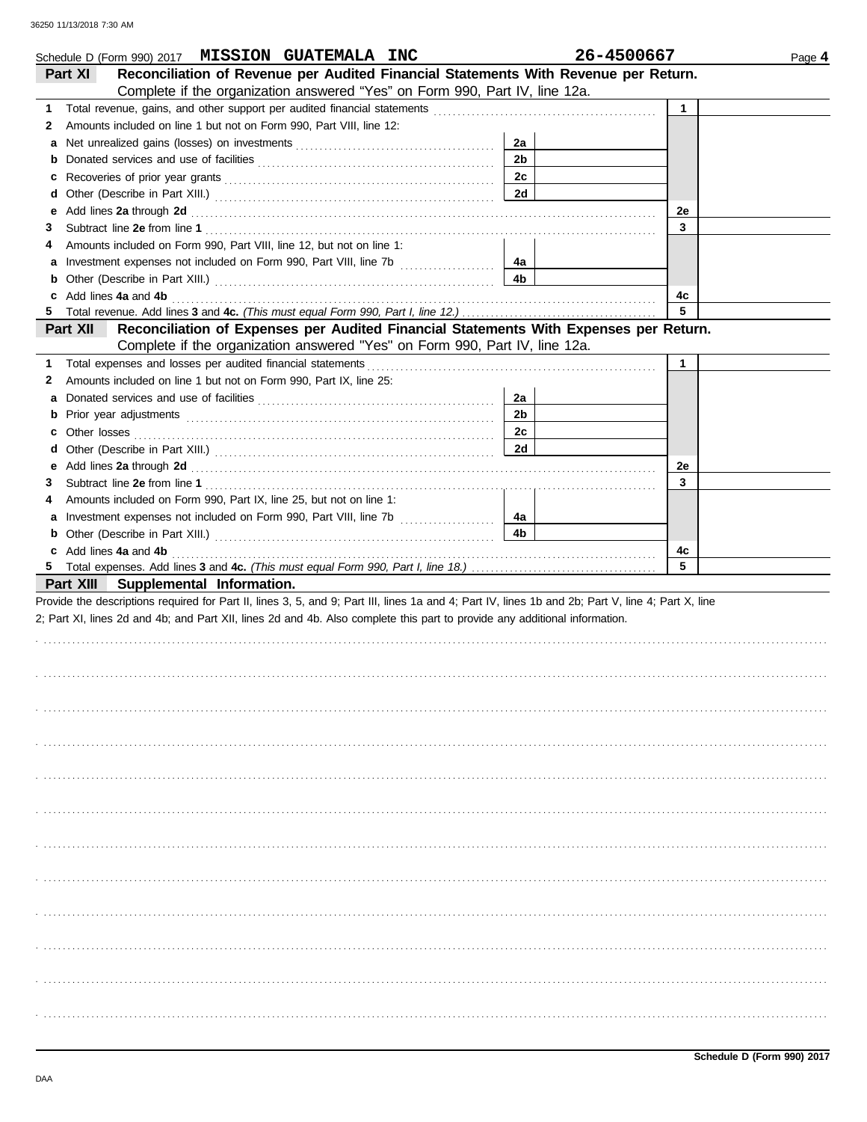|   | Schedule D (Form 990) 2017 MISSION GUATEMALA INC                                                                                                                                                                               |                | 26-4500667   | Page 4 |
|---|--------------------------------------------------------------------------------------------------------------------------------------------------------------------------------------------------------------------------------|----------------|--------------|--------|
|   | Reconciliation of Revenue per Audited Financial Statements With Revenue per Return.<br>Part XI                                                                                                                                 |                |              |        |
|   | Complete if the organization answered "Yes" on Form 990, Part IV, line 12a.                                                                                                                                                    |                |              |        |
| 1 |                                                                                                                                                                                                                                |                | $\mathbf{1}$ |        |
| 2 | Amounts included on line 1 but not on Form 990, Part VIII, line 12:                                                                                                                                                            |                |              |        |
| а |                                                                                                                                                                                                                                | 2a             |              |        |
| b |                                                                                                                                                                                                                                | 2 <sub>b</sub> |              |        |
| C |                                                                                                                                                                                                                                | 2c             |              |        |
| d |                                                                                                                                                                                                                                | 2d             |              |        |
| е | Add lines 2a through 2d [11] Additional Property and Property and Property and Property and Property and Property and Property and Property and Property and Property and Property and Property and Property and Property and  |                | 2e           |        |
| З |                                                                                                                                                                                                                                |                | 3            |        |
| 4 | Amounts included on Form 990, Part VIII, line 12, but not on line 1:                                                                                                                                                           |                |              |        |
| а |                                                                                                                                                                                                                                | 4a             |              |        |
| b |                                                                                                                                                                                                                                | 4 <sub>b</sub> |              |        |
| c | Add lines 4a and 4b                                                                                                                                                                                                            |                | 4с           |        |
|   |                                                                                                                                                                                                                                |                | 5            |        |
|   | Reconciliation of Expenses per Audited Financial Statements With Expenses per Return.<br>Part XII                                                                                                                              |                |              |        |
|   | Complete if the organization answered "Yes" on Form 990, Part IV, line 12a.                                                                                                                                                    |                |              |        |
| 1 | Total expenses and losses per audited financial statements                                                                                                                                                                     |                | 1            |        |
| 2 | Amounts included on line 1 but not on Form 990, Part IX, line 25:                                                                                                                                                              |                |              |        |
| а |                                                                                                                                                                                                                                | 2a             |              |        |
| b |                                                                                                                                                                                                                                | 2 <sub>b</sub> |              |        |
|   |                                                                                                                                                                                                                                | 2c             |              |        |
|   |                                                                                                                                                                                                                                | 2d             |              |        |
| е | Add lines 2a through 2d [11] Additional Contract of Additional Contract of Additional Contract of Additional Contract of Additional Contract of Additional Contract of Additional Contract of Additional Contract of Additiona |                | 2e           |        |
| 3 |                                                                                                                                                                                                                                |                | 3            |        |
| 4 | Amounts included on Form 990, Part IX, line 25, but not on line 1:                                                                                                                                                             |                |              |        |
| а |                                                                                                                                                                                                                                | 4a             |              |        |
| b |                                                                                                                                                                                                                                | 4b             |              |        |
|   | c Add lines 4a and 4b                                                                                                                                                                                                          |                | 4c           |        |
|   |                                                                                                                                                                                                                                |                | 5            |        |
|   | Part XIII Supplemental Information.                                                                                                                                                                                            |                |              |        |
|   | Provide the descriptions required for Part II, lines 3, 5, and 9; Part III, lines 1a and 4; Part IV, lines 1b and 2b; Part V, line 4; Part X, line                                                                             |                |              |        |
|   | 2; Part XI, lines 2d and 4b; and Part XII, lines 2d and 4b. Also complete this part to provide any additional information.                                                                                                     |                |              |        |
|   |                                                                                                                                                                                                                                |                |              |        |
|   |                                                                                                                                                                                                                                |                |              |        |
|   |                                                                                                                                                                                                                                |                |              |        |
|   |                                                                                                                                                                                                                                |                |              |        |
|   |                                                                                                                                                                                                                                |                |              |        |
|   |                                                                                                                                                                                                                                |                |              |        |
|   |                                                                                                                                                                                                                                |                |              |        |
|   |                                                                                                                                                                                                                                |                |              |        |
|   |                                                                                                                                                                                                                                |                |              |        |
|   |                                                                                                                                                                                                                                |                |              |        |
|   |                                                                                                                                                                                                                                |                |              |        |
|   |                                                                                                                                                                                                                                |                |              |        |
|   |                                                                                                                                                                                                                                |                |              |        |
|   |                                                                                                                                                                                                                                |                |              |        |
|   |                                                                                                                                                                                                                                |                |              |        |
|   |                                                                                                                                                                                                                                |                |              |        |
|   |                                                                                                                                                                                                                                |                |              |        |
|   |                                                                                                                                                                                                                                |                |              |        |
|   |                                                                                                                                                                                                                                |                |              |        |
|   |                                                                                                                                                                                                                                |                |              |        |
|   |                                                                                                                                                                                                                                |                |              |        |
|   |                                                                                                                                                                                                                                |                |              |        |
|   |                                                                                                                                                                                                                                |                |              |        |
|   |                                                                                                                                                                                                                                |                |              |        |
|   |                                                                                                                                                                                                                                |                |              |        |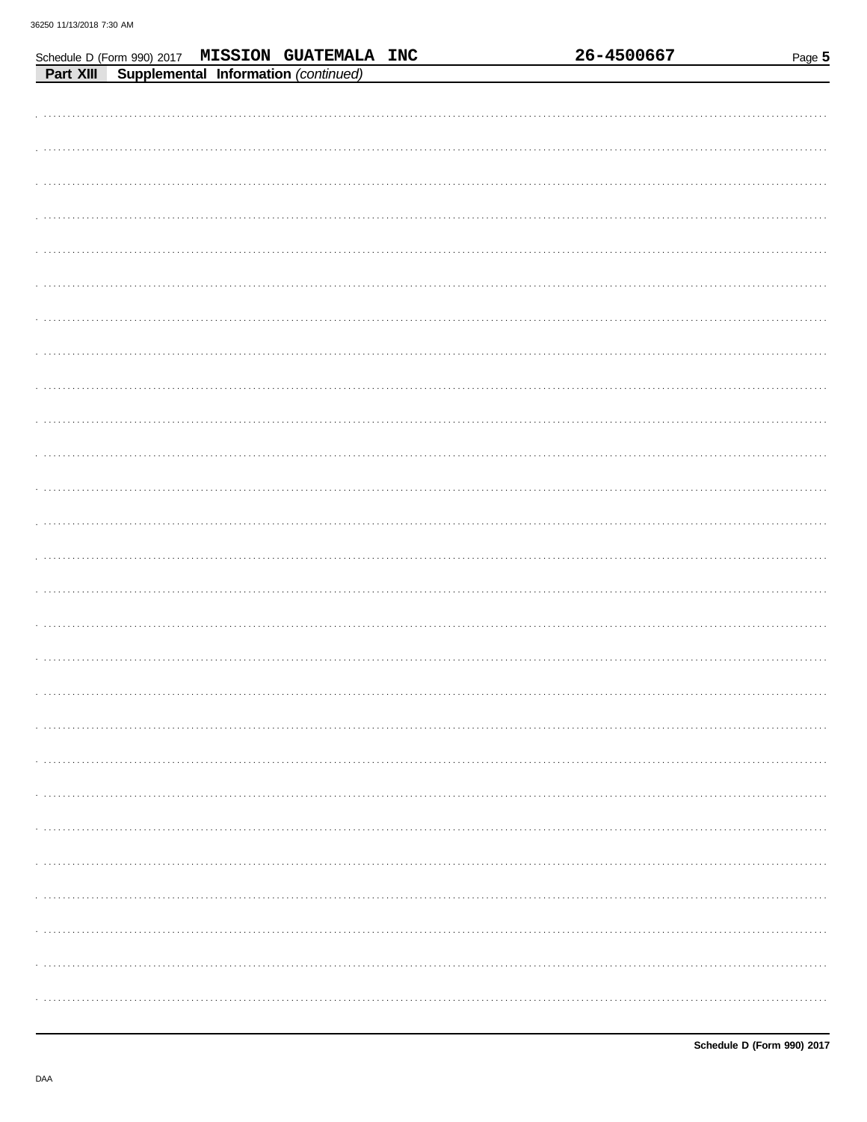| Schedule D (Form 990) 2017 MISSION GUATEMALA INC  | 26-4500667 | Page 5 |
|---------------------------------------------------|------------|--------|
| Supplemental Information (continued)<br>Part XIII |            |        |
|                                                   |            |        |
|                                                   |            |        |
|                                                   |            |        |
|                                                   |            |        |
|                                                   |            |        |
|                                                   |            |        |
|                                                   |            |        |
|                                                   |            |        |
|                                                   |            |        |
|                                                   |            |        |
|                                                   |            |        |
|                                                   |            |        |
|                                                   |            |        |
|                                                   |            |        |
|                                                   |            |        |
|                                                   |            |        |
|                                                   |            |        |
|                                                   |            |        |
|                                                   |            |        |
|                                                   |            |        |
|                                                   |            |        |
|                                                   |            |        |
|                                                   |            |        |
|                                                   |            |        |
|                                                   |            |        |
|                                                   |            |        |
|                                                   |            |        |
|                                                   |            |        |
|                                                   |            |        |
|                                                   |            |        |
|                                                   |            |        |
|                                                   |            |        |
|                                                   |            |        |
|                                                   |            |        |
|                                                   |            |        |
|                                                   |            |        |
|                                                   |            |        |
|                                                   |            |        |
|                                                   |            |        |
|                                                   |            |        |
|                                                   |            |        |
|                                                   |            |        |
|                                                   |            |        |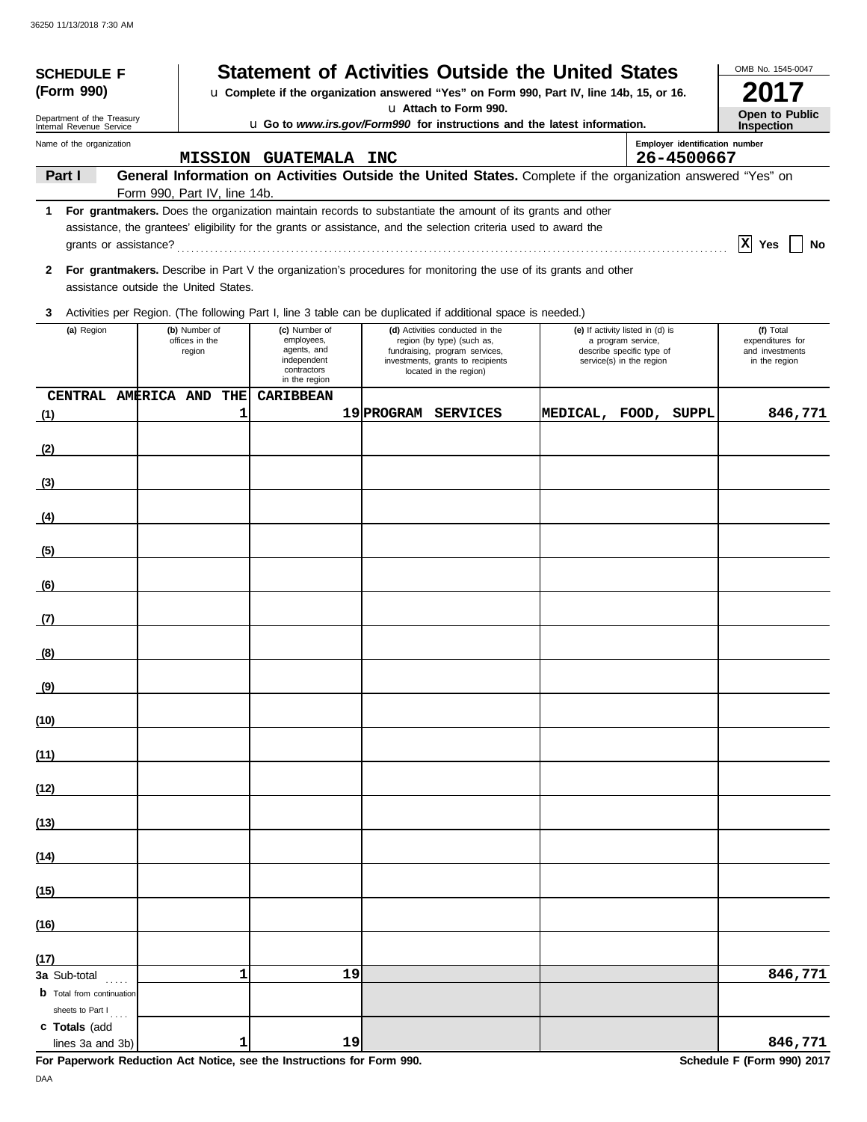| <b>SCHEDULE F</b>                                      |  | <b>Statement of Activities Outside the United States</b> |                                                                                                   |    |                                                                                                                                                                |  |  |                                                                                                                 |                                              | OMB No. 1545-0047<br>2017                                         |
|--------------------------------------------------------|--|----------------------------------------------------------|---------------------------------------------------------------------------------------------------|----|----------------------------------------------------------------------------------------------------------------------------------------------------------------|--|--|-----------------------------------------------------------------------------------------------------------------|----------------------------------------------|-------------------------------------------------------------------|
| (Form 990)                                             |  |                                                          | u Complete if the organization answered "Yes" on Form 990, Part IV, line 14b, 15, or 16.          |    |                                                                                                                                                                |  |  |                                                                                                                 |                                              |                                                                   |
| Department of the Treasury<br>Internal Revenue Service |  |                                                          | u Attach to Form 990.<br>u Go to www.irs.gov/Form990 for instructions and the latest information. |    |                                                                                                                                                                |  |  |                                                                                                                 |                                              | Open to Public<br><b>Inspection</b>                               |
| Name of the organization                               |  |                                                          | <b>MISSION GUATEMALA INC</b>                                                                      |    |                                                                                                                                                                |  |  |                                                                                                                 | Employer identification number<br>26-4500667 |                                                                   |
| Part I                                                 |  |                                                          |                                                                                                   |    | General Information on Activities Outside the United States. Complete if the organization answered "Yes" on                                                    |  |  |                                                                                                                 |                                              |                                                                   |
|                                                        |  | Form 990, Part IV, line 14b.                             |                                                                                                   |    | 1 For grantmakers. Does the organization maintain records to substantiate the amount of its grants and other                                                   |  |  |                                                                                                                 |                                              |                                                                   |
| grants or assistance?                                  |  |                                                          |                                                                                                   |    | assistance, the grantees' eligibility for the grants or assistance, and the selection criteria used to award the                                               |  |  |                                                                                                                 |                                              | $ X $ Yes<br>No                                                   |
| $\mathbf{2}$<br>assistance outside the United States.  |  |                                                          |                                                                                                   |    | For grantmakers. Describe in Part V the organization's procedures for monitoring the use of its grants and other                                               |  |  |                                                                                                                 |                                              |                                                                   |
| 3                                                      |  |                                                          |                                                                                                   |    | Activities per Region. (The following Part I, line 3 table can be duplicated if additional space is needed.)                                                   |  |  |                                                                                                                 |                                              |                                                                   |
| (a) Region                                             |  | (b) Number of<br>offices in the<br>region                | (c) Number of<br>employees,<br>agents, and<br>independent<br>contractors<br>in the region         |    | (d) Activities conducted in the<br>region (by type) (such as,<br>fundraising, program services,<br>investments, grants to recipients<br>located in the region) |  |  | (e) If activity listed in (d) is<br>a program service,<br>describe specific type of<br>service(s) in the region |                                              | (f) Total<br>expenditures for<br>and investments<br>in the region |
| CENTRAL AMERICA AND THE                                |  |                                                          | <b>CARIBBEAN</b>                                                                                  |    |                                                                                                                                                                |  |  |                                                                                                                 |                                              |                                                                   |
| (1)                                                    |  | 1                                                        |                                                                                                   |    | 19 PROGRAM SERVICES                                                                                                                                            |  |  |                                                                                                                 | MEDICAL, FOOD, SUPPL                         | 846,771                                                           |
| (2)                                                    |  |                                                          |                                                                                                   |    |                                                                                                                                                                |  |  |                                                                                                                 |                                              |                                                                   |
| (3)                                                    |  |                                                          |                                                                                                   |    |                                                                                                                                                                |  |  |                                                                                                                 |                                              |                                                                   |
| (4)                                                    |  |                                                          |                                                                                                   |    |                                                                                                                                                                |  |  |                                                                                                                 |                                              |                                                                   |
| (5)                                                    |  |                                                          |                                                                                                   |    |                                                                                                                                                                |  |  |                                                                                                                 |                                              |                                                                   |
| (6)                                                    |  |                                                          |                                                                                                   |    |                                                                                                                                                                |  |  |                                                                                                                 |                                              |                                                                   |
| (7)                                                    |  |                                                          |                                                                                                   |    |                                                                                                                                                                |  |  |                                                                                                                 |                                              |                                                                   |
| (8)                                                    |  |                                                          |                                                                                                   |    |                                                                                                                                                                |  |  |                                                                                                                 |                                              |                                                                   |
| (9)                                                    |  |                                                          |                                                                                                   |    |                                                                                                                                                                |  |  |                                                                                                                 |                                              |                                                                   |
| (10)                                                   |  |                                                          |                                                                                                   |    |                                                                                                                                                                |  |  |                                                                                                                 |                                              |                                                                   |
| (11)                                                   |  |                                                          |                                                                                                   |    |                                                                                                                                                                |  |  |                                                                                                                 |                                              |                                                                   |
| (12)                                                   |  |                                                          |                                                                                                   |    |                                                                                                                                                                |  |  |                                                                                                                 |                                              |                                                                   |
| (13)                                                   |  |                                                          |                                                                                                   |    |                                                                                                                                                                |  |  |                                                                                                                 |                                              |                                                                   |
| (14)                                                   |  |                                                          |                                                                                                   |    |                                                                                                                                                                |  |  |                                                                                                                 |                                              |                                                                   |
| (15)                                                   |  |                                                          |                                                                                                   |    |                                                                                                                                                                |  |  |                                                                                                                 |                                              |                                                                   |
| (16)                                                   |  |                                                          |                                                                                                   |    |                                                                                                                                                                |  |  |                                                                                                                 |                                              |                                                                   |
| (17)                                                   |  |                                                          |                                                                                                   |    |                                                                                                                                                                |  |  |                                                                                                                 |                                              |                                                                   |
| 3a Sub-total<br><b>b</b> Total from continuation       |  | $\mathbf{1}$                                             |                                                                                                   | 19 |                                                                                                                                                                |  |  |                                                                                                                 |                                              | 846,771                                                           |
| sheets to Part I<br>c Totals (add                      |  |                                                          |                                                                                                   |    |                                                                                                                                                                |  |  |                                                                                                                 |                                              |                                                                   |
| lines 3a and 3b)                                       |  | 1                                                        |                                                                                                   | 19 |                                                                                                                                                                |  |  |                                                                                                                 |                                              | 846,771                                                           |

**For Paperwork Reduction Act Notice, see the Instructions for Form 990.** Schedule F (Form 990) 2017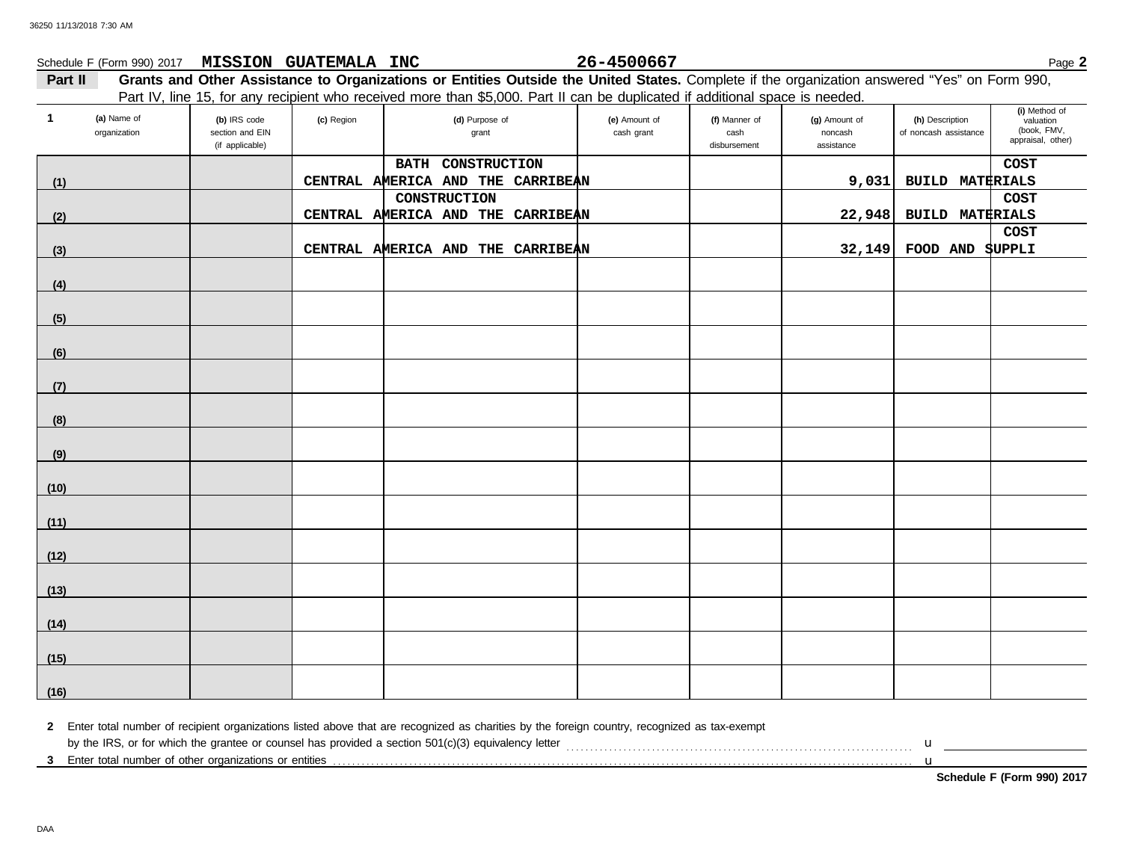|         | Schedule F (Form 990) 2017  | MISSION                                                  | <b>GUATEMALA</b> | <b>INC</b>                                                                                                                                   | 26-4500667                  |                                       |                                        |                                          | Page 2                                                         |
|---------|-----------------------------|----------------------------------------------------------|------------------|----------------------------------------------------------------------------------------------------------------------------------------------|-----------------------------|---------------------------------------|----------------------------------------|------------------------------------------|----------------------------------------------------------------|
| Part II |                             |                                                          |                  | Grants and Other Assistance to Organizations or Entities Outside the United States. Complete if the organization answered "Yes" on Form 990, |                             |                                       |                                        |                                          |                                                                |
|         |                             |                                                          |                  | Part IV, line 15, for any recipient who received more than \$5,000. Part II can be duplicated if additional space is needed.                 |                             |                                       |                                        |                                          |                                                                |
|         | (a) Name of<br>organization | (b) IRS code<br>section and EIN<br>$($ if annlicahle $)$ | (c) Region       | (d) Purpose of<br>grant                                                                                                                      | (e) Amount of<br>cash grant | (f) Manner of<br>cash<br>dichurcamant | (g) Amount of<br>noncash<br>accictance | (h) Description<br>of noncash assistance | (i) Method of<br>valuation<br>(book, FMV,<br>appraisal, other) |

| organization | section and EIN<br>(if applicable) | grant                             | casn grant | casn<br>disbursement | noncasn<br>assistance | or noncasn assistance    | (book, i MV,<br>appraisal, other) |
|--------------|------------------------------------|-----------------------------------|------------|----------------------|-----------------------|--------------------------|-----------------------------------|
|              |                                    | BATH CONSTRUCTION                 |            |                      |                       |                          | COST                              |
| (1)          |                                    | CENTRAL AMERICA AND THE CARRIBEAN |            |                      |                       | 9,031 BUILD MATERIALS    |                                   |
|              |                                    | CONSTRUCTION                      |            |                      |                       |                          | COST                              |
| (2)          |                                    | CENTRAL AMERICA AND THE CARRIBEAN |            |                      |                       | $22,948$ BUILD MATERIALS |                                   |
|              |                                    |                                   |            |                      |                       |                          | COST                              |
| (3)          |                                    | CENTRAL AMERICA AND THE CARRIBEAN |            |                      |                       | $32,149$ FOOD AND SUPPLI |                                   |
|              |                                    |                                   |            |                      |                       |                          |                                   |
| (4)          |                                    |                                   |            |                      |                       |                          |                                   |
|              |                                    |                                   |            |                      |                       |                          |                                   |
| (5)          |                                    |                                   |            |                      |                       |                          |                                   |
| (6)          |                                    |                                   |            |                      |                       |                          |                                   |
|              |                                    |                                   |            |                      |                       |                          |                                   |
| (7)          |                                    |                                   |            |                      |                       |                          |                                   |
|              |                                    |                                   |            |                      |                       |                          |                                   |
| (8)          |                                    |                                   |            |                      |                       |                          |                                   |
|              |                                    |                                   |            |                      |                       |                          |                                   |
| (9)          |                                    |                                   |            |                      |                       |                          |                                   |
|              |                                    |                                   |            |                      |                       |                          |                                   |
| (10)         |                                    |                                   |            |                      |                       |                          |                                   |
|              |                                    |                                   |            |                      |                       |                          |                                   |
| (11)         |                                    |                                   |            |                      |                       |                          |                                   |
| (12)         |                                    |                                   |            |                      |                       |                          |                                   |
|              |                                    |                                   |            |                      |                       |                          |                                   |
| (13)         |                                    |                                   |            |                      |                       |                          |                                   |
|              |                                    |                                   |            |                      |                       |                          |                                   |
| (14)         |                                    |                                   |            |                      |                       |                          |                                   |
|              |                                    |                                   |            |                      |                       |                          |                                   |
| (15)         |                                    |                                   |            |                      |                       |                          |                                   |
|              |                                    |                                   |            |                      |                       |                          |                                   |
| (16)         |                                    |                                   |            |                      |                       |                          |                                   |

**2** Enter total number of recipient organizations listed above that are recognized as charities by the foreign country, recognized as tax-exempt

**3** Enter total number of other organizations or entities . . . . . . . . . . . . . . . . . . . . . . . . . . . . . . . . . . . . . . . . . . . . . . . . . . . . . . . . . . . . . . . . . . . . . . . . . . . . . . . . . . . . . . . . . . . . . . . . . . . . . . . . . . . . . . . . . . . . . . . . . .

by the IRS, or for which the grantee or counsel has provided a section 501(c)(3) equivalency letter . . . . . . . . . . . . . . . . . . . . . . . . . . . . . . . . . . . . . . . . . . . . . . . . . . . . . . . . . . . . . . . . . . . . . . . . . u

u **u** u

**Schedule F (Form 990) 2017**

DAA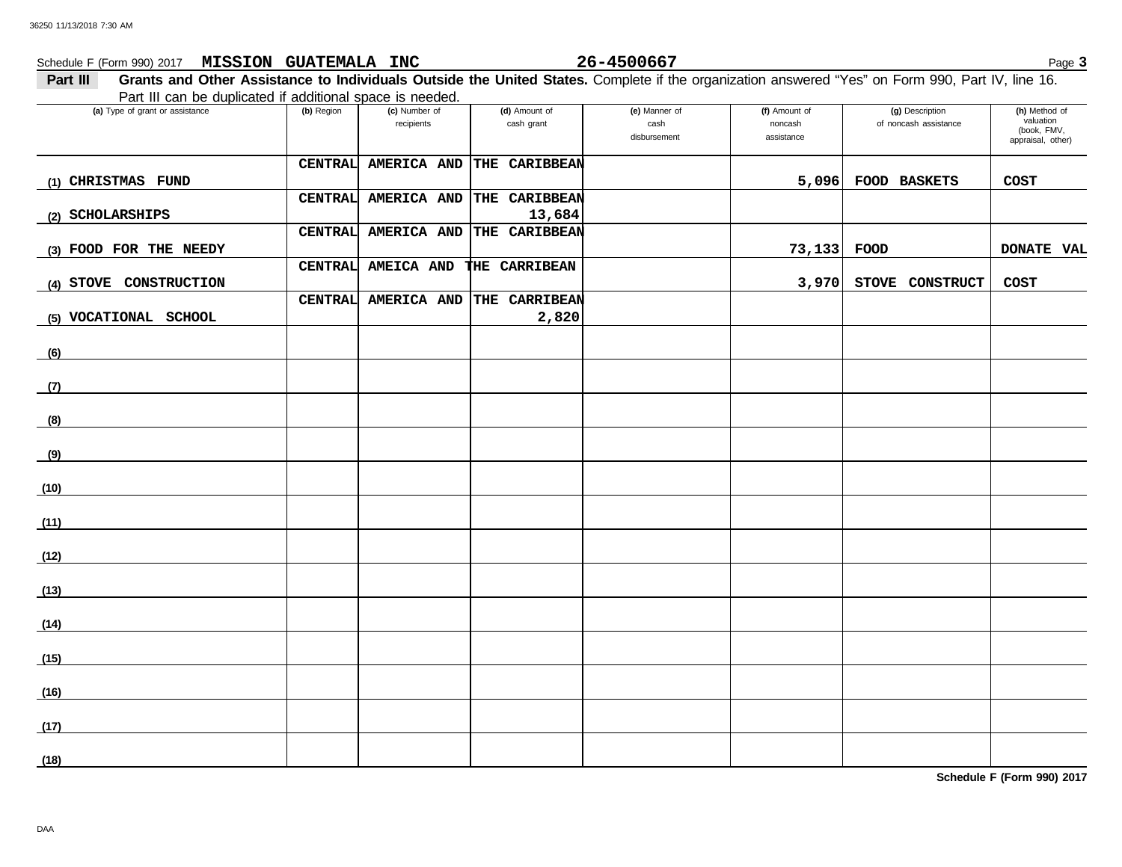## **Schedule F (Form 990) 2017 MISSION GUATEMALA INC** Page 3

Part III Grants and Other Assistance to Individuals Outside the United States. Complete if the organization answered "Yes" on Form 990, Part IV, line 16. Part III can be duplicated if additional space is needed.

| r art in carr be daplicated in additional space is necacu.                                                                                                                                                                                                                                                                                                                                                                                                        |            |                             |                                   |                                       |                                        |                                          |                                                                |
|-------------------------------------------------------------------------------------------------------------------------------------------------------------------------------------------------------------------------------------------------------------------------------------------------------------------------------------------------------------------------------------------------------------------------------------------------------------------|------------|-----------------------------|-----------------------------------|---------------------------------------|----------------------------------------|------------------------------------------|----------------------------------------------------------------|
| (a) Type of grant or assistance                                                                                                                                                                                                                                                                                                                                                                                                                                   | (b) Region | (c) Number of<br>recipients | (d) Amount of<br>cash grant       | (e) Manner of<br>cash<br>disbursement | (f) Amount of<br>noncash<br>assistance | (g) Description<br>of noncash assistance | (h) Method of<br>valuation<br>(book, FMV,<br>appraisal, other) |
| (1) CHRISTMAS FUND                                                                                                                                                                                                                                                                                                                                                                                                                                                |            | CENTRAL AMERICA AND         | THE CARIBBEAN                     |                                       |                                        | 5,096 FOOD BASKETS                       | <b>COST</b>                                                    |
|                                                                                                                                                                                                                                                                                                                                                                                                                                                                   |            |                             | CENTRAL AMERICA AND THE CARIBBEAN |                                       |                                        |                                          |                                                                |
| (2) SCHOLARSHIPS                                                                                                                                                                                                                                                                                                                                                                                                                                                  |            |                             | 13,684                            |                                       |                                        |                                          |                                                                |
|                                                                                                                                                                                                                                                                                                                                                                                                                                                                   |            | CENTRAL AMERICA AND         | THE CARIBBEAN                     |                                       |                                        |                                          |                                                                |
| (3) FOOD FOR THE NEEDY                                                                                                                                                                                                                                                                                                                                                                                                                                            |            |                             |                                   |                                       | 73,133 FOOD                            |                                          | DONATE VAL                                                     |
|                                                                                                                                                                                                                                                                                                                                                                                                                                                                   |            | CENTRAL AMEICA AND          | THE CARRIBEAN                     |                                       |                                        |                                          |                                                                |
| (4) STOVE CONSTRUCTION                                                                                                                                                                                                                                                                                                                                                                                                                                            |            |                             |                                   |                                       | 3,970                                  | STOVE CONSTRUCT                          | COST                                                           |
|                                                                                                                                                                                                                                                                                                                                                                                                                                                                   |            |                             | CENTRAL AMERICA AND THE CARRIBEAN |                                       |                                        |                                          |                                                                |
| (5) VOCATIONAL SCHOOL                                                                                                                                                                                                                                                                                                                                                                                                                                             |            |                             | 2,820                             |                                       |                                        |                                          |                                                                |
| (6)                                                                                                                                                                                                                                                                                                                                                                                                                                                               |            |                             |                                   |                                       |                                        |                                          |                                                                |
| (7)                                                                                                                                                                                                                                                                                                                                                                                                                                                               |            |                             |                                   |                                       |                                        |                                          |                                                                |
|                                                                                                                                                                                                                                                                                                                                                                                                                                                                   |            |                             |                                   |                                       |                                        |                                          |                                                                |
| (8)                                                                                                                                                                                                                                                                                                                                                                                                                                                               |            |                             |                                   |                                       |                                        |                                          |                                                                |
| (9)                                                                                                                                                                                                                                                                                                                                                                                                                                                               |            |                             |                                   |                                       |                                        |                                          |                                                                |
| (10)<br><u> 1980 - Jan Barbara Barat, prima populație de la provincia de la provincia de la provincia de la provincia de</u>                                                                                                                                                                                                                                                                                                                                      |            |                             |                                   |                                       |                                        |                                          |                                                                |
|                                                                                                                                                                                                                                                                                                                                                                                                                                                                   |            |                             |                                   |                                       |                                        |                                          |                                                                |
| (11)<br><u> 1999 - Alexandr Alexandr III (b. 1914)</u>                                                                                                                                                                                                                                                                                                                                                                                                            |            |                             |                                   |                                       |                                        |                                          |                                                                |
| (12)<br>the control of the control of the control of                                                                                                                                                                                                                                                                                                                                                                                                              |            |                             |                                   |                                       |                                        |                                          |                                                                |
| (13)<br>$\mathcal{L}^{\mathcal{L}}(\mathcal{L}^{\mathcal{L}}(\mathcal{L}^{\mathcal{L}}(\mathcal{L}^{\mathcal{L}}(\mathcal{L}^{\mathcal{L}}(\mathcal{L}^{\mathcal{L}}(\mathcal{L}^{\mathcal{L}}(\mathcal{L}^{\mathcal{L}}(\mathcal{L}^{\mathcal{L}}(\mathcal{L}^{\mathcal{L}}(\mathcal{L}^{\mathcal{L}}(\mathcal{L}^{\mathcal{L}}(\mathcal{L}^{\mathcal{L}}(\mathcal{L}^{\mathcal{L}}(\mathcal{L}^{\mathcal{L}}(\mathcal{L}^{\mathcal{L}}(\mathcal{L}^{\mathcal{L$ |            |                             |                                   |                                       |                                        |                                          |                                                                |
| (14)                                                                                                                                                                                                                                                                                                                                                                                                                                                              |            |                             |                                   |                                       |                                        |                                          |                                                                |
| (15)                                                                                                                                                                                                                                                                                                                                                                                                                                                              |            |                             |                                   |                                       |                                        |                                          |                                                                |
|                                                                                                                                                                                                                                                                                                                                                                                                                                                                   |            |                             |                                   |                                       |                                        |                                          |                                                                |
| (16)                                                                                                                                                                                                                                                                                                                                                                                                                                                              |            |                             |                                   |                                       |                                        |                                          |                                                                |
| (17)                                                                                                                                                                                                                                                                                                                                                                                                                                                              |            |                             |                                   |                                       |                                        |                                          |                                                                |
| (18)                                                                                                                                                                                                                                                                                                                                                                                                                                                              |            |                             |                                   |                                       |                                        |                                          |                                                                |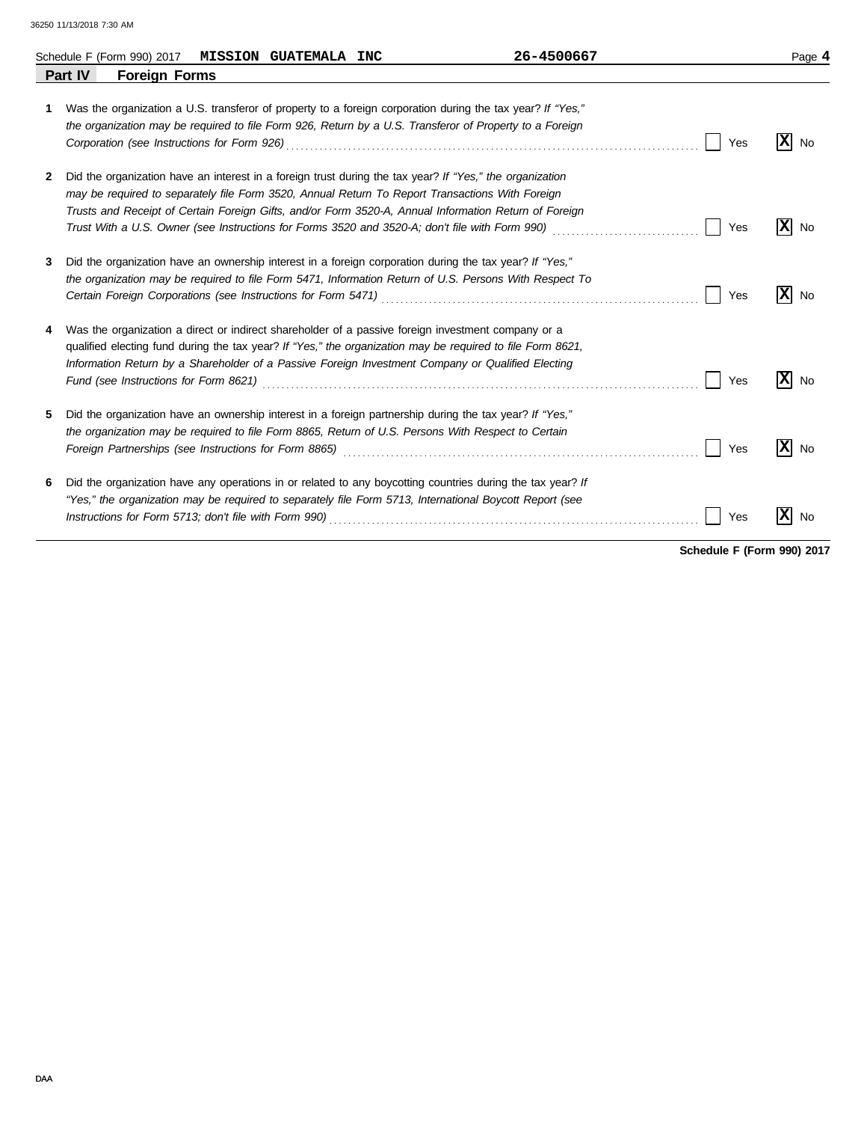|              | Schedule F (Form 990) 2017                                    | <b>MISSION GUATEMALA INC</b> | 26-4500667                                                                                                                                                                                                                                                                                                                                                                                                             |     | Page 4               |
|--------------|---------------------------------------------------------------|------------------------------|------------------------------------------------------------------------------------------------------------------------------------------------------------------------------------------------------------------------------------------------------------------------------------------------------------------------------------------------------------------------------------------------------------------------|-----|----------------------|
|              | Part IV<br><b>Foreign Forms</b>                               |                              |                                                                                                                                                                                                                                                                                                                                                                                                                        |     |                      |
| 1            |                                                               |                              | Was the organization a U.S. transferor of property to a foreign corporation during the tax year? If "Yes,"<br>the organization may be required to file Form 926, Return by a U.S. Transferor of Property to a Foreign                                                                                                                                                                                                  | Yes | X <br>No             |
| $\mathbf{2}$ |                                                               |                              | Did the organization have an interest in a foreign trust during the tax year? If "Yes," the organization<br>may be required to separately file Form 3520, Annual Return To Report Transactions With Foreign<br>Trusts and Receipt of Certain Foreign Gifts, and/or Form 3520-A, Annual Information Return of Foreign<br>Trust With a U.S. Owner (see Instructions for Forms 3520 and 3520-A; don't file with Form 990) | Yes | x <br>No             |
| 3            | Certain Foreign Corporations (see Instructions for Form 5471) |                              | Did the organization have an ownership interest in a foreign corporation during the tax year? If "Yes,"<br>the organization may be required to file Form 5471, Information Return of U.S. Persons With Respect To                                                                                                                                                                                                      | Yes | x <br>No             |
| 4            |                                                               |                              | Was the organization a direct or indirect shareholder of a passive foreign investment company or a<br>qualified electing fund during the tax year? If "Yes," the organization may be required to file Form 8621,<br>Information Return by a Shareholder of a Passive Foreign Investment Company or Qualified Electing                                                                                                  | Yes | $ \mathbf{x} $<br>No |
| 5            |                                                               |                              | Did the organization have an ownership interest in a foreign partnership during the tax year? If "Yes,"<br>the organization may be required to file Form 8865, Return of U.S. Persons With Respect to Certain                                                                                                                                                                                                          | Yes | X No                 |
| 6            |                                                               |                              | Did the organization have any operations in or related to any boycotting countries during the tax year? If<br>"Yes," the organization may be required to separately file Form 5713, International Boycott Report (see                                                                                                                                                                                                  | Yes | х<br>No              |

**Schedule F (Form 990) 2017**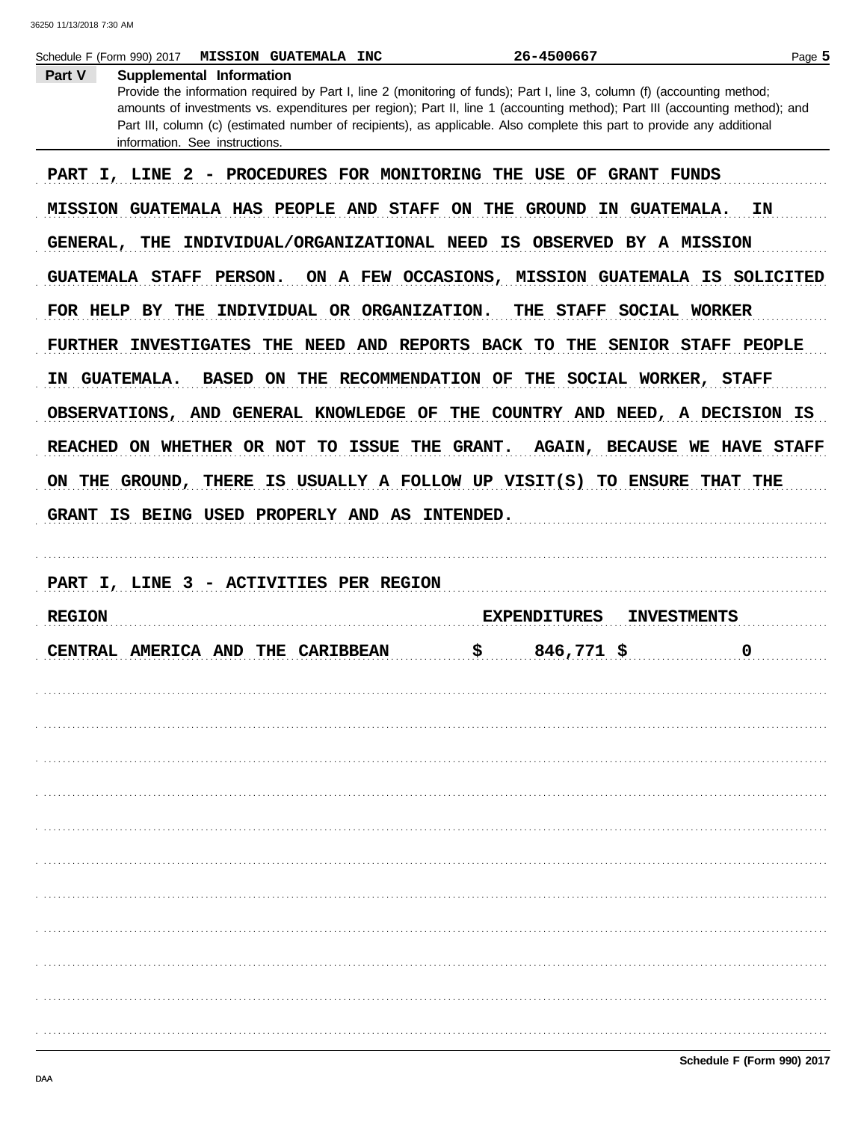| Part V         |                                                            |                                                                                                                                                                                                                                                                                                                                                                                    |    |
|----------------|------------------------------------------------------------|------------------------------------------------------------------------------------------------------------------------------------------------------------------------------------------------------------------------------------------------------------------------------------------------------------------------------------------------------------------------------------|----|
|                | Supplemental Information<br>information. See instructions. | Provide the information required by Part I, line 2 (monitoring of funds); Part I, line 3, column (f) (accounting method;<br>amounts of investments vs. expenditures per region); Part II, line 1 (accounting method); Part III (accounting method); and<br>Part III, column (c) (estimated number of recipients), as applicable. Also complete this part to provide any additional |    |
|                |                                                            | PART I, LINE 2 - PROCEDURES FOR MONITORING THE USE OF GRANT FUNDS                                                                                                                                                                                                                                                                                                                  |    |
|                | MISSION GUATEMALA HAS PEOPLE AND STAFF ON                  | <b>THE GROUND</b><br>IN GUATEMALA.                                                                                                                                                                                                                                                                                                                                                 | ΙN |
|                |                                                            | GENERAL, THE INDIVIDUAL/ORGANIZATIONAL NEED IS OBSERVED BY A MISSION                                                                                                                                                                                                                                                                                                               |    |
|                | GUATEMALA STAFF PERSON.                                    | ON A FEW OCCASIONS, MISSION GUATEMALA IS SOLICITED                                                                                                                                                                                                                                                                                                                                 |    |
|                | FOR HELP BY THE<br>INDIVIDUAL OR ORGANIZATION.             | <b>STAFF</b><br>SOCIAL WORKER<br>THE                                                                                                                                                                                                                                                                                                                                               |    |
|                | FURTHER INVESTIGATES<br>THE<br>NEED                        | <b>AND REPORTS BACK</b><br>TO<br>THE SENIOR STAFF PEOPLE                                                                                                                                                                                                                                                                                                                           |    |
| IN.            | <b>GUATEMALA.</b><br><b>THE</b><br><b>BASED</b><br>ON      | RECOMMENDATION OF THE SOCIAL WORKER, STAFF                                                                                                                                                                                                                                                                                                                                         |    |
|                |                                                            | OBSERVATIONS, AND GENERAL KNOWLEDGE OF THE COUNTRY AND NEED, A DECISION IS                                                                                                                                                                                                                                                                                                         |    |
| <b>REACHED</b> | ON WHETHER OR NOT TO ISSUE THE GRANT.                      | <b>AGAIN, BECAUSE WE HAVE STAFF</b>                                                                                                                                                                                                                                                                                                                                                |    |
|                |                                                            | ON THE GROUND, THERE IS USUALLY A FOLLOW UP VISIT(S) TO ENSURE THAT THE                                                                                                                                                                                                                                                                                                            |    |
| <b>GRANT</b>   | IS BEING USED PROPERLY AND AS INTENDED.                    |                                                                                                                                                                                                                                                                                                                                                                                    |    |
|                |                                                            |                                                                                                                                                                                                                                                                                                                                                                                    |    |
|                |                                                            |                                                                                                                                                                                                                                                                                                                                                                                    |    |
|                | PART I, LINE 3 - ACTIVITIES PER REGION                     |                                                                                                                                                                                                                                                                                                                                                                                    |    |
| <b>REGION</b>  |                                                            | <b>EXPENDITURES</b><br><b>INVESTMENTS</b>                                                                                                                                                                                                                                                                                                                                          |    |
| CENTRAL        | THE CARIBBEAN<br>AMERICA AND                               | \$<br>846,771 \$                                                                                                                                                                                                                                                                                                                                                                   | 0  |
|                |                                                            |                                                                                                                                                                                                                                                                                                                                                                                    |    |
|                |                                                            |                                                                                                                                                                                                                                                                                                                                                                                    |    |
|                |                                                            |                                                                                                                                                                                                                                                                                                                                                                                    |    |
|                |                                                            |                                                                                                                                                                                                                                                                                                                                                                                    |    |
|                |                                                            |                                                                                                                                                                                                                                                                                                                                                                                    |    |
|                |                                                            |                                                                                                                                                                                                                                                                                                                                                                                    |    |
|                |                                                            |                                                                                                                                                                                                                                                                                                                                                                                    |    |
|                |                                                            |                                                                                                                                                                                                                                                                                                                                                                                    |    |
|                |                                                            |                                                                                                                                                                                                                                                                                                                                                                                    |    |
|                |                                                            |                                                                                                                                                                                                                                                                                                                                                                                    |    |
|                |                                                            |                                                                                                                                                                                                                                                                                                                                                                                    |    |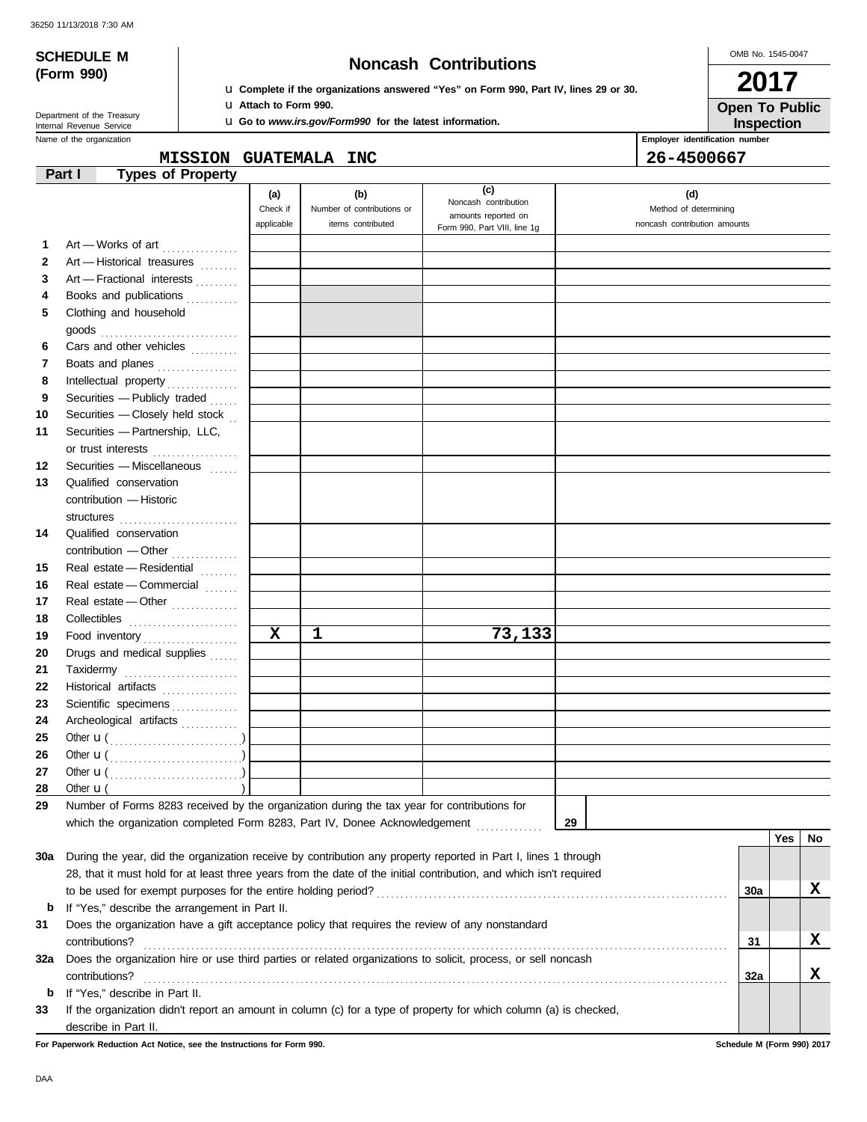**(Form 990)**

## **SCHEDULE M Noncash Contributions**

OMB No. 1545-0047 **2017**

| La Complete if the organizations answered "Yes" on Form 990, Part IV, lines 29 or 30. |
|---------------------------------------------------------------------------------------|
| Lu Attach to Form 990.                                                                |

u **Go to** *www.irs.gov/Form990* **for the latest information.**

**Inspection Open To Public**

Name of the organization **Employer identification number Employer identification number** Department of the Treasury<br>Internal Revenue Service

## **MISSION GUATEMALA INC 26-4500667**

|     | Part I<br><b>Types of Property</b>                                                                                                                                                                                                                                                                                                                                                                                                                                             |                               |                                                        |                                                                                    |                                                              |                  |
|-----|--------------------------------------------------------------------------------------------------------------------------------------------------------------------------------------------------------------------------------------------------------------------------------------------------------------------------------------------------------------------------------------------------------------------------------------------------------------------------------|-------------------------------|--------------------------------------------------------|------------------------------------------------------------------------------------|--------------------------------------------------------------|------------------|
|     |                                                                                                                                                                                                                                                                                                                                                                                                                                                                                | (a)<br>Check if<br>applicable | (b)<br>Number of contributions or<br>items contributed | (c)<br>Noncash contribution<br>amounts reported on<br>Form 990, Part VIII, line 1g | (d)<br>Method of determining<br>noncash contribution amounts |                  |
| 1   | Art - Works of art                                                                                                                                                                                                                                                                                                                                                                                                                                                             |                               |                                                        |                                                                                    |                                                              |                  |
| 2   | Art - Historical treasures                                                                                                                                                                                                                                                                                                                                                                                                                                                     |                               |                                                        |                                                                                    |                                                              |                  |
| 3   | Art - Fractional interests                                                                                                                                                                                                                                                                                                                                                                                                                                                     |                               |                                                        |                                                                                    |                                                              |                  |
| 4   | Books and publications                                                                                                                                                                                                                                                                                                                                                                                                                                                         |                               |                                                        |                                                                                    |                                                              |                  |
| 5   | Clothing and household<br>goods $\ldots \ldots \ldots \ldots \ldots \ldots \ldots \ldots$                                                                                                                                                                                                                                                                                                                                                                                      |                               |                                                        |                                                                                    |                                                              |                  |
| 6   | Cars and other vehicles                                                                                                                                                                                                                                                                                                                                                                                                                                                        |                               |                                                        |                                                                                    |                                                              |                  |
| 7   | Boats and planes                                                                                                                                                                                                                                                                                                                                                                                                                                                               |                               |                                                        |                                                                                    |                                                              |                  |
| 8   |                                                                                                                                                                                                                                                                                                                                                                                                                                                                                |                               |                                                        |                                                                                    |                                                              |                  |
| 9   | Securities - Publicly traded                                                                                                                                                                                                                                                                                                                                                                                                                                                   |                               |                                                        |                                                                                    |                                                              |                  |
| 10  | Securities - Closely held stock                                                                                                                                                                                                                                                                                                                                                                                                                                                |                               |                                                        |                                                                                    |                                                              |                  |
| 11  | Securities - Partnership, LLC,<br>or trust interests                                                                                                                                                                                                                                                                                                                                                                                                                           |                               |                                                        |                                                                                    |                                                              |                  |
| 12  | Securities - Miscellaneous                                                                                                                                                                                                                                                                                                                                                                                                                                                     |                               |                                                        |                                                                                    |                                                              |                  |
| 13  | Qualified conservation                                                                                                                                                                                                                                                                                                                                                                                                                                                         |                               |                                                        |                                                                                    |                                                              |                  |
|     | contribution - Historic                                                                                                                                                                                                                                                                                                                                                                                                                                                        |                               |                                                        |                                                                                    |                                                              |                  |
| 14  | Qualified conservation                                                                                                                                                                                                                                                                                                                                                                                                                                                         |                               |                                                        |                                                                                    |                                                              |                  |
|     | contribution - Other                                                                                                                                                                                                                                                                                                                                                                                                                                                           |                               |                                                        |                                                                                    |                                                              |                  |
| 15  | Real estate - Residential                                                                                                                                                                                                                                                                                                                                                                                                                                                      |                               |                                                        |                                                                                    |                                                              |                  |
| 16  | Real estate - Commercial                                                                                                                                                                                                                                                                                                                                                                                                                                                       |                               |                                                        |                                                                                    |                                                              |                  |
| 17  | Real estate - Other                                                                                                                                                                                                                                                                                                                                                                                                                                                            |                               |                                                        |                                                                                    |                                                              |                  |
| 18  |                                                                                                                                                                                                                                                                                                                                                                                                                                                                                |                               |                                                        |                                                                                    |                                                              |                  |
| 19  | Food inventory                                                                                                                                                                                                                                                                                                                                                                                                                                                                 | $\mathbf x$                   | $\mathbf 1$                                            | 73,133                                                                             |                                                              |                  |
| 20  | Drugs and medical supplies                                                                                                                                                                                                                                                                                                                                                                                                                                                     |                               |                                                        |                                                                                    |                                                              |                  |
| 21  | $\begin{minipage}[c]{0.9\linewidth} \textbf{Taxidermy} \end{minipage}[t]{\begin{minipage}[c]{0.9\linewidth} \textbf{Taxidermy} \end{minipage}[t]{\begin{minipage}[c]{0.9\linewidth} \textbf{C} & \textbf{0.13}\end{minipage}[t]{\begin{minipage}[c]{0.9\linewidth} \textbf{C} & \textbf{0.13}\end{minipage}[t]{\begin{minipage}[c]{0.9\linewidth} \textbf{C} & \textbf{0.13}\end{minipage}[t]{\begin{minipage}[c]{0.9\linewidth} \textbf{C} & \textbf{0.13}\end{minipage}[t]{$ |                               |                                                        |                                                                                    |                                                              |                  |
| 22  | Historical artifacts                                                                                                                                                                                                                                                                                                                                                                                                                                                           |                               |                                                        |                                                                                    |                                                              |                  |
| 23  | Scientific specimens                                                                                                                                                                                                                                                                                                                                                                                                                                                           |                               |                                                        |                                                                                    |                                                              |                  |
| 24  | Archeological artifacts                                                                                                                                                                                                                                                                                                                                                                                                                                                        |                               |                                                        |                                                                                    |                                                              |                  |
| 25  |                                                                                                                                                                                                                                                                                                                                                                                                                                                                                |                               |                                                        |                                                                                    |                                                              |                  |
| 26  | Other $\mathbf{u}(\dots, \dots, \dots, \dots, \dots)$                                                                                                                                                                                                                                                                                                                                                                                                                          |                               |                                                        |                                                                                    |                                                              |                  |
| 27  |                                                                                                                                                                                                                                                                                                                                                                                                                                                                                |                               |                                                        |                                                                                    |                                                              |                  |
| 28  | Other $\mathbf{u}$ (                                                                                                                                                                                                                                                                                                                                                                                                                                                           |                               |                                                        |                                                                                    |                                                              |                  |
| 29  | Number of Forms 8283 received by the organization during the tax year for contributions for                                                                                                                                                                                                                                                                                                                                                                                    |                               |                                                        |                                                                                    |                                                              |                  |
|     | which the organization completed Form 8283, Part IV, Donee Acknowledgement                                                                                                                                                                                                                                                                                                                                                                                                     |                               |                                                        |                                                                                    | 29                                                           |                  |
| 30a | During the year, did the organization receive by contribution any property reported in Part I, lines 1 through                                                                                                                                                                                                                                                                                                                                                                 |                               |                                                        |                                                                                    |                                                              | <b>Yes</b><br>No |
|     | 28, that it must hold for at least three years from the date of the initial contribution, and which isn't required                                                                                                                                                                                                                                                                                                                                                             |                               |                                                        |                                                                                    |                                                              |                  |

|     | 28, that it must hold for at least three years from the date of the initial contribution, and which isn't required |     |  |
|-----|--------------------------------------------------------------------------------------------------------------------|-----|--|
|     | to be used for exempt purposes for the entire holding period?                                                      | 30a |  |
| b   | If "Yes," describe the arrangement in Part II.                                                                     |     |  |
| -31 | Does the organization have a gift acceptance policy that requires the review of any nonstandard                    |     |  |
|     | contributions?                                                                                                     | 31  |  |
| 32a | Does the organization hire or use third parties or related organizations to solicit, process, or sell noncash      |     |  |
|     | contributions?                                                                                                     | 32a |  |
| b   | If "Yes," describe in Part II.                                                                                     |     |  |
| 33  | If the organization didn't report an amount in column (c) for a type of property for which column (a) is checked,  |     |  |
|     | describe in Part II.                                                                                               |     |  |

**For Paperwork Reduction Act Notice, see the Instructions for Form 990. Schedule M (Form 990) 2017**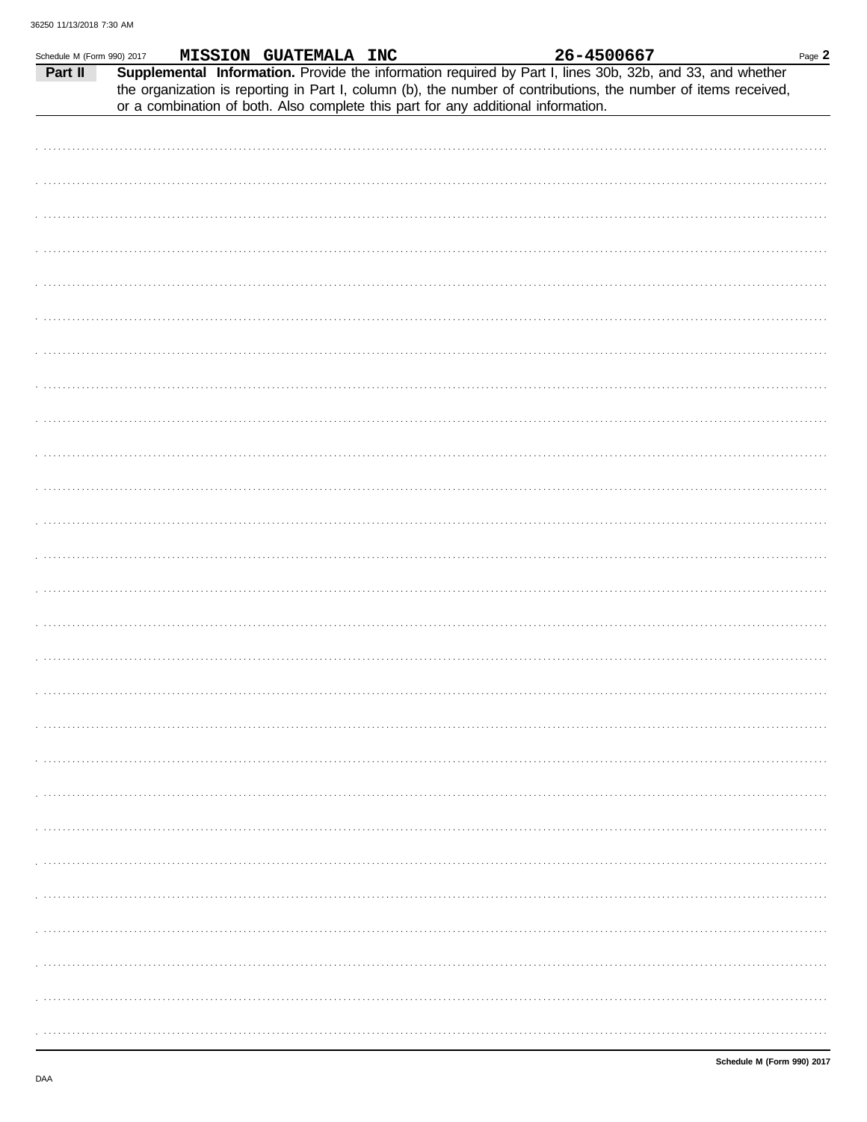| Schedule M (Form 990) 2017<br>Part II |  | MISSION GUATEMALA INC |                                                                                   | 26-4500667<br>Supplemental Information. Provide the information required by Part I, lines 30b, 32b, and 33, and whether<br>the organization is reporting in Part I, column (b), the number of contributions, the number of items received, | Page 2 |
|---------------------------------------|--|-----------------------|-----------------------------------------------------------------------------------|--------------------------------------------------------------------------------------------------------------------------------------------------------------------------------------------------------------------------------------------|--------|
|                                       |  |                       | or a combination of both. Also complete this part for any additional information. |                                                                                                                                                                                                                                            |        |
|                                       |  |                       |                                                                                   |                                                                                                                                                                                                                                            |        |
|                                       |  |                       |                                                                                   |                                                                                                                                                                                                                                            |        |
|                                       |  |                       |                                                                                   |                                                                                                                                                                                                                                            |        |
|                                       |  |                       |                                                                                   |                                                                                                                                                                                                                                            |        |
|                                       |  |                       |                                                                                   |                                                                                                                                                                                                                                            |        |
|                                       |  |                       |                                                                                   |                                                                                                                                                                                                                                            |        |
|                                       |  |                       |                                                                                   |                                                                                                                                                                                                                                            |        |
|                                       |  |                       |                                                                                   |                                                                                                                                                                                                                                            |        |
|                                       |  |                       |                                                                                   |                                                                                                                                                                                                                                            |        |
|                                       |  |                       |                                                                                   |                                                                                                                                                                                                                                            |        |
|                                       |  |                       |                                                                                   |                                                                                                                                                                                                                                            |        |
|                                       |  |                       |                                                                                   |                                                                                                                                                                                                                                            |        |
|                                       |  |                       |                                                                                   |                                                                                                                                                                                                                                            |        |
|                                       |  |                       |                                                                                   |                                                                                                                                                                                                                                            |        |
|                                       |  |                       |                                                                                   |                                                                                                                                                                                                                                            |        |
|                                       |  |                       |                                                                                   |                                                                                                                                                                                                                                            |        |
|                                       |  |                       |                                                                                   |                                                                                                                                                                                                                                            |        |
|                                       |  |                       |                                                                                   |                                                                                                                                                                                                                                            |        |
|                                       |  |                       |                                                                                   |                                                                                                                                                                                                                                            |        |
|                                       |  |                       |                                                                                   |                                                                                                                                                                                                                                            |        |
|                                       |  |                       |                                                                                   |                                                                                                                                                                                                                                            |        |
|                                       |  |                       |                                                                                   |                                                                                                                                                                                                                                            |        |
|                                       |  |                       |                                                                                   |                                                                                                                                                                                                                                            |        |
|                                       |  |                       |                                                                                   |                                                                                                                                                                                                                                            |        |
|                                       |  |                       |                                                                                   |                                                                                                                                                                                                                                            |        |
|                                       |  |                       |                                                                                   |                                                                                                                                                                                                                                            |        |
|                                       |  |                       |                                                                                   |                                                                                                                                                                                                                                            |        |
|                                       |  |                       |                                                                                   |                                                                                                                                                                                                                                            |        |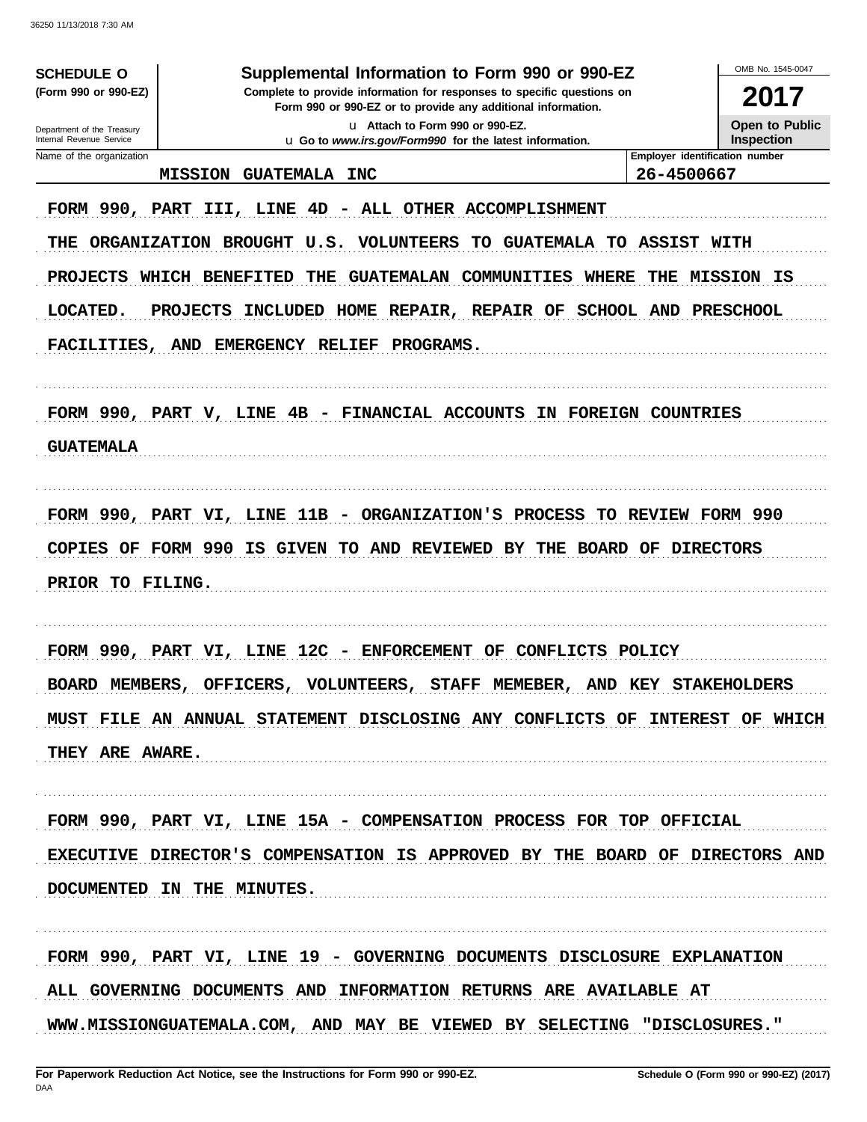OMB No 1545-0047 **SCHEDULE O** Supplemental Information to Form 990 or 990-EZ (Form 990 or 990-EZ) Complete to provide information for responses to specific questions on 2017 Form 990 or 990-EZ or to provide any additional information. u Attach to Form 990 or 990-EZ. Open to Public Department of the Treasury Internal Revenue Service u Go to www.irs.gov/Form990 for the latest information. Inspection Employer identification number Name of the organization **MISSION GUATEMALA INC** 26-4500667 FORM 990, PART III, LINE 4D - ALL OTHER ACCOMPLISHMENT THE ORGANIZATION BROUGHT U.S. VOLUNTEERS TO GUATEMALA TO ASSIST WITH PROJECTS WHICH BENEFITED THE GUATEMALAN COMMUNITIES WHERE THE MISSION IS LOCATED. PROJECTS INCLUDED HOME REPAIR, REPAIR OF SCHOOL AND PRESCHOOL FACILITIES, AND EMERGENCY RELIEF PROGRAMS. FORM 990, PART V, LINE 4B - FINANCIAL ACCOUNTS IN FOREIGN COUNTRIES **GUATEMALA** FORM 990, PART VI, LINE 11B - ORGANIZATION'S PROCESS TO REVIEW FORM 990 COPIES OF FORM 990 IS GIVEN TO AND REVIEWED BY THE BOARD OF DIRECTORS PRIOR TO FILING. FORM 990, PART VI, LINE 12C - ENFORCEMENT OF CONFLICTS POLICY BOARD MEMBERS, OFFICERS, VOLUNTEERS, STAFF MEMEBER, AND KEY STAKEHOLDERS MUST FILE AN ANNUAL STATEMENT DISCLOSING ANY CONFLICTS OF INTEREST OF WHICH THEY ARE AWARE. FORM 990, PART VI, LINE 15A - COMPENSATION PROCESS FOR TOP OFFICIAL EXECUTIVE DIRECTOR'S COMPENSATION IS APPROVED BY THE BOARD OF DIRECTORS AND DOCUMENTED IN THE MINUTES. FORM 990, PART VI, LINE 19 - GOVERNING DOCUMENTS DISCLOSURE EXPLANATION ALL GOVERNING DOCUMENTS AND INFORMATION RETURNS ARE AVAILABLE AT WWW.MISSIONGUATEMALA.COM, AND MAY BE VIEWED BY SELECTING "DISCLOSURES."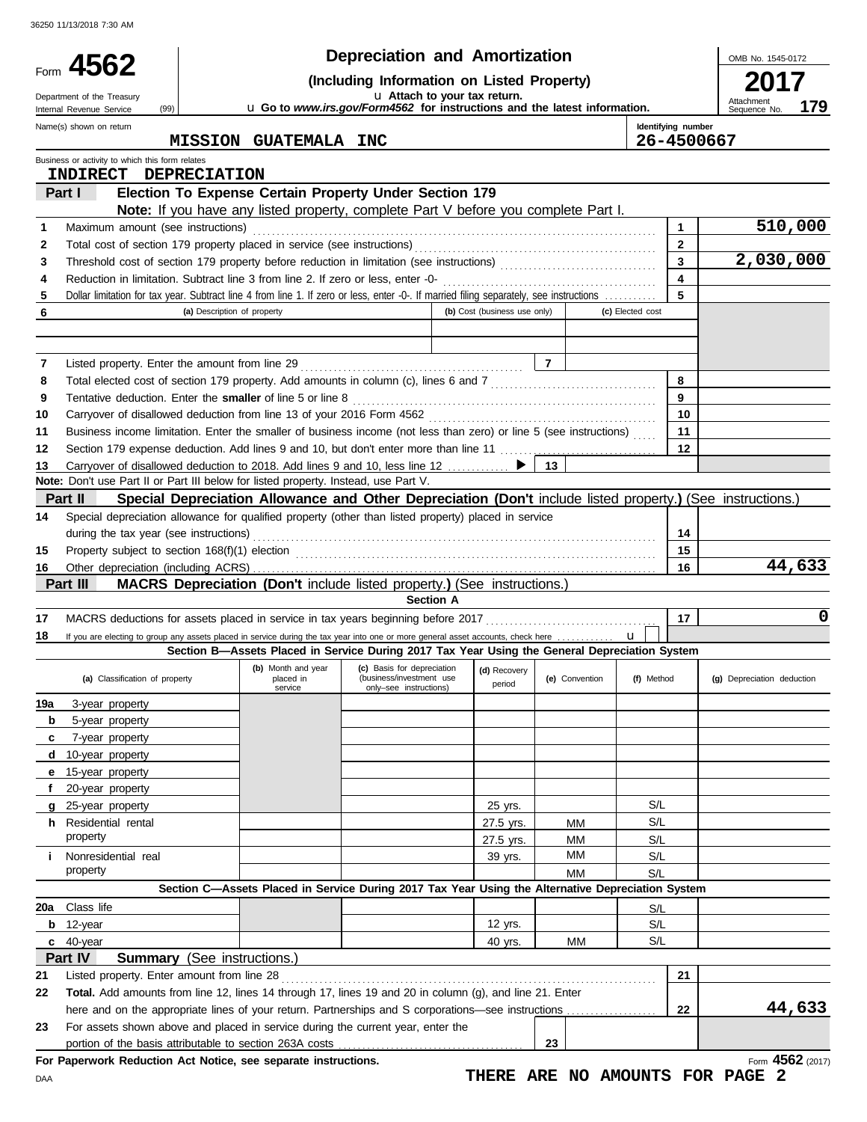Form 4562

Name(s) shown on return

(99)

|  |  | <b>Depreciation and Amortization</b> |
|--|--|--------------------------------------|
|--|--|--------------------------------------|

**(Including Information on Listed Property)**

u **Attach to your tax return.** u **Go to** *www.irs.gov/Form4562* **for instructions and the latest information.** Internal Revenue Service Sequence No. Attachment Department of the Treasury **<sup>2017</sup> <sup>4562</sup>**

**179**

OMB No. 1545-0172

| <b>MISSION GUATEMALA INC</b> | 26-4500667 |
|------------------------------|------------|
|                              |            |

| Identifying number |  |
|--------------------|--|
| 26-450066          |  |

| <b>INDIRECT</b><br><b>DEPRECIATION</b><br>Election To Expense Certain Property Under Section 179<br>Part I<br>Note: If you have any listed property, complete Part V before you complete Part I.<br>510,000<br>Maximum amount (see instructions)<br>1<br>1<br>$\mathbf{2}$<br>2<br>2,030,000<br>$\mathbf{3}$<br>3<br>$\overline{\mathbf{4}}$<br>Reduction in limitation. Subtract line 3 from line 2. If zero or less, enter -0-<br>4<br>5<br>Dollar limitation for tax year. Subtract line 4 from line 1. If zero or less, enter -0-. If married filing separately, see instructions<br>5<br>(b) Cost (business use only)<br>(c) Elected cost<br>6<br>(a) Description of property<br>$\overline{7}$<br>Listed property. Enter the amount from line 29<br>8<br>Tentative deduction. Enter the smaller of line 5 or line 8<br>9<br>10<br>Carryover of disallowed deduction from line 13 of your 2016 Form 4562<br>Business income limitation. Enter the smaller of business income (not less than zero) or line 5 (see instructions)<br>11<br>12<br>13<br>Carryover of disallowed deduction to 2018. Add lines 9 and 10, less line 12<br>Note: Don't use Part II or Part III below for listed property. Instead, use Part V.<br>Part II<br>Special Depreciation Allowance and Other Depreciation (Don't include listed property.) (See instructions.)<br>Special depreciation allowance for qualified property (other than listed property) placed in service<br>during the tax year (see instructions)<br>14<br>15<br>44,633<br>16<br><b>MACRS Depreciation (Don't include listed property.) (See instructions.)</b><br>Part III<br><b>Section A</b><br>0<br>17<br>$\mathbf{u}$<br>If you are electing to group any assets placed in service during the tax year into one or more general asset accounts, check here<br>Section B-Assets Placed in Service During 2017 Tax Year Using the General Depreciation System<br>(b) Month and year<br>(c) Basis for depreciation<br>(d) Recovery<br>(business/investment use<br>(e) Convention<br>(f) Method<br>(a) Classification of property<br>placed in<br>(g) Depreciation deduction<br>period<br>service<br>only-see instructions)<br>3-year property<br>5-year property<br>b<br>7-year property<br>c<br>d<br>10-year property<br>15-year property<br>е<br>20-year property<br>S/L<br>25 yrs.<br>25-year property<br>g<br>S/L<br><b>h</b> Residential rental<br>27.5 yrs.<br>MМ<br>property<br>МM<br>S/L<br>27.5 yrs.<br>MМ<br>Nonresidential real<br>S/L<br>i.<br>39 yrs.<br>property<br>MM<br>S/L<br>Section C-Assets Placed in Service During 2017 Tax Year Using the Alternative Depreciation System<br>Class life<br>20a<br>S/L<br>12 yrs.<br>S/L<br>12-year<br>b<br>S/L<br>c 40-year<br>ΜМ<br>40 yrs.<br>Part IV<br><b>Summary</b> (See instructions.)<br>21<br>Listed property. Enter amount from line 28<br>Total. Add amounts from line 12, lines 14 through 17, lines 19 and 20 in column (g), and line 21. Enter<br>44,633<br>here and on the appropriate lines of your return. Partnerships and S corporations-see instructions<br>22<br>For assets shown above and placed in service during the current year, enter the |     | Business or activity to which this form relates         |  |    |  |  |
|-------------------------------------------------------------------------------------------------------------------------------------------------------------------------------------------------------------------------------------------------------------------------------------------------------------------------------------------------------------------------------------------------------------------------------------------------------------------------------------------------------------------------------------------------------------------------------------------------------------------------------------------------------------------------------------------------------------------------------------------------------------------------------------------------------------------------------------------------------------------------------------------------------------------------------------------------------------------------------------------------------------------------------------------------------------------------------------------------------------------------------------------------------------------------------------------------------------------------------------------------------------------------------------------------------------------------------------------------------------------------------------------------------------------------------------------------------------------------------------------------------------------------------------------------------------------------------------------------------------------------------------------------------------------------------------------------------------------------------------------------------------------------------------------------------------------------------------------------------------------------------------------------------------------------------------------------------------------------------------------------------------------------------------------------------------------------------------------------------------------------------------------------------------------------------------------------------------------------------------------------------------------------------------------------------------------------------------------------------------------------------------------------------------------------------------------------------------------------------------------------------------------------------------------------------------------------------------------------------------------------------------------------------------------------------------------------------------------------------------------------------------------------------------------------------------------------------------------------------------------------------------------------------------------------------------------------------------------------------------------------------------------------------------------------------------------------------------------------------------------------------------------------------------------------------------|-----|---------------------------------------------------------|--|----|--|--|
|                                                                                                                                                                                                                                                                                                                                                                                                                                                                                                                                                                                                                                                                                                                                                                                                                                                                                                                                                                                                                                                                                                                                                                                                                                                                                                                                                                                                                                                                                                                                                                                                                                                                                                                                                                                                                                                                                                                                                                                                                                                                                                                                                                                                                                                                                                                                                                                                                                                                                                                                                                                                                                                                                                                                                                                                                                                                                                                                                                                                                                                                                                                                                                                     |     |                                                         |  |    |  |  |
|                                                                                                                                                                                                                                                                                                                                                                                                                                                                                                                                                                                                                                                                                                                                                                                                                                                                                                                                                                                                                                                                                                                                                                                                                                                                                                                                                                                                                                                                                                                                                                                                                                                                                                                                                                                                                                                                                                                                                                                                                                                                                                                                                                                                                                                                                                                                                                                                                                                                                                                                                                                                                                                                                                                                                                                                                                                                                                                                                                                                                                                                                                                                                                                     |     |                                                         |  |    |  |  |
|                                                                                                                                                                                                                                                                                                                                                                                                                                                                                                                                                                                                                                                                                                                                                                                                                                                                                                                                                                                                                                                                                                                                                                                                                                                                                                                                                                                                                                                                                                                                                                                                                                                                                                                                                                                                                                                                                                                                                                                                                                                                                                                                                                                                                                                                                                                                                                                                                                                                                                                                                                                                                                                                                                                                                                                                                                                                                                                                                                                                                                                                                                                                                                                     |     |                                                         |  |    |  |  |
|                                                                                                                                                                                                                                                                                                                                                                                                                                                                                                                                                                                                                                                                                                                                                                                                                                                                                                                                                                                                                                                                                                                                                                                                                                                                                                                                                                                                                                                                                                                                                                                                                                                                                                                                                                                                                                                                                                                                                                                                                                                                                                                                                                                                                                                                                                                                                                                                                                                                                                                                                                                                                                                                                                                                                                                                                                                                                                                                                                                                                                                                                                                                                                                     |     |                                                         |  |    |  |  |
|                                                                                                                                                                                                                                                                                                                                                                                                                                                                                                                                                                                                                                                                                                                                                                                                                                                                                                                                                                                                                                                                                                                                                                                                                                                                                                                                                                                                                                                                                                                                                                                                                                                                                                                                                                                                                                                                                                                                                                                                                                                                                                                                                                                                                                                                                                                                                                                                                                                                                                                                                                                                                                                                                                                                                                                                                                                                                                                                                                                                                                                                                                                                                                                     |     |                                                         |  |    |  |  |
|                                                                                                                                                                                                                                                                                                                                                                                                                                                                                                                                                                                                                                                                                                                                                                                                                                                                                                                                                                                                                                                                                                                                                                                                                                                                                                                                                                                                                                                                                                                                                                                                                                                                                                                                                                                                                                                                                                                                                                                                                                                                                                                                                                                                                                                                                                                                                                                                                                                                                                                                                                                                                                                                                                                                                                                                                                                                                                                                                                                                                                                                                                                                                                                     |     |                                                         |  |    |  |  |
|                                                                                                                                                                                                                                                                                                                                                                                                                                                                                                                                                                                                                                                                                                                                                                                                                                                                                                                                                                                                                                                                                                                                                                                                                                                                                                                                                                                                                                                                                                                                                                                                                                                                                                                                                                                                                                                                                                                                                                                                                                                                                                                                                                                                                                                                                                                                                                                                                                                                                                                                                                                                                                                                                                                                                                                                                                                                                                                                                                                                                                                                                                                                                                                     |     |                                                         |  |    |  |  |
|                                                                                                                                                                                                                                                                                                                                                                                                                                                                                                                                                                                                                                                                                                                                                                                                                                                                                                                                                                                                                                                                                                                                                                                                                                                                                                                                                                                                                                                                                                                                                                                                                                                                                                                                                                                                                                                                                                                                                                                                                                                                                                                                                                                                                                                                                                                                                                                                                                                                                                                                                                                                                                                                                                                                                                                                                                                                                                                                                                                                                                                                                                                                                                                     |     |                                                         |  |    |  |  |
|                                                                                                                                                                                                                                                                                                                                                                                                                                                                                                                                                                                                                                                                                                                                                                                                                                                                                                                                                                                                                                                                                                                                                                                                                                                                                                                                                                                                                                                                                                                                                                                                                                                                                                                                                                                                                                                                                                                                                                                                                                                                                                                                                                                                                                                                                                                                                                                                                                                                                                                                                                                                                                                                                                                                                                                                                                                                                                                                                                                                                                                                                                                                                                                     |     |                                                         |  |    |  |  |
|                                                                                                                                                                                                                                                                                                                                                                                                                                                                                                                                                                                                                                                                                                                                                                                                                                                                                                                                                                                                                                                                                                                                                                                                                                                                                                                                                                                                                                                                                                                                                                                                                                                                                                                                                                                                                                                                                                                                                                                                                                                                                                                                                                                                                                                                                                                                                                                                                                                                                                                                                                                                                                                                                                                                                                                                                                                                                                                                                                                                                                                                                                                                                                                     |     |                                                         |  |    |  |  |
|                                                                                                                                                                                                                                                                                                                                                                                                                                                                                                                                                                                                                                                                                                                                                                                                                                                                                                                                                                                                                                                                                                                                                                                                                                                                                                                                                                                                                                                                                                                                                                                                                                                                                                                                                                                                                                                                                                                                                                                                                                                                                                                                                                                                                                                                                                                                                                                                                                                                                                                                                                                                                                                                                                                                                                                                                                                                                                                                                                                                                                                                                                                                                                                     | 7   |                                                         |  |    |  |  |
|                                                                                                                                                                                                                                                                                                                                                                                                                                                                                                                                                                                                                                                                                                                                                                                                                                                                                                                                                                                                                                                                                                                                                                                                                                                                                                                                                                                                                                                                                                                                                                                                                                                                                                                                                                                                                                                                                                                                                                                                                                                                                                                                                                                                                                                                                                                                                                                                                                                                                                                                                                                                                                                                                                                                                                                                                                                                                                                                                                                                                                                                                                                                                                                     | 8   |                                                         |  |    |  |  |
|                                                                                                                                                                                                                                                                                                                                                                                                                                                                                                                                                                                                                                                                                                                                                                                                                                                                                                                                                                                                                                                                                                                                                                                                                                                                                                                                                                                                                                                                                                                                                                                                                                                                                                                                                                                                                                                                                                                                                                                                                                                                                                                                                                                                                                                                                                                                                                                                                                                                                                                                                                                                                                                                                                                                                                                                                                                                                                                                                                                                                                                                                                                                                                                     | 9   |                                                         |  |    |  |  |
|                                                                                                                                                                                                                                                                                                                                                                                                                                                                                                                                                                                                                                                                                                                                                                                                                                                                                                                                                                                                                                                                                                                                                                                                                                                                                                                                                                                                                                                                                                                                                                                                                                                                                                                                                                                                                                                                                                                                                                                                                                                                                                                                                                                                                                                                                                                                                                                                                                                                                                                                                                                                                                                                                                                                                                                                                                                                                                                                                                                                                                                                                                                                                                                     | 10  |                                                         |  |    |  |  |
|                                                                                                                                                                                                                                                                                                                                                                                                                                                                                                                                                                                                                                                                                                                                                                                                                                                                                                                                                                                                                                                                                                                                                                                                                                                                                                                                                                                                                                                                                                                                                                                                                                                                                                                                                                                                                                                                                                                                                                                                                                                                                                                                                                                                                                                                                                                                                                                                                                                                                                                                                                                                                                                                                                                                                                                                                                                                                                                                                                                                                                                                                                                                                                                     | 11  |                                                         |  |    |  |  |
|                                                                                                                                                                                                                                                                                                                                                                                                                                                                                                                                                                                                                                                                                                                                                                                                                                                                                                                                                                                                                                                                                                                                                                                                                                                                                                                                                                                                                                                                                                                                                                                                                                                                                                                                                                                                                                                                                                                                                                                                                                                                                                                                                                                                                                                                                                                                                                                                                                                                                                                                                                                                                                                                                                                                                                                                                                                                                                                                                                                                                                                                                                                                                                                     | 12  |                                                         |  |    |  |  |
|                                                                                                                                                                                                                                                                                                                                                                                                                                                                                                                                                                                                                                                                                                                                                                                                                                                                                                                                                                                                                                                                                                                                                                                                                                                                                                                                                                                                                                                                                                                                                                                                                                                                                                                                                                                                                                                                                                                                                                                                                                                                                                                                                                                                                                                                                                                                                                                                                                                                                                                                                                                                                                                                                                                                                                                                                                                                                                                                                                                                                                                                                                                                                                                     | 13  |                                                         |  |    |  |  |
|                                                                                                                                                                                                                                                                                                                                                                                                                                                                                                                                                                                                                                                                                                                                                                                                                                                                                                                                                                                                                                                                                                                                                                                                                                                                                                                                                                                                                                                                                                                                                                                                                                                                                                                                                                                                                                                                                                                                                                                                                                                                                                                                                                                                                                                                                                                                                                                                                                                                                                                                                                                                                                                                                                                                                                                                                                                                                                                                                                                                                                                                                                                                                                                     |     |                                                         |  |    |  |  |
|                                                                                                                                                                                                                                                                                                                                                                                                                                                                                                                                                                                                                                                                                                                                                                                                                                                                                                                                                                                                                                                                                                                                                                                                                                                                                                                                                                                                                                                                                                                                                                                                                                                                                                                                                                                                                                                                                                                                                                                                                                                                                                                                                                                                                                                                                                                                                                                                                                                                                                                                                                                                                                                                                                                                                                                                                                                                                                                                                                                                                                                                                                                                                                                     |     |                                                         |  |    |  |  |
|                                                                                                                                                                                                                                                                                                                                                                                                                                                                                                                                                                                                                                                                                                                                                                                                                                                                                                                                                                                                                                                                                                                                                                                                                                                                                                                                                                                                                                                                                                                                                                                                                                                                                                                                                                                                                                                                                                                                                                                                                                                                                                                                                                                                                                                                                                                                                                                                                                                                                                                                                                                                                                                                                                                                                                                                                                                                                                                                                                                                                                                                                                                                                                                     | 14  |                                                         |  |    |  |  |
|                                                                                                                                                                                                                                                                                                                                                                                                                                                                                                                                                                                                                                                                                                                                                                                                                                                                                                                                                                                                                                                                                                                                                                                                                                                                                                                                                                                                                                                                                                                                                                                                                                                                                                                                                                                                                                                                                                                                                                                                                                                                                                                                                                                                                                                                                                                                                                                                                                                                                                                                                                                                                                                                                                                                                                                                                                                                                                                                                                                                                                                                                                                                                                                     |     |                                                         |  |    |  |  |
|                                                                                                                                                                                                                                                                                                                                                                                                                                                                                                                                                                                                                                                                                                                                                                                                                                                                                                                                                                                                                                                                                                                                                                                                                                                                                                                                                                                                                                                                                                                                                                                                                                                                                                                                                                                                                                                                                                                                                                                                                                                                                                                                                                                                                                                                                                                                                                                                                                                                                                                                                                                                                                                                                                                                                                                                                                                                                                                                                                                                                                                                                                                                                                                     | 15  |                                                         |  |    |  |  |
|                                                                                                                                                                                                                                                                                                                                                                                                                                                                                                                                                                                                                                                                                                                                                                                                                                                                                                                                                                                                                                                                                                                                                                                                                                                                                                                                                                                                                                                                                                                                                                                                                                                                                                                                                                                                                                                                                                                                                                                                                                                                                                                                                                                                                                                                                                                                                                                                                                                                                                                                                                                                                                                                                                                                                                                                                                                                                                                                                                                                                                                                                                                                                                                     | 16  |                                                         |  |    |  |  |
|                                                                                                                                                                                                                                                                                                                                                                                                                                                                                                                                                                                                                                                                                                                                                                                                                                                                                                                                                                                                                                                                                                                                                                                                                                                                                                                                                                                                                                                                                                                                                                                                                                                                                                                                                                                                                                                                                                                                                                                                                                                                                                                                                                                                                                                                                                                                                                                                                                                                                                                                                                                                                                                                                                                                                                                                                                                                                                                                                                                                                                                                                                                                                                                     |     |                                                         |  |    |  |  |
|                                                                                                                                                                                                                                                                                                                                                                                                                                                                                                                                                                                                                                                                                                                                                                                                                                                                                                                                                                                                                                                                                                                                                                                                                                                                                                                                                                                                                                                                                                                                                                                                                                                                                                                                                                                                                                                                                                                                                                                                                                                                                                                                                                                                                                                                                                                                                                                                                                                                                                                                                                                                                                                                                                                                                                                                                                                                                                                                                                                                                                                                                                                                                                                     |     |                                                         |  |    |  |  |
|                                                                                                                                                                                                                                                                                                                                                                                                                                                                                                                                                                                                                                                                                                                                                                                                                                                                                                                                                                                                                                                                                                                                                                                                                                                                                                                                                                                                                                                                                                                                                                                                                                                                                                                                                                                                                                                                                                                                                                                                                                                                                                                                                                                                                                                                                                                                                                                                                                                                                                                                                                                                                                                                                                                                                                                                                                                                                                                                                                                                                                                                                                                                                                                     | 17  |                                                         |  |    |  |  |
|                                                                                                                                                                                                                                                                                                                                                                                                                                                                                                                                                                                                                                                                                                                                                                                                                                                                                                                                                                                                                                                                                                                                                                                                                                                                                                                                                                                                                                                                                                                                                                                                                                                                                                                                                                                                                                                                                                                                                                                                                                                                                                                                                                                                                                                                                                                                                                                                                                                                                                                                                                                                                                                                                                                                                                                                                                                                                                                                                                                                                                                                                                                                                                                     | 18  |                                                         |  |    |  |  |
|                                                                                                                                                                                                                                                                                                                                                                                                                                                                                                                                                                                                                                                                                                                                                                                                                                                                                                                                                                                                                                                                                                                                                                                                                                                                                                                                                                                                                                                                                                                                                                                                                                                                                                                                                                                                                                                                                                                                                                                                                                                                                                                                                                                                                                                                                                                                                                                                                                                                                                                                                                                                                                                                                                                                                                                                                                                                                                                                                                                                                                                                                                                                                                                     |     |                                                         |  |    |  |  |
|                                                                                                                                                                                                                                                                                                                                                                                                                                                                                                                                                                                                                                                                                                                                                                                                                                                                                                                                                                                                                                                                                                                                                                                                                                                                                                                                                                                                                                                                                                                                                                                                                                                                                                                                                                                                                                                                                                                                                                                                                                                                                                                                                                                                                                                                                                                                                                                                                                                                                                                                                                                                                                                                                                                                                                                                                                                                                                                                                                                                                                                                                                                                                                                     |     |                                                         |  |    |  |  |
|                                                                                                                                                                                                                                                                                                                                                                                                                                                                                                                                                                                                                                                                                                                                                                                                                                                                                                                                                                                                                                                                                                                                                                                                                                                                                                                                                                                                                                                                                                                                                                                                                                                                                                                                                                                                                                                                                                                                                                                                                                                                                                                                                                                                                                                                                                                                                                                                                                                                                                                                                                                                                                                                                                                                                                                                                                                                                                                                                                                                                                                                                                                                                                                     | 19a |                                                         |  |    |  |  |
|                                                                                                                                                                                                                                                                                                                                                                                                                                                                                                                                                                                                                                                                                                                                                                                                                                                                                                                                                                                                                                                                                                                                                                                                                                                                                                                                                                                                                                                                                                                                                                                                                                                                                                                                                                                                                                                                                                                                                                                                                                                                                                                                                                                                                                                                                                                                                                                                                                                                                                                                                                                                                                                                                                                                                                                                                                                                                                                                                                                                                                                                                                                                                                                     |     |                                                         |  |    |  |  |
|                                                                                                                                                                                                                                                                                                                                                                                                                                                                                                                                                                                                                                                                                                                                                                                                                                                                                                                                                                                                                                                                                                                                                                                                                                                                                                                                                                                                                                                                                                                                                                                                                                                                                                                                                                                                                                                                                                                                                                                                                                                                                                                                                                                                                                                                                                                                                                                                                                                                                                                                                                                                                                                                                                                                                                                                                                                                                                                                                                                                                                                                                                                                                                                     |     |                                                         |  |    |  |  |
|                                                                                                                                                                                                                                                                                                                                                                                                                                                                                                                                                                                                                                                                                                                                                                                                                                                                                                                                                                                                                                                                                                                                                                                                                                                                                                                                                                                                                                                                                                                                                                                                                                                                                                                                                                                                                                                                                                                                                                                                                                                                                                                                                                                                                                                                                                                                                                                                                                                                                                                                                                                                                                                                                                                                                                                                                                                                                                                                                                                                                                                                                                                                                                                     |     |                                                         |  |    |  |  |
|                                                                                                                                                                                                                                                                                                                                                                                                                                                                                                                                                                                                                                                                                                                                                                                                                                                                                                                                                                                                                                                                                                                                                                                                                                                                                                                                                                                                                                                                                                                                                                                                                                                                                                                                                                                                                                                                                                                                                                                                                                                                                                                                                                                                                                                                                                                                                                                                                                                                                                                                                                                                                                                                                                                                                                                                                                                                                                                                                                                                                                                                                                                                                                                     |     |                                                         |  |    |  |  |
|                                                                                                                                                                                                                                                                                                                                                                                                                                                                                                                                                                                                                                                                                                                                                                                                                                                                                                                                                                                                                                                                                                                                                                                                                                                                                                                                                                                                                                                                                                                                                                                                                                                                                                                                                                                                                                                                                                                                                                                                                                                                                                                                                                                                                                                                                                                                                                                                                                                                                                                                                                                                                                                                                                                                                                                                                                                                                                                                                                                                                                                                                                                                                                                     |     |                                                         |  |    |  |  |
|                                                                                                                                                                                                                                                                                                                                                                                                                                                                                                                                                                                                                                                                                                                                                                                                                                                                                                                                                                                                                                                                                                                                                                                                                                                                                                                                                                                                                                                                                                                                                                                                                                                                                                                                                                                                                                                                                                                                                                                                                                                                                                                                                                                                                                                                                                                                                                                                                                                                                                                                                                                                                                                                                                                                                                                                                                                                                                                                                                                                                                                                                                                                                                                     |     |                                                         |  |    |  |  |
|                                                                                                                                                                                                                                                                                                                                                                                                                                                                                                                                                                                                                                                                                                                                                                                                                                                                                                                                                                                                                                                                                                                                                                                                                                                                                                                                                                                                                                                                                                                                                                                                                                                                                                                                                                                                                                                                                                                                                                                                                                                                                                                                                                                                                                                                                                                                                                                                                                                                                                                                                                                                                                                                                                                                                                                                                                                                                                                                                                                                                                                                                                                                                                                     |     |                                                         |  |    |  |  |
|                                                                                                                                                                                                                                                                                                                                                                                                                                                                                                                                                                                                                                                                                                                                                                                                                                                                                                                                                                                                                                                                                                                                                                                                                                                                                                                                                                                                                                                                                                                                                                                                                                                                                                                                                                                                                                                                                                                                                                                                                                                                                                                                                                                                                                                                                                                                                                                                                                                                                                                                                                                                                                                                                                                                                                                                                                                                                                                                                                                                                                                                                                                                                                                     |     |                                                         |  |    |  |  |
|                                                                                                                                                                                                                                                                                                                                                                                                                                                                                                                                                                                                                                                                                                                                                                                                                                                                                                                                                                                                                                                                                                                                                                                                                                                                                                                                                                                                                                                                                                                                                                                                                                                                                                                                                                                                                                                                                                                                                                                                                                                                                                                                                                                                                                                                                                                                                                                                                                                                                                                                                                                                                                                                                                                                                                                                                                                                                                                                                                                                                                                                                                                                                                                     |     |                                                         |  |    |  |  |
|                                                                                                                                                                                                                                                                                                                                                                                                                                                                                                                                                                                                                                                                                                                                                                                                                                                                                                                                                                                                                                                                                                                                                                                                                                                                                                                                                                                                                                                                                                                                                                                                                                                                                                                                                                                                                                                                                                                                                                                                                                                                                                                                                                                                                                                                                                                                                                                                                                                                                                                                                                                                                                                                                                                                                                                                                                                                                                                                                                                                                                                                                                                                                                                     |     |                                                         |  |    |  |  |
|                                                                                                                                                                                                                                                                                                                                                                                                                                                                                                                                                                                                                                                                                                                                                                                                                                                                                                                                                                                                                                                                                                                                                                                                                                                                                                                                                                                                                                                                                                                                                                                                                                                                                                                                                                                                                                                                                                                                                                                                                                                                                                                                                                                                                                                                                                                                                                                                                                                                                                                                                                                                                                                                                                                                                                                                                                                                                                                                                                                                                                                                                                                                                                                     |     |                                                         |  |    |  |  |
|                                                                                                                                                                                                                                                                                                                                                                                                                                                                                                                                                                                                                                                                                                                                                                                                                                                                                                                                                                                                                                                                                                                                                                                                                                                                                                                                                                                                                                                                                                                                                                                                                                                                                                                                                                                                                                                                                                                                                                                                                                                                                                                                                                                                                                                                                                                                                                                                                                                                                                                                                                                                                                                                                                                                                                                                                                                                                                                                                                                                                                                                                                                                                                                     |     |                                                         |  |    |  |  |
|                                                                                                                                                                                                                                                                                                                                                                                                                                                                                                                                                                                                                                                                                                                                                                                                                                                                                                                                                                                                                                                                                                                                                                                                                                                                                                                                                                                                                                                                                                                                                                                                                                                                                                                                                                                                                                                                                                                                                                                                                                                                                                                                                                                                                                                                                                                                                                                                                                                                                                                                                                                                                                                                                                                                                                                                                                                                                                                                                                                                                                                                                                                                                                                     |     |                                                         |  |    |  |  |
|                                                                                                                                                                                                                                                                                                                                                                                                                                                                                                                                                                                                                                                                                                                                                                                                                                                                                                                                                                                                                                                                                                                                                                                                                                                                                                                                                                                                                                                                                                                                                                                                                                                                                                                                                                                                                                                                                                                                                                                                                                                                                                                                                                                                                                                                                                                                                                                                                                                                                                                                                                                                                                                                                                                                                                                                                                                                                                                                                                                                                                                                                                                                                                                     |     |                                                         |  |    |  |  |
|                                                                                                                                                                                                                                                                                                                                                                                                                                                                                                                                                                                                                                                                                                                                                                                                                                                                                                                                                                                                                                                                                                                                                                                                                                                                                                                                                                                                                                                                                                                                                                                                                                                                                                                                                                                                                                                                                                                                                                                                                                                                                                                                                                                                                                                                                                                                                                                                                                                                                                                                                                                                                                                                                                                                                                                                                                                                                                                                                                                                                                                                                                                                                                                     |     |                                                         |  |    |  |  |
|                                                                                                                                                                                                                                                                                                                                                                                                                                                                                                                                                                                                                                                                                                                                                                                                                                                                                                                                                                                                                                                                                                                                                                                                                                                                                                                                                                                                                                                                                                                                                                                                                                                                                                                                                                                                                                                                                                                                                                                                                                                                                                                                                                                                                                                                                                                                                                                                                                                                                                                                                                                                                                                                                                                                                                                                                                                                                                                                                                                                                                                                                                                                                                                     |     |                                                         |  |    |  |  |
|                                                                                                                                                                                                                                                                                                                                                                                                                                                                                                                                                                                                                                                                                                                                                                                                                                                                                                                                                                                                                                                                                                                                                                                                                                                                                                                                                                                                                                                                                                                                                                                                                                                                                                                                                                                                                                                                                                                                                                                                                                                                                                                                                                                                                                                                                                                                                                                                                                                                                                                                                                                                                                                                                                                                                                                                                                                                                                                                                                                                                                                                                                                                                                                     | 21  |                                                         |  |    |  |  |
|                                                                                                                                                                                                                                                                                                                                                                                                                                                                                                                                                                                                                                                                                                                                                                                                                                                                                                                                                                                                                                                                                                                                                                                                                                                                                                                                                                                                                                                                                                                                                                                                                                                                                                                                                                                                                                                                                                                                                                                                                                                                                                                                                                                                                                                                                                                                                                                                                                                                                                                                                                                                                                                                                                                                                                                                                                                                                                                                                                                                                                                                                                                                                                                     | 22  |                                                         |  |    |  |  |
|                                                                                                                                                                                                                                                                                                                                                                                                                                                                                                                                                                                                                                                                                                                                                                                                                                                                                                                                                                                                                                                                                                                                                                                                                                                                                                                                                                                                                                                                                                                                                                                                                                                                                                                                                                                                                                                                                                                                                                                                                                                                                                                                                                                                                                                                                                                                                                                                                                                                                                                                                                                                                                                                                                                                                                                                                                                                                                                                                                                                                                                                                                                                                                                     |     |                                                         |  |    |  |  |
| Form 4562 (2017)<br>For Paperwork Reduction Act Notice, see separate instructions.                                                                                                                                                                                                                                                                                                                                                                                                                                                                                                                                                                                                                                                                                                                                                                                                                                                                                                                                                                                                                                                                                                                                                                                                                                                                                                                                                                                                                                                                                                                                                                                                                                                                                                                                                                                                                                                                                                                                                                                                                                                                                                                                                                                                                                                                                                                                                                                                                                                                                                                                                                                                                                                                                                                                                                                                                                                                                                                                                                                                                                                                                                  | 23  | portion of the basis attributable to section 263A costs |  | 23 |  |  |

DAA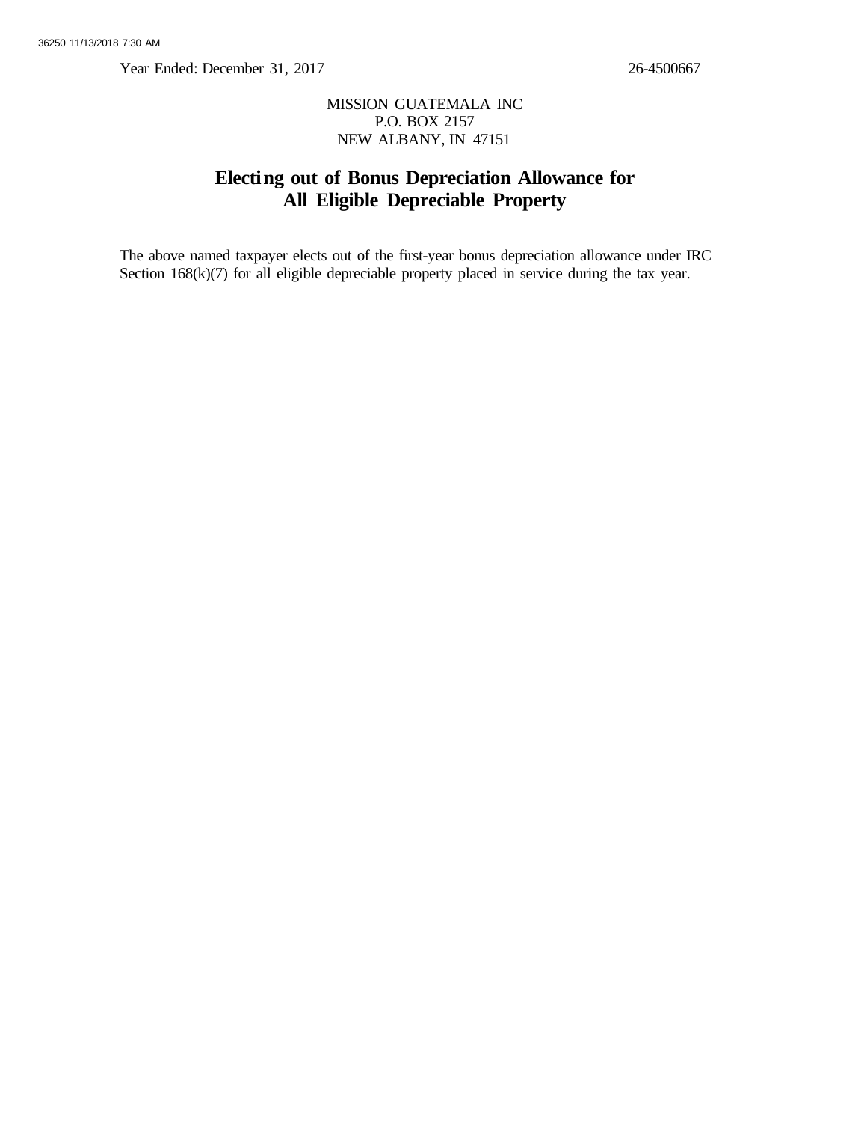Year Ended: December 31, 2017 26-4500667

## MISSION GUATEMALA INC P.O. BOX 2157 NEW ALBANY, IN 47151

## **Electing out of Bonus Depreciation Allowance for All Eligible Depreciable Property**

The above named taxpayer elects out of the first-year bonus depreciation allowance under IRC Section 168(k)(7) for all eligible depreciable property placed in service during the tax year.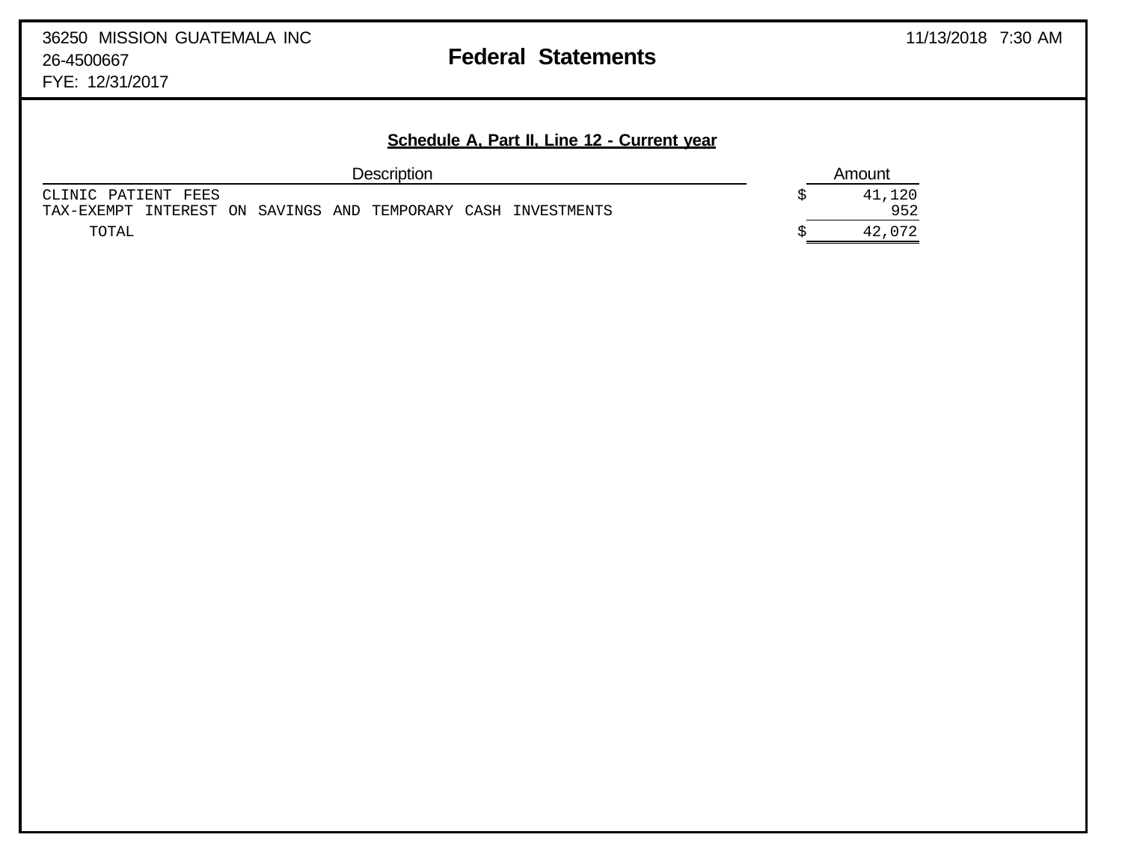## **Schedule A, Part II, Line 12 - Current year**

| <b>Description</b>                                                                      | Amount |               |
|-----------------------------------------------------------------------------------------|--------|---------------|
| CLINIC PATIENT FEES<br>ON SAVINGS AND TEMPORARY CASH INVESTMENTS<br>TAX-EXEMPT INTEREST |        | 41,120<br>952 |
| TOTAL                                                                                   |        | 42,072        |